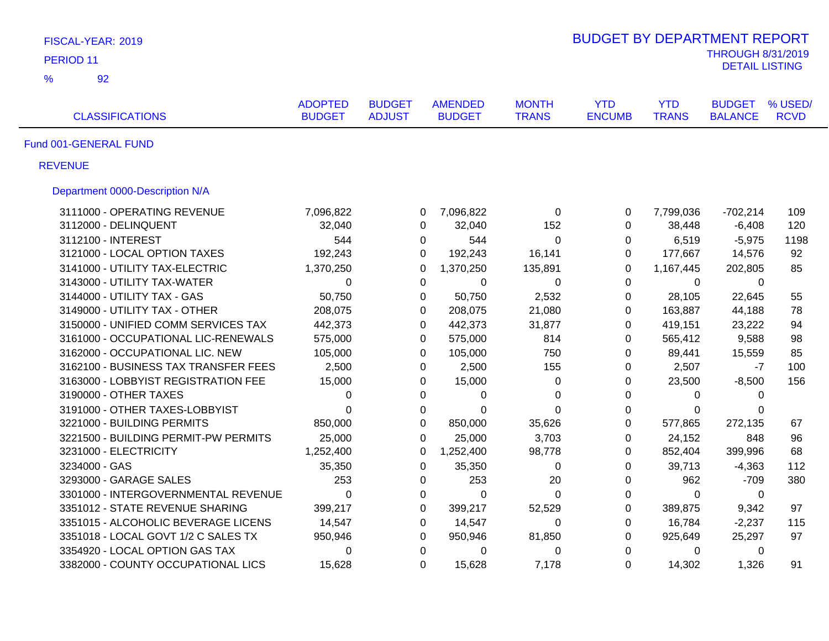| FISCAL-YEAR: 2019                    |                                 |                                |                                 |                              | <b>BUDGET BY DEPARTMENT REPORT</b> |                            |                                 |                        |
|--------------------------------------|---------------------------------|--------------------------------|---------------------------------|------------------------------|------------------------------------|----------------------------|---------------------------------|------------------------|
| PERIOD <sub>11</sub>                 |                                 |                                |                                 |                              |                                    |                            | <b>THROUGH 8/31/2019</b>        |                        |
| $\frac{9}{6}$<br>92                  |                                 |                                |                                 |                              |                                    |                            | <b>DETAIL LISTING</b>           |                        |
| <b>CLASSIFICATIONS</b>               | <b>ADOPTED</b><br><b>BUDGET</b> | <b>BUDGET</b><br><b>ADJUST</b> | <b>AMENDED</b><br><b>BUDGET</b> | <b>MONTH</b><br><b>TRANS</b> | <b>YTD</b><br><b>ENCUMB</b>        | <b>YTD</b><br><b>TRANS</b> | <b>BUDGET</b><br><b>BALANCE</b> | % USED/<br><b>RCVD</b> |
| Fund 001-GENERAL FUND                |                                 |                                |                                 |                              |                                    |                            |                                 |                        |
| <b>REVENUE</b>                       |                                 |                                |                                 |                              |                                    |                            |                                 |                        |
| Department 0000-Description N/A      |                                 |                                |                                 |                              |                                    |                            |                                 |                        |
| 3111000 - OPERATING REVENUE          | 7,096,822                       |                                | 7,096,822<br>0                  | 0                            | 0                                  | 7,799,036                  | $-702,214$                      | 109                    |
| 3112000 - DELINQUENT                 | 32,040                          |                                | 32,040<br>0                     | 152                          | 0                                  | 38,448                     | $-6,408$                        | 120                    |
| 3112100 - INTEREST                   | 544                             |                                | 0<br>544                        | $\mathbf 0$                  | 0                                  | 6,519                      | $-5,975$                        | 1198                   |
| 3121000 - LOCAL OPTION TAXES         | 192,243                         |                                | 192,243<br>$\Omega$             | 16,141                       | 0                                  | 177,667                    | 14,576                          | 92                     |
| 3141000 - UTILITY TAX-ELECTRIC       | 1,370,250                       | 0                              | 1,370,250                       | 135,891                      | 0                                  | 1,167,445                  | 202,805                         | 85                     |
| 3143000 - UTILITY TAX-WATER          | $\mathbf 0$                     |                                | $\Omega$<br>$\Omega$            | $\Omega$                     | 0                                  | $\Omega$                   | $\mathbf{0}$                    |                        |
| 3144000 - UTILITY TAX - GAS          | 50,750                          |                                | 50,750<br>0                     | 2,532                        | $\mathbf 0$                        | 28,105                     | 22,645                          | 55                     |
| 3149000 - UTILITY TAX - OTHER        | 208,075                         |                                | 0<br>208,075                    | 21,080                       | 0                                  | 163,887                    | 44,188                          | 78                     |
| 3150000 - UNIFIED COMM SERVICES TAX  | 442,373                         |                                | $\mathbf 0$<br>442,373          | 31,877                       | $\mathbf 0$                        | 419,151                    | 23,222                          | 94                     |
| 3161000 - OCCUPATIONAL LIC-RENEWALS  | 575,000                         |                                | 575,000<br>$\Omega$             | 814                          | $\Omega$                           | 565,412                    | 9,588                           | 98                     |
| 3162000 - OCCUPATIONAL LIC. NEW      | 105,000                         |                                | $\Omega$<br>105,000             | 750                          | $\Omega$                           | 89,441                     | 15,559                          | 85                     |
| 3162100 - BUSINESS TAX TRANSFER FEES | 2,500                           |                                | 0<br>2,500                      | 155                          | 0                                  | 2,507                      | -7                              | 100                    |
| 3163000 - LOBBYIST REGISTRATION FEE  | 15,000                          |                                | $\Omega$<br>15,000              | 0                            | 0                                  | 23,500                     | $-8,500$                        | 156                    |
| 3190000 - OTHER TAXES                | 0                               |                                | 0<br>0                          | 0                            | 0                                  | 0                          | $\mathbf{0}$                    |                        |
| 3191000 - OTHER TAXES-LOBBYIST       | $\Omega$                        |                                | $\Omega$<br>$\Omega$            | $\Omega$                     | 0                                  | $\Omega$                   | $\Omega$                        |                        |
| 3221000 - BUILDING PERMITS           | 850,000                         |                                | 0<br>850,000                    | 35,626                       | $\mathbf 0$                        | 577,865                    | 272,135                         | 67                     |
| 3221500 - BUILDING PERMIT-PW PERMITS | 25,000                          |                                | $\Omega$<br>25,000              | 3,703                        | $\Omega$                           | 24,152                     | 848                             | 96                     |
| 3231000 - ELECTRICITY                | 1,252,400                       | $\Omega$                       | 1,252,400                       | 98,778                       | 0                                  | 852,404                    | 399,996                         | 68                     |
| 3234000 - GAS                        | 35,350                          |                                | 0<br>35,350                     | 0                            | $\mathbf 0$                        | 39,713                     | $-4,363$                        | 112                    |
| 3293000 - GARAGE SALES               | 253                             |                                | 253<br>0                        | 20                           | $\mathbf 0$                        | 962                        | $-709$                          | 380                    |
| 3301000 - INTERGOVERNMENTAL REVENUE  | $\mathbf 0$                     |                                | 0<br>$\mathbf 0$                | $\mathbf 0$                  | $\pmb{0}$                          | $\mathbf 0$                | 0                               |                        |
| 3351012 - STATE REVENUE SHARING      | 399,217                         |                                | 0<br>399,217                    | 52,529                       | 0                                  | 389,875                    | 9,342                           | 97                     |
| 3351015 - ALCOHOLIC BEVERAGE LICENS  | 14,547                          |                                | 14,547<br>0                     | 0                            | 0                                  | 16,784                     | $-2,237$                        | 115                    |
| 3351018 - LOCAL GOVT 1/2 C SALES TX  | 950,946                         |                                | 950,946<br>0                    | 81,850                       | 0                                  | 925,649                    | 25,297                          | 97                     |
| 3354920 - LOCAL OPTION GAS TAX       | 0                               |                                | $\mathbf 0$<br>0                | 0                            | $\mathbf 0$                        | 0                          | 0                               |                        |
| 3382000 - COUNTY OCCUPATIONAL LICS   | 15,628                          |                                | $\Omega$<br>15,628              | 7,178                        | $\Omega$                           | 14,302                     | 1,326                           | 91                     |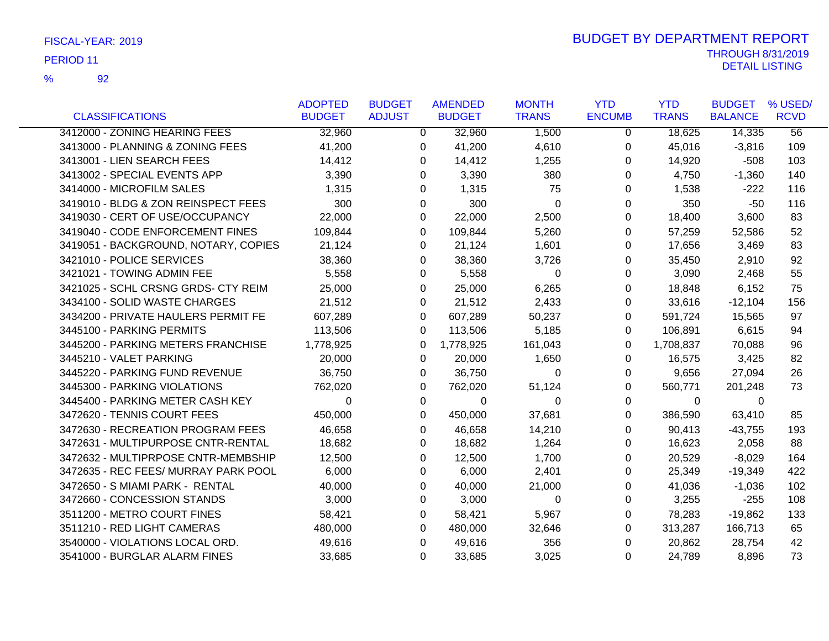|                                      | <b>ADOPTED</b> | <b>BUDGET</b>  | <b>AMENDED</b> | <b>MONTH</b> | <b>YTD</b>    | <b>YTD</b>   | <b>BUDGET</b>  | % USED/         |
|--------------------------------------|----------------|----------------|----------------|--------------|---------------|--------------|----------------|-----------------|
| <b>CLASSIFICATIONS</b>               | <b>BUDGET</b>  | <b>ADJUST</b>  | <b>BUDGET</b>  | <b>TRANS</b> | <b>ENCUMB</b> | <b>TRANS</b> | <b>BALANCE</b> | <b>RCVD</b>     |
| 3412000 - ZONING HEARING FEES        | 32,960         | $\overline{0}$ | 32,960         | 1,500        | $\Omega$      | 18,625       | 14,335         | $\overline{56}$ |
| 3413000 - PLANNING & ZONING FEES     | 41,200         | 0              | 41,200         | 4,610        | 0             | 45,016       | $-3,816$       | 109             |
| 3413001 - LIEN SEARCH FEES           | 14,412         | 0              | 14,412         | 1,255        | 0             | 14,920       | $-508$         | 103             |
| 3413002 - SPECIAL EVENTS APP         | 3,390          | 0              | 3,390          | 380          | 0             | 4,750        | $-1,360$       | 140             |
| 3414000 - MICROFILM SALES            | 1,315          | $\Omega$       | 1,315          | 75           | 0             | 1,538        | $-222$         | 116             |
| 3419010 - BLDG & ZON REINSPECT FEES  | 300            | 0              | 300            | 0            | 0             | 350          | $-50$          | 116             |
| 3419030 - CERT OF USE/OCCUPANCY      | 22,000         | $\Omega$       | 22,000         | 2,500        | 0             | 18,400       | 3,600          | 83              |
| 3419040 - CODE ENFORCEMENT FINES     | 109,844        | $\Omega$       | 109,844        | 5,260        | 0             | 57,259       | 52,586         | 52              |
| 3419051 - BACKGROUND, NOTARY, COPIES | 21,124         | 0              | 21,124         | 1,601        | 0             | 17,656       | 3,469          | 83              |
| 3421010 - POLICE SERVICES            | 38,360         | 0              | 38,360         | 3,726        | 0             | 35,450       | 2,910          | 92              |
| 3421021 - TOWING ADMIN FEE           | 5,558          | 0              | 5,558          | 0            | 0             | 3,090        | 2,468          | 55              |
| 3421025 - SCHL CRSNG GRDS- CTY REIM  | 25,000         | 0              | 25,000         | 6,265        | 0             | 18,848       | 6,152          | 75              |
| 3434100 - SOLID WASTE CHARGES        | 21,512         | 0              | 21,512         | 2,433        | $\Omega$      | 33,616       | $-12,104$      | 156             |
| 3434200 - PRIVATE HAULERS PERMIT FE  | 607,289        | 0              | 607,289        | 50,237       | 0             | 591,724      | 15,565         | 97              |
| 3445100 - PARKING PERMITS            | 113,506        | 0              | 113,506        | 5,185        | 0             | 106,891      | 6,615          | 94              |
| 3445200 - PARKING METERS FRANCHISE   | 1,778,925      | 0              | 1,778,925      | 161,043      | 0             | 1,708,837    | 70,088         | 96              |
| 3445210 - VALET PARKING              | 20,000         | 0              | 20,000         | 1,650        | 0             | 16,575       | 3,425          | 82              |
| 3445220 - PARKING FUND REVENUE       | 36,750         | 0              | 36,750         | $\Omega$     | 0             | 9,656        | 27,094         | 26              |
| 3445300 - PARKING VIOLATIONS         | 762,020        | 0              | 762,020        | 51,124       | 0             | 560,771      | 201,248        | 73              |
| 3445400 - PARKING METER CASH KEY     | $\Omega$       | 0              | 0              | 0            | 0             | $\mathbf 0$  | $\mathbf 0$    |                 |
| 3472620 - TENNIS COURT FEES          | 450,000        | $\Omega$       | 450,000        | 37,681       | 0             | 386,590      | 63,410         | 85              |
| 3472630 - RECREATION PROGRAM FEES    | 46,658         | 0              | 46,658         | 14,210       | $\Omega$      | 90,413       | $-43,755$      | 193             |
| 3472631 - MULTIPURPOSE CNTR-RENTAL   | 18,682         | 0              | 18,682         | 1,264        | 0             | 16,623       | 2,058          | 88              |
| 3472632 - MULTIPRPOSE CNTR-MEMBSHIP  | 12,500         | 0              | 12,500         | 1,700        | 0             | 20,529       | $-8,029$       | 164             |
| 3472635 - REC FEES/ MURRAY PARK POOL | 6,000          | 0              | 6,000          | 2,401        | 0             | 25,349       | -19,349        | 422             |
| 3472650 - S MIAMI PARK - RENTAL      | 40,000         | $\Omega$       | 40,000         | 21,000       | 0             | 41,036       | $-1,036$       | 102             |
| 3472660 - CONCESSION STANDS          | 3,000          | 0              | 3,000          | 0            | 0             | 3,255        | $-255$         | 108             |
| 3511200 - METRO COURT FINES          | 58,421         | 0              | 58,421         | 5,967        | 0             | 78,283       | $-19,862$      | 133             |
| 3511210 - RED LIGHT CAMERAS          | 480,000        | 0              | 480,000        | 32,646       | 0             | 313,287      | 166,713        | 65              |
| 3540000 - VIOLATIONS LOCAL ORD.      | 49,616         | $\Omega$       | 49,616         | 356          | $\Omega$      | 20,862       | 28,754         | 42              |
| 3541000 - BURGLAR ALARM FINES        | 33,685         | 0              | 33,685         | 3,025        | $\Omega$      | 24,789       | 8,896          | 73              |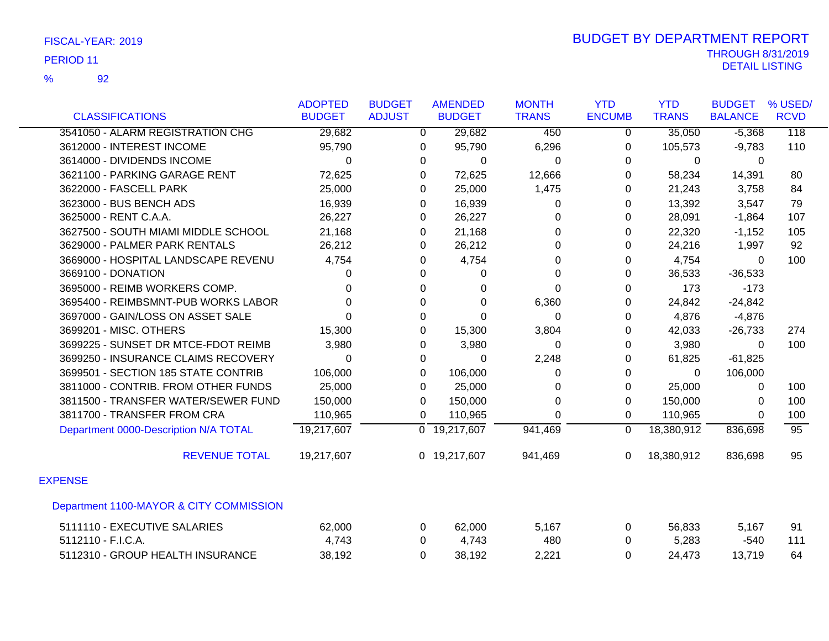|                                         | <b>ADOPTED</b> | <b>BUDGET</b>  | <b>AMENDED</b>            | <b>MONTH</b> | <b>YTD</b>     | <b>YTD</b>   | <b>BUDGET</b>  | % USED/          |
|-----------------------------------------|----------------|----------------|---------------------------|--------------|----------------|--------------|----------------|------------------|
| <b>CLASSIFICATIONS</b>                  | <b>BUDGET</b>  | <b>ADJUST</b>  | <b>BUDGET</b>             | <b>TRANS</b> | <b>ENCUMB</b>  | <b>TRANS</b> | <b>BALANCE</b> | <b>RCVD</b>      |
| 3541050 - ALARM REGISTRATION CHG        | 29,682         | $\overline{0}$ | 29,682                    | 450          | $\overline{0}$ | 35,050       | $-5,368$       | $\overline{118}$ |
| 3612000 - INTEREST INCOME               | 95,790         | 0              | 95,790                    | 6,296        | 0              | 105,573      | $-9,783$       | 110              |
| 3614000 - DIVIDENDS INCOME              | 0              | 0              | 0                         | 0            | 0              | 0            | $\Omega$       |                  |
| 3621100 - PARKING GARAGE RENT           | 72,625         | 0              | 72,625                    | 12,666       | 0              | 58,234       | 14,391         | 80               |
| 3622000 - FASCELL PARK                  | 25,000         | 0              | 25,000                    | 1,475        | 0              | 21,243       | 3,758          | 84               |
| 3623000 - BUS BENCH ADS                 | 16,939         | 0              | 16,939                    | $\Omega$     | 0              | 13,392       | 3,547          | 79               |
| 3625000 - RENT C.A.A.                   | 26,227         | 0              | 26,227                    | 0            | 0              | 28,091       | $-1,864$       | 107              |
| 3627500 - SOUTH MIAMI MIDDLE SCHOOL     | 21,168         | 0              | 21,168                    | 0            | 0              | 22,320       | $-1,152$       | 105              |
| 3629000 - PALMER PARK RENTALS           | 26,212         | 0              | 26,212                    | $\Omega$     | 0              | 24,216       | 1,997          | 92               |
| 3669000 - HOSPITAL LANDSCAPE REVENU     | 4,754          | 0              | 4,754                     | 0            | 0              | 4,754        | $\Omega$       | 100              |
| 3669100 - DONATION                      | 0              | 0              | 0                         | $\Omega$     | 0              | 36,533       | $-36,533$      |                  |
| 3695000 - REIMB WORKERS COMP.           | 0              | 0              | 0                         | $\Omega$     | 0              | 173          | $-173$         |                  |
| 3695400 - REIMBSMNT-PUB WORKS LABOR     | 0              | $\Omega$       | $\Omega$                  | 6,360        | $\Omega$       | 24,842       | $-24,842$      |                  |
| 3697000 - GAIN/LOSS ON ASSET SALE       | 0              | 0              | $\Omega$                  | 0            | 0              | 4,876        | $-4,876$       |                  |
| 3699201 - MISC. OTHERS                  | 15,300         | 0              | 15,300                    | 3,804        | 0              | 42,033       | $-26,733$      | 274              |
| 3699225 - SUNSET DR MTCE-FDOT REIMB     | 3,980          | 0              | 3,980                     | 0            | 0              | 3,980        | 0              | 100              |
| 3699250 - INSURANCE CLAIMS RECOVERY     | $\Omega$       | 0              | 0                         | 2,248        | 0              | 61,825       | $-61,825$      |                  |
| 3699501 - SECTION 185 STATE CONTRIB     | 106,000        | 0              | 106,000                   | 0            | 0              | $\mathbf{0}$ | 106,000        |                  |
| 3811000 - CONTRIB. FROM OTHER FUNDS     | 25,000         | 0              | 25,000                    | 0            | 0              | 25,000       | 0              | 100              |
| 3811500 - TRANSFER WATER/SEWER FUND     | 150,000        | $\Omega$       | 150,000                   | $\Omega$     | $\Omega$       | 150,000      | $\Omega$       | 100              |
| 3811700 - TRANSFER FROM CRA             | 110,965        | 0              | 110,965                   | $\Omega$     | 0              | 110,965      | 0              | 100              |
| Department 0000-Description N/A TOTAL   | 19,217,607     |                | $\overline{0}$ 19,217,607 | 941,469      | $\Omega$       | 18,380,912   | 836,698        | 95               |
| <b>REVENUE TOTAL</b>                    | 19,217,607     |                | 0 19,217,607              | 941,469      | 0              | 18,380,912   | 836,698        | 95               |
| <b>EXPENSE</b>                          |                |                |                           |              |                |              |                |                  |
| Department 1100-MAYOR & CITY COMMISSION |                |                |                           |              |                |              |                |                  |
| 5111110 - EXECUTIVE SALARIES            | 62,000         | 0              | 62,000                    | 5,167        | 0              | 56,833       | 5,167          | 91               |
| 5112110 - F.I.C.A.                      | 4,743          | 0              | 4,743                     | 480          | 0              | 5,283        | $-540$         | 111              |
| 5112310 - GROUP HEALTH INSURANCE        | 38,192         | 0              | 38,192                    | 2,221        | $\Omega$       | 24,473       | 13,719         | 64               |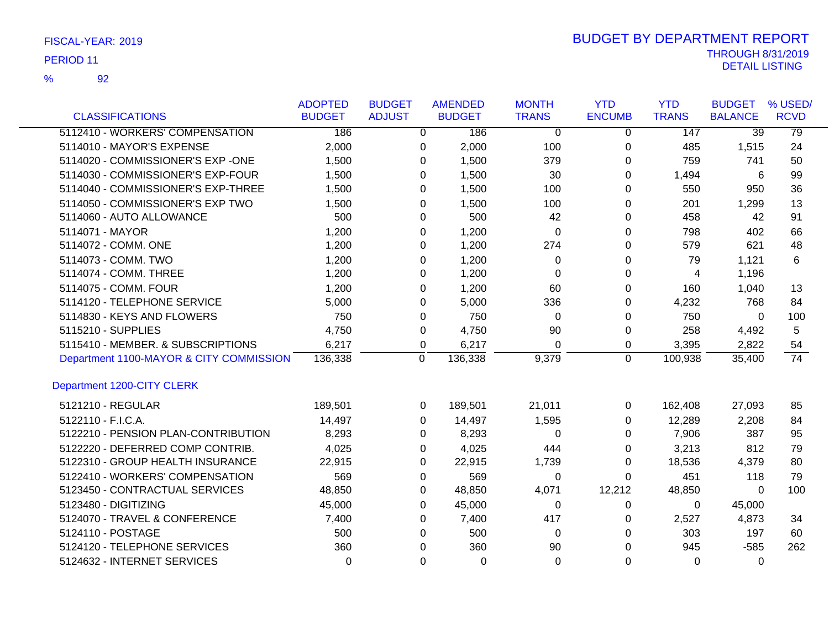92 %

|                                         | <b>ADOPTED</b> | <b>BUDGET</b>  | <b>AMENDED</b> | <b>MONTH</b>   | <b>YTD</b>     | <b>YTD</b>   | <b>BUDGET</b>   | % USED/         |
|-----------------------------------------|----------------|----------------|----------------|----------------|----------------|--------------|-----------------|-----------------|
| <b>CLASSIFICATIONS</b>                  | <b>BUDGET</b>  | <b>ADJUST</b>  | <b>BUDGET</b>  | <b>TRANS</b>   | <b>ENCUMB</b>  | <b>TRANS</b> | <b>BALANCE</b>  | <b>RCVD</b>     |
| 5112410 - WORKERS' COMPENSATION         | 186            | $\overline{0}$ | 186            | $\overline{0}$ | $\Omega$       | 147          | $\overline{39}$ | 79              |
| 5114010 - MAYOR'S EXPENSE               | 2,000          | 0              | 2,000          | 100            | 0              | 485          | 1,515           | 24              |
| 5114020 - COMMISSIONER'S EXP -ONE       | 1,500          | 0              | 1,500          | 379            | 0              | 759          | 741             | 50              |
| 5114030 - COMMISSIONER'S EXP-FOUR       | 1,500          | 0              | 1,500          | 30             | $\Omega$       | 1,494        | 6               | 99              |
| 5114040 - COMMISSIONER'S EXP-THREE      | 1,500          | 0              | 1,500          | 100            | 0              | 550          | 950             | 36              |
| 5114050 - COMMISSIONER'S EXP TWO        | 1,500          | 0              | 1,500          | 100            | 0              | 201          | 1,299           | 13              |
| 5114060 - AUTO ALLOWANCE                | 500            | 0              | 500            | 42             | 0              | 458          | 42              | 91              |
| 5114071 - MAYOR                         | 1,200          | 0              | 1,200          | 0              | 0              | 798          | 402             | 66              |
| 5114072 - COMM. ONE                     | 1,200          | 0              | 1,200          | 274            | 0              | 579          | 621             | 48              |
| 5114073 - COMM. TWO                     | 1,200          | 0              | 1,200          | 0              | 0              | 79           | 1,121           | 6               |
| 5114074 - COMM. THREE                   | 1,200          | 0              | 1,200          | $\Omega$       | 0              | 4            | 1,196           |                 |
| 5114075 - COMM. FOUR                    | 1,200          | $\Omega$       | 1,200          | 60             | $\Omega$       | 160          | 1,040           | 13              |
| 5114120 - TELEPHONE SERVICE             | 5,000          | 0              | 5,000          | 336            | 0              | 4,232        | 768             | 84              |
| 5114830 - KEYS AND FLOWERS              | 750            | 0              | 750            | $\Omega$       | 0              | 750          | $\mathbf{0}$    | 100             |
| 5115210 - SUPPLIES                      | 4,750          | 0              | 4,750          | 90             | 0              | 258          | 4,492           | 5               |
| 5115410 - MEMBER. & SUBSCRIPTIONS       | 6,217          | 0              | 6,217          | 0              | 0              | 3,395        | 2,822           | 54              |
| Department 1100-MAYOR & CITY COMMISSION | 136,338        | 0              | 136,338        | 9,379          | $\overline{0}$ | 100,938      | 35,400          | $\overline{74}$ |
| Department 1200-CITY CLERK              |                |                |                |                |                |              |                 |                 |
| 5121210 - REGULAR                       | 189,501        | 0              | 189,501        | 21,011         | 0              | 162,408      | 27,093          | 85              |
| 5122110 - F.I.C.A.                      | 14,497         | $\Omega$       | 14,497         | 1,595          | 0              | 12,289       | 2,208           | 84              |
| 5122210 - PENSION PLAN-CONTRIBUTION     | 8,293          | $\Omega$       | 8,293          | $\Omega$       | 0              | 7,906        | 387             | 95              |
| 5122220 - DEFERRED COMP CONTRIB.        | 4,025          | 0              | 4,025          | 444            | 0              | 3,213        | 812             | 79              |
| 5122310 - GROUP HEALTH INSURANCE        | 22,915         | 0              | 22,915         | 1,739          | 0              | 18,536       | 4,379           | 80              |
| 5122410 - WORKERS' COMPENSATION         | 569            | 0              | 569            | 0              | 0              | 451          | 118             | 79              |
| 5123450 - CONTRACTUAL SERVICES          | 48,850         | 0              | 48,850         | 4,071          | 12,212         | 48,850       | 0               | 100             |
| 5123480 - DIGITIZING                    | 45,000         | 0              | 45,000         | 0              | 0              | $\Omega$     | 45,000          |                 |
| 5124070 - TRAVEL & CONFERENCE           | 7,400          | 0              | 7,400          | 417            | 0              | 2,527        | 4,873           | 34              |
| 5124110 - POSTAGE                       | 500            | 0              | 500            | 0              | 0              | 303          | 197             | 60              |
| 5124120 - TELEPHONE SERVICES            | 360            | 0              | 360            | 90             | 0              | 945          | $-585$          | 262             |
| 5124632 - INTERNET SERVICES             | $\Omega$       | 0              | $\Omega$       | $\Omega$       | 0              | 0            | 0               |                 |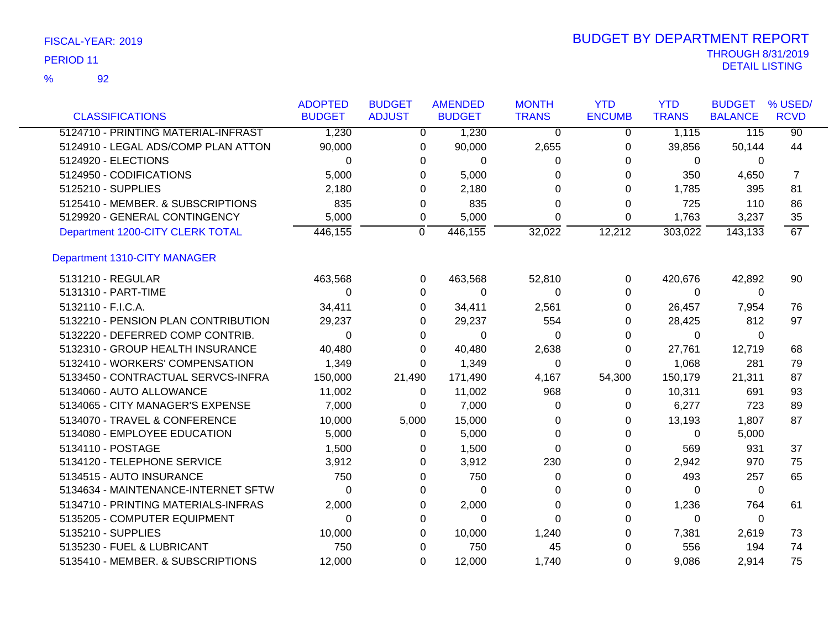92

%

|                                     | <b>ADOPTED</b> | <b>BUDGET</b> | <b>AMENDED</b> | <b>MONTH</b> | <b>YTD</b>    | <b>YTD</b>   | <b>BUDGET</b>  | % USED/         |
|-------------------------------------|----------------|---------------|----------------|--------------|---------------|--------------|----------------|-----------------|
| <b>CLASSIFICATIONS</b>              | <b>BUDGET</b>  | <b>ADJUST</b> | <b>BUDGET</b>  | <b>TRANS</b> | <b>ENCUMB</b> | <b>TRANS</b> | <b>BALANCE</b> | <b>RCVD</b>     |
| 5124710 - PRINTING MATERIAL-INFRAST | 1,230          | 0             | 1,230          | $\Omega$     | 0             | 1,115        | 115            | $\overline{90}$ |
| 5124910 - LEGAL ADS/COMP PLAN ATTON | 90,000         | 0             | 90,000         | 2,655        | 0             | 39,856       | 50,144         | 44              |
| 5124920 - ELECTIONS                 | 0              | 0             | 0              | 0            | 0             | 0            | 0              |                 |
| 5124950 - CODIFICATIONS             | 5,000          | 0             | 5,000          | 0            | 0             | 350          | 4,650          | 7               |
| 5125210 - SUPPLIES                  | 2,180          | 0             | 2,180          | 0            | 0             | 1,785        | 395            | 81              |
| 5125410 - MEMBER. & SUBSCRIPTIONS   | 835            | 0             | 835            | 0            | 0             | 725          | 110            | 86              |
| 5129920 - GENERAL CONTINGENCY       | 5,000          | 0             | 5,000          | 0            | 0             | 1,763        | 3,237          | 35              |
| Department 1200-CITY CLERK TOTAL    | 446,155        | 0             | 446,155        | 32,022       | 12,212        | 303,022      | 143,133        | 67              |
| Department 1310-CITY MANAGER        |                |               |                |              |               |              |                |                 |
| 5131210 - REGULAR                   | 463,568        | 0             | 463,568        | 52,810       | 0             | 420,676      | 42,892         | 90              |
| 5131310 - PART-TIME                 | $\Omega$       | 0             | 0              | 0            | 0             | $\Omega$     | 0              |                 |
| 5132110 - F.I.C.A.                  | 34,411         | 0             | 34,411         | 2,561        | 0             | 26,457       | 7,954          | 76              |
| 5132210 - PENSION PLAN CONTRIBUTION | 29,237         | 0             | 29,237         | 554          | 0             | 28,425       | 812            | 97              |
| 5132220 - DEFERRED COMP CONTRIB.    | 0              | 0             | 0              | 0            | 0             | 0            | 0              |                 |
| 5132310 - GROUP HEALTH INSURANCE    | 40,480         | 0             | 40,480         | 2,638        | 0             | 27,761       | 12,719         | 68              |
| 5132410 - WORKERS' COMPENSATION     | 1,349          | 0             | 1,349          | 0            | 0             | 1,068        | 281            | 79              |
| 5133450 - CONTRACTUAL SERVCS-INFRA  | 150,000        | 21,490        | 171,490        | 4,167        | 54,300        | 150,179      | 21,311         | 87              |
| 5134060 - AUTO ALLOWANCE            | 11,002         | 0             | 11,002         | 968          | 0             | 10,311       | 691            | 93              |
| 5134065 - CITY MANAGER'S EXPENSE    | 7,000          | 0             | 7,000          | 0            | 0             | 6,277        | 723            | 89              |
| 5134070 - TRAVEL & CONFERENCE       | 10,000         | 5,000         | 15,000         | 0            | 0             | 13,193       | 1,807          | 87              |
| 5134080 - EMPLOYEE EDUCATION        | 5,000          | 0             | 5,000          | 0            | 0             | 0            | 5,000          |                 |
| 5134110 - POSTAGE                   | 1,500          | 0             | 1,500          | 0            | 0             | 569          | 931            | 37              |
| 5134120 - TELEPHONE SERVICE         | 3,912          | 0             | 3,912          | 230          | 0             | 2,942        | 970            | 75              |
| 5134515 - AUTO INSURANCE            | 750            | 0             | 750            | 0            | 0             | 493          | 257            | 65              |
| 5134634 - MAINTENANCE-INTERNET SFTW | 0              | 0             | 0              | 0            | 0             | 0            | 0              |                 |
| 5134710 - PRINTING MATERIALS-INFRAS | 2,000          | 0             | 2,000          | 0            | 0             | 1,236        | 764            | 61              |
| 5135205 - COMPUTER EQUIPMENT        | 0              | 0             | 0              | 0            | 0             | 0            | 0              |                 |
| 5135210 - SUPPLIES                  | 10,000         | 0             | 10,000         | 1,240        | 0             | 7,381        | 2,619          | 73              |
| 5135230 - FUEL & LUBRICANT          | 750            | 0             | 750            | 45           | 0             | 556          | 194            | 74              |
| 5135410 - MEMBER. & SUBSCRIPTIONS   | 12,000         | 0             | 12,000         | 1,740        | 0             | 9,086        | 2,914          | 75              |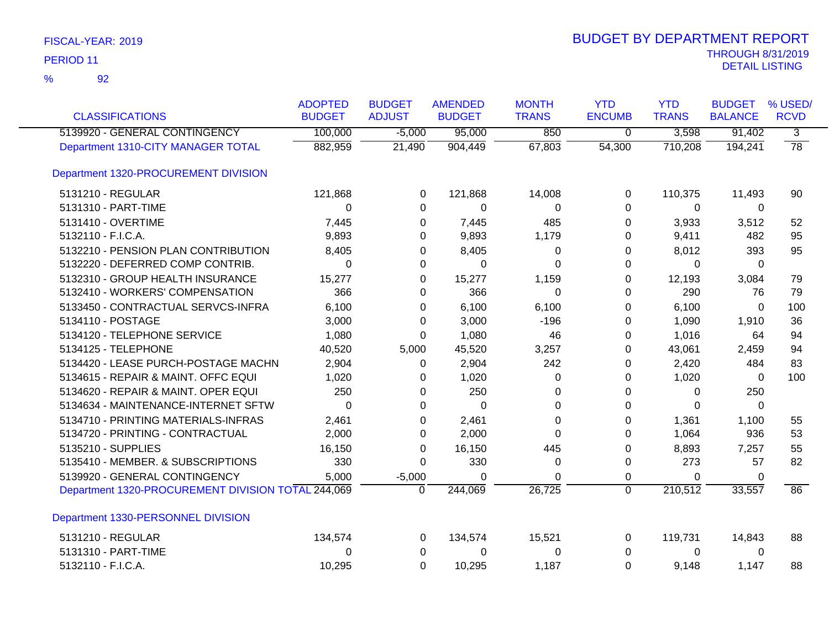| <b>CLASSIFICATIONS</b>                             | <b>ADOPTED</b><br><b>BUDGET</b> | <b>BUDGET</b><br><b>ADJUST</b> | <b>AMENDED</b><br><b>BUDGET</b> | <b>MONTH</b><br><b>TRANS</b> | <b>YTD</b><br><b>ENCUMB</b> | <b>YTD</b><br><b>TRANS</b> | <b>BUDGET</b><br><b>BALANCE</b> | % USED/<br><b>RCVD</b> |
|----------------------------------------------------|---------------------------------|--------------------------------|---------------------------------|------------------------------|-----------------------------|----------------------------|---------------------------------|------------------------|
| 5139920 - GENERAL CONTINGENCY                      | 100,000                         | $-5,000$                       | 95,000                          | 850                          | $\overline{0}$              | 3,598                      | 91,402                          | $\overline{3}$         |
| Department 1310-CITY MANAGER TOTAL                 | 882,959                         | 21,490                         | 904,449                         | 67,803                       | 54,300                      | 710,208                    | 194,241                         | $\overline{78}$        |
| Department 1320-PROCUREMENT DIVISION               |                                 |                                |                                 |                              |                             |                            |                                 |                        |
| 5131210 - REGULAR                                  | 121,868                         | $\Omega$                       | 121,868                         | 14,008                       | $\Omega$                    | 110,375                    | 11,493                          | 90                     |
| 5131310 - PART-TIME                                | 0                               | 0                              | $\mathbf 0$                     | 0                            | 0                           | 0                          | 0                               |                        |
| 5131410 - OVERTIME                                 | 7,445                           | 0                              | 7,445                           | 485                          | 0                           | 3,933                      | 3,512                           | 52                     |
| 5132110 - F.I.C.A.                                 | 9,893                           | 0                              | 9,893                           | 1,179                        | 0                           | 9,411                      | 482                             | 95                     |
| 5132210 - PENSION PLAN CONTRIBUTION                | 8,405                           | 0                              | 8,405                           | 0                            | 0                           | 8,012                      | 393                             | 95                     |
| 5132220 - DEFERRED COMP CONTRIB.                   | $\Omega$                        | 0                              | $\Omega$                        | 0                            | 0                           | 0                          | $\Omega$                        |                        |
| 5132310 - GROUP HEALTH INSURANCE                   | 15,277                          | 0                              | 15,277                          | 1,159                        | 0                           | 12,193                     | 3,084                           | 79                     |
| 5132410 - WORKERS' COMPENSATION                    | 366                             | $\Omega$                       | 366                             | $\Omega$                     | 0                           | 290                        | 76                              | 79                     |
| 5133450 - CONTRACTUAL SERVCS-INFRA                 | 6,100                           | 0                              | 6,100                           | 6,100                        | $\Omega$                    | 6,100                      | $\Omega$                        | 100                    |
| 5134110 - POSTAGE                                  | 3,000                           | 0                              | 3,000                           | $-196$                       | 0                           | 1,090                      | 1,910                           | 36                     |
| 5134120 - TELEPHONE SERVICE                        | 1,080                           | $\Omega$                       | 1,080                           | 46                           | 0                           | 1,016                      | 64                              | 94                     |
| 5134125 - TELEPHONE                                | 40,520                          | 5,000                          | 45,520                          | 3,257                        | 0                           | 43,061                     | 2,459                           | 94                     |
| 5134420 - LEASE PURCH-POSTAGE MACHN                | 2,904                           | 0                              | 2,904                           | 242                          | 0                           | 2,420                      | 484                             | 83                     |
| 5134615 - REPAIR & MAINT. OFFC EQUI                | 1,020                           | 0                              | 1,020                           | $\Omega$                     | 0                           | 1,020                      | $\Omega$                        | 100                    |
| 5134620 - REPAIR & MAINT. OPER EQUI                | 250                             | 0                              | 250                             | 0                            | 0                           | 0                          | 250                             |                        |
| 5134634 - MAINTENANCE-INTERNET SFTW                | 0                               | 0                              | $\Omega$                        | 0                            | 0                           | $\Omega$                   | $\Omega$                        |                        |
| 5134710 - PRINTING MATERIALS-INFRAS                | 2,461                           | 0                              | 2,461                           | 0                            | 0                           | 1,361                      | 1,100                           | 55                     |
| 5134720 - PRINTING - CONTRACTUAL                   | 2,000                           | 0                              | 2,000                           | 0                            | 0                           | 1,064                      | 936                             | 53                     |
| 5135210 - SUPPLIES                                 | 16,150                          | 0                              | 16,150                          | 445                          | 0                           | 8,893                      | 7,257                           | 55                     |
| 5135410 - MEMBER. & SUBSCRIPTIONS                  | 330                             | 0                              | 330                             | 0                            | 0                           | 273                        | 57                              | 82                     |
| 5139920 - GENERAL CONTINGENCY                      | 5,000                           | $-5,000$                       | 0                               | 0                            | 0                           | 0                          | $\Omega$                        |                        |
| Department 1320-PROCUREMENT DIVISION TOTAL 244,069 |                                 | $\Omega$                       | 244,069                         | 26,725                       | $\overline{0}$              | 210,512                    | 33,557                          | 86                     |
| Department 1330-PERSONNEL DIVISION                 |                                 |                                |                                 |                              |                             |                            |                                 |                        |
| 5131210 - REGULAR                                  | 134,574                         | 0                              | 134,574                         | 15,521                       | 0                           | 119,731                    | 14,843                          | 88                     |
| 5131310 - PART-TIME                                | 0                               | 0                              | 0                               | 0                            | 0                           | 0                          | 0                               |                        |
| 5132110 - F.I.C.A.                                 | 10,295                          | $\Omega$                       | 10,295                          | 1,187                        | $\Omega$                    | 9,148                      | 1,147                           | 88                     |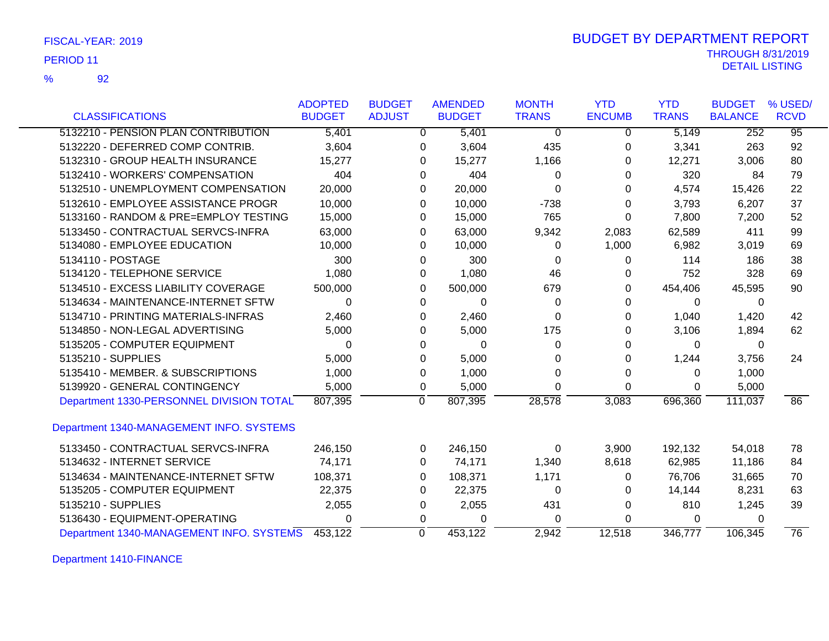| FISCAL-YEAR: 2019 |  |
|-------------------|--|
|-------------------|--|

92

%

|                                          | <b>ADOPTED</b> | <b>BUDGET</b> | <b>AMENDED</b>         | <b>MONTH</b> | <b>YTD</b>    | <b>YTD</b>   | <b>BUDGET</b>  | % USED/         |
|------------------------------------------|----------------|---------------|------------------------|--------------|---------------|--------------|----------------|-----------------|
| <b>CLASSIFICATIONS</b>                   | <b>BUDGET</b>  | <b>ADJUST</b> | <b>BUDGET</b>          | <b>TRANS</b> | <b>ENCUMB</b> | <b>TRANS</b> | <b>BALANCE</b> | <b>RCVD</b>     |
| 5132210 - PENSION PLAN CONTRIBUTION      | 5,401          |               | 5,401<br>0             | 0            | 0             | 5,149        | 252            | $\overline{95}$ |
| 5132220 - DEFERRED COMP CONTRIB.         | 3,604          |               | 3,604<br>0             | 435          | 0             | 3,341        | 263            | 92              |
| 5132310 - GROUP HEALTH INSURANCE         | 15,277         |               | 15,277<br>0            | 1,166        | 0             | 12,271       | 3,006          | 80              |
| 5132410 - WORKERS' COMPENSATION          | 404            |               | 404<br>0               | $\Omega$     | 0             | 320          | 84             | 79              |
| 5132510 - UNEMPLOYMENT COMPENSATION      | 20,000         |               | 20,000<br>0            | 0            | 0             | 4,574        | 15,426         | 22              |
| 5132610 - EMPLOYEE ASSISTANCE PROGR      | 10,000         |               | 10,000<br>0            | $-738$       | 0             | 3,793        | 6,207          | 37              |
| 5133160 - RANDOM & PRE=EMPLOY TESTING    | 15,000         |               | 15,000<br>0            | 765          | 0             | 7,800        | 7,200          | 52              |
| 5133450 - CONTRACTUAL SERVCS-INFRA       | 63,000         |               | 63,000<br>0            | 9,342        | 2,083         | 62,589       | 411            | 99              |
| 5134080 - EMPLOYEE EDUCATION             | 10,000         |               | 10,000<br>0            | 0            | 1,000         | 6,982        | 3,019          | 69              |
| 5134110 - POSTAGE                        | 300            |               | 300<br>$\Omega$        | $\Omega$     | 0             | 114          | 186            | 38              |
| 5134120 - TELEPHONE SERVICE              | 1,080          |               | 1,080<br>0             | 46           | 0             | 752          | 328            | 69              |
| 5134510 - EXCESS LIABILITY COVERAGE      | 500,000        |               | 500,000<br>0           | 679          | 0             | 454,406      | 45,595         | 90              |
| 5134634 - MAINTENANCE-INTERNET SFTW      | 0              |               | 0<br>0                 | 0            | 0             | 0            | 0              |                 |
| 5134710 - PRINTING MATERIALS-INFRAS      | 2,460          |               | 2,460<br>0             | 0            | 0             | 1,040        | 1,420          | 42              |
| 5134850 - NON-LEGAL ADVERTISING          | 5,000          |               | 5,000<br>0             | 175          | 0             | 3,106        | 1,894          | 62              |
| 5135205 - COMPUTER EQUIPMENT             | $\Omega$       |               | $\Omega$<br>0          | 0            | 0             | 0            | 0              |                 |
| 5135210 - SUPPLIES                       | 5,000          |               | 5,000<br>0             | 0            | 0             | 1,244        | 3,756          | 24              |
| 5135410 - MEMBER. & SUBSCRIPTIONS        | 1,000          |               | 1,000<br>0             | 0            | 0             | 0            | 1,000          |                 |
| 5139920 - GENERAL CONTINGENCY            | 5,000          |               | 5,000<br>0             | 0            | 0             | 0            | 5,000          |                 |
| Department 1330-PERSONNEL DIVISION TOTAL | 807,395        |               | $\mathbf 0$<br>807,395 | 28,578       | 3,083         | 696,360      | 111,037        | 86              |
| Department 1340-MANAGEMENT INFO. SYSTEMS |                |               |                        |              |               |              |                |                 |
| 5133450 - CONTRACTUAL SERVCS-INFRA       | 246,150        |               | 246,150<br>0           | 0            | 3,900         | 192,132      | 54,018         | 78              |
| 5134632 - INTERNET SERVICE               | 74,171         |               | 74,171<br>0            | 1,340        | 8,618         | 62,985       | 11,186         | 84              |
| 5134634 - MAINTENANCE-INTERNET SFTW      | 108,371        |               | 108,371<br>0           | 1,171        | 0             | 76,706       | 31,665         | 70              |
| 5135205 - COMPUTER EQUIPMENT             | 22,375         |               | 22,375<br>$\Omega$     | 0            | 0             | 14,144       | 8,231          | 63              |
| 5135210 - SUPPLIES                       | 2,055          |               | 2,055<br>0             | 431          | 0             | 810          | 1,245          | 39              |
| 5136430 - EQUIPMENT-OPERATING            | 0              |               | 0<br>$\Omega$          | 0            | 0             | 0            | 0              |                 |
| Department 1340-MANAGEMENT INFO. SYSTEMS | 453,122        |               | $\mathbf 0$<br>453,122 | 2,942        | 12,518        | 346,777      | 106,345        | $\overline{76}$ |

Department 1410-FINANCE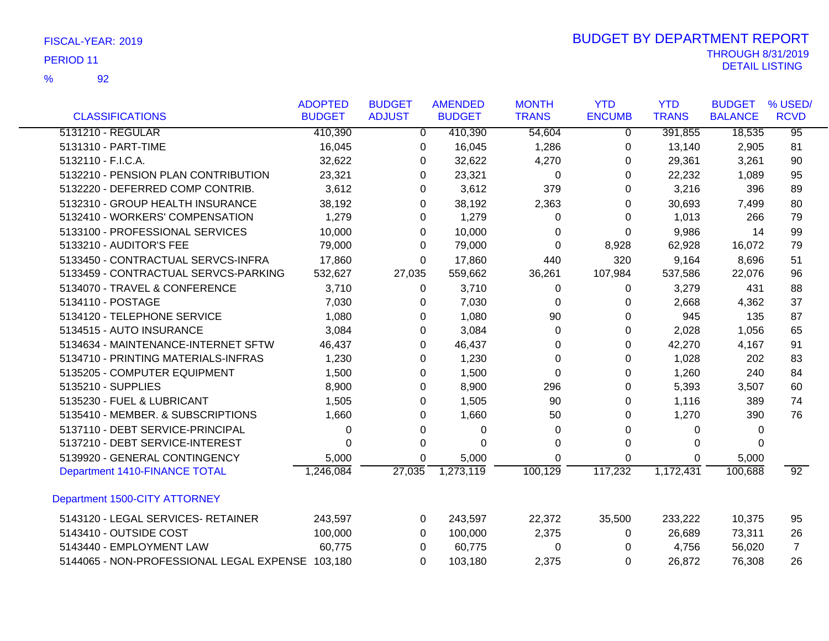92

|                                                  | <b>ADOPTED</b> | <b>BUDGET</b> | <b>AMENDED</b> | <b>MONTH</b> | <b>YTD</b>    | <b>YTD</b>   | <b>BUDGET</b>  | % USED/         |
|--------------------------------------------------|----------------|---------------|----------------|--------------|---------------|--------------|----------------|-----------------|
| <b>CLASSIFICATIONS</b>                           | <b>BUDGET</b>  | <b>ADJUST</b> | <b>BUDGET</b>  | <b>TRANS</b> | <b>ENCUMB</b> | <b>TRANS</b> | <b>BALANCE</b> | <b>RCVD</b>     |
| 5131210 - REGULAR                                | 410,390        | $\Omega$      | 410,390        | 54,604       | $\Omega$      | 391,855      | 18,535         | $\overline{95}$ |
| 5131310 - PART-TIME                              | 16,045         | 0             | 16,045         | 1,286        | 0             | 13,140       | 2,905          | 81              |
| 5132110 - F.I.C.A.                               | 32,622         | 0             | 32,622         | 4,270        | 0             | 29,361       | 3,261          | 90              |
| 5132210 - PENSION PLAN CONTRIBUTION              | 23,321         | 0             | 23,321         | 0            | 0             | 22,232       | 1,089          | 95              |
| 5132220 - DEFERRED COMP CONTRIB.                 | 3,612          | 0             | 3,612          | 379          | 0             | 3,216        | 396            | 89              |
| 5132310 - GROUP HEALTH INSURANCE                 | 38,192         | 0             | 38,192         | 2,363        | 0             | 30,693       | 7,499          | 80              |
| 5132410 - WORKERS' COMPENSATION                  | 1,279          | 0             | 1,279          | 0            | 0             | 1,013        | 266            | 79              |
| 5133100 - PROFESSIONAL SERVICES                  | 10,000         | 0             | 10,000         | 0            | 0             | 9,986        | 14             | 99              |
| 5133210 - AUDITOR'S FEE                          | 79,000         | 0             | 79,000         | 0            | 8,928         | 62,928       | 16,072         | 79              |
| 5133450 - CONTRACTUAL SERVCS-INFRA               | 17,860         | 0             | 17,860         | 440          | 320           | 9,164        | 8,696          | 51              |
| 5133459 - CONTRACTUAL SERVCS-PARKING             | 532,627        | 27,035        | 559,662        | 36,261       | 107,984       | 537,586      | 22,076         | 96              |
| 5134070 - TRAVEL & CONFERENCE                    | 3,710          | 0             | 3,710          | $\Omega$     | 0             | 3,279        | 431            | 88              |
| 5134110 - POSTAGE                                | 7,030          | 0             | 7,030          | 0            | 0             | 2,668        | 4,362          | 37              |
| 5134120 - TELEPHONE SERVICE                      | 1,080          | 0             | 1,080          | 90           | 0             | 945          | 135            | 87              |
| 5134515 - AUTO INSURANCE                         | 3,084          | 0             | 3,084          | $\Omega$     | 0             | 2,028        | 1,056          | 65              |
| 5134634 - MAINTENANCE-INTERNET SFTW              | 46,437         | 0             | 46,437         | $\Omega$     | $\Omega$      | 42,270       | 4,167          | 91              |
| 5134710 - PRINTING MATERIALS-INFRAS              | 1,230          | 0             | 1,230          | $\Omega$     | $\Omega$      | 1,028        | 202            | 83              |
| 5135205 - COMPUTER EQUIPMENT                     | 1,500          | 0             | 1,500          | 0            | 0             | 1,260        | 240            | 84              |
| 5135210 - SUPPLIES                               | 8,900          | 0             | 8,900          | 296          | 0             | 5,393        | 3,507          | 60              |
| 5135230 - FUEL & LUBRICANT                       | 1,505          | 0             | 1,505          | 90           | 0             | 1,116        | 389            | 74              |
| 5135410 - MEMBER. & SUBSCRIPTIONS                | 1,660          | 0             | 1,660          | 50           | $\Omega$      | 1,270        | 390            | 76              |
| 5137110 - DEBT SERVICE-PRINCIPAL                 | 0              | 0             | 0              | 0            | $\Omega$      | 0            | 0              |                 |
| 5137210 - DEBT SERVICE-INTEREST                  | 0              | 0             | $\Omega$       | 0            | 0             | 0            | 0              |                 |
| 5139920 - GENERAL CONTINGENCY                    | 5,000          | 0             | 5,000          | 0            | 0             | 0            | 5,000          |                 |
| Department 1410-FINANCE TOTAL                    | 1,246,084      | 27,035        | 1,273,119      | 100, 129     | 117,232       | 1,172,431    | 100,688        | $\overline{92}$ |
| Department 1500-CITY ATTORNEY                    |                |               |                |              |               |              |                |                 |
| 5143120 - LEGAL SERVICES- RETAINER               | 243,597        | 0             | 243,597        | 22,372       | 35,500        | 233,222      | 10,375         | 95              |
| 5143410 - OUTSIDE COST                           | 100,000        | 0             | 100,000        | 2,375        | 0             | 26,689       | 73,311         | 26              |
| 5143440 - EMPLOYMENT LAW                         | 60,775         | 0             | 60,775         | 0            | 0             | 4,756        | 56,020         | $\overline{7}$  |
| 5144065 - NON-PROFESSIONAL LEGAL EXPENSE 103,180 |                | 0             | 103,180        | 2,375        | 0             | 26,872       | 76,308         | 26              |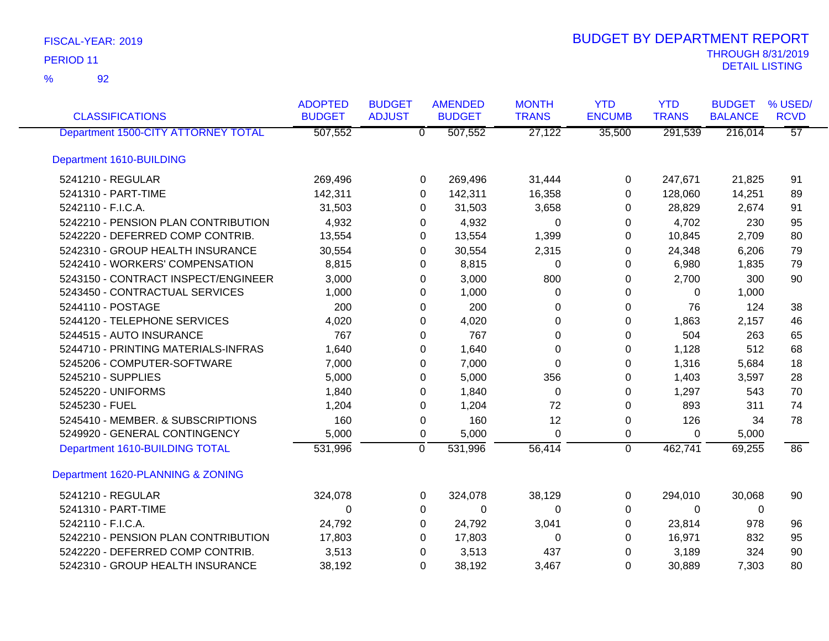| <b>CLASSIFICATIONS</b>              | <b>ADOPTED</b><br><b>BUDGET</b> | <b>BUDGET</b><br><b>ADJUST</b> | <b>AMENDED</b><br><b>BUDGET</b> | <b>MONTH</b><br><b>TRANS</b> | <b>YTD</b><br><b>ENCUMB</b> | <b>YTD</b><br><b>TRANS</b> | <b>BUDGET</b><br><b>BALANCE</b> | % USED/<br><b>RCVD</b> |
|-------------------------------------|---------------------------------|--------------------------------|---------------------------------|------------------------------|-----------------------------|----------------------------|---------------------------------|------------------------|
| Department 1500-CITY ATTORNEY TOTAL | 507,552                         |                                | $\overline{0}$<br>507,552       | 27,122                       | 35,500                      | 291,539                    | 216,014                         | $\overline{57}$        |
| Department 1610-BUILDING            |                                 |                                |                                 |                              |                             |                            |                                 |                        |
| 5241210 - REGULAR                   | 269,496                         |                                | 269,496<br>0                    | 31,444                       | 0                           | 247,671                    | 21,825                          | 91                     |
| 5241310 - PART-TIME                 | 142,311                         |                                | 142,311<br>0                    | 16,358                       | $\Omega$                    | 128,060                    | 14,251                          | 89                     |
| 5242110 - F.I.C.A.                  | 31,503                          |                                | 31,503<br>0                     | 3,658                        | 0                           | 28,829                     | 2,674                           | 91                     |
| 5242210 - PENSION PLAN CONTRIBUTION | 4,932                           |                                | 4,932<br>0                      | $\Omega$                     | 0                           | 4,702                      | 230                             | 95                     |
| 5242220 - DEFERRED COMP CONTRIB.    | 13,554                          |                                | 13,554<br>0                     | 1,399                        | 0                           | 10,845                     | 2,709                           | 80                     |
| 5242310 - GROUP HEALTH INSURANCE    | 30,554                          |                                | 30,554<br>0                     | 2,315                        | $\Omega$                    | 24,348                     | 6,206                           | 79                     |
| 5242410 - WORKERS' COMPENSATION     | 8,815                           |                                | 8,815<br>0                      | 0                            | 0                           | 6,980                      | 1,835                           | 79                     |
| 5243150 - CONTRACT INSPECT/ENGINEER | 3,000                           |                                | 3,000<br>0                      | 800                          | 0                           | 2,700                      | 300                             | 90                     |
| 5243450 - CONTRACTUAL SERVICES      | 1,000                           |                                | 1,000<br>0                      | 0                            | 0                           | $\Omega$                   | 1,000                           |                        |
| 5244110 - POSTAGE                   | 200                             |                                | 200<br>0                        | 0                            | $\pmb{0}$                   | 76                         | 124                             | 38                     |
| 5244120 - TELEPHONE SERVICES        | 4,020                           |                                | 4,020<br>0                      | $\Omega$                     | $\Omega$                    | 1,863                      | 2,157                           | 46                     |
| 5244515 - AUTO INSURANCE            | 767                             |                                | 767<br>0                        | $\Omega$                     | 0                           | 504                        | 263                             | 65                     |
| 5244710 - PRINTING MATERIALS-INFRAS | 1,640                           |                                | 1,640<br>0                      | $\Omega$                     | 0                           | 1,128                      | 512                             | 68                     |
| 5245206 - COMPUTER-SOFTWARE         | 7,000                           |                                | 7,000<br>0                      | $\Omega$                     | 0                           | 1,316                      | 5,684                           | 18                     |
| 5245210 - SUPPLIES                  | 5,000                           |                                | 5,000<br>0                      | 356                          | 0                           | 1,403                      | 3,597                           | 28                     |
| 5245220 - UNIFORMS                  | 1,840                           |                                | 1,840<br>0                      | $\Omega$                     | 0                           | 1,297                      | 543                             | 70                     |
| 5245230 - FUEL                      | 1,204                           |                                | 1,204<br>0                      | 72                           | $\Omega$                    | 893                        | 311                             | 74                     |
| 5245410 - MEMBER. & SUBSCRIPTIONS   | 160                             |                                | 160<br>0                        | 12                           | $\pmb{0}$                   | 126                        | 34                              | 78                     |
| 5249920 - GENERAL CONTINGENCY       | 5,000                           |                                | 5,000<br>0                      | $\Omega$                     | 0                           | $\Omega$                   | 5,000                           |                        |
| Department 1610-BUILDING TOTAL      | 531,996                         | $\overline{0}$                 | 531,996                         | 56,414                       | $\mathbf 0$                 | 462,741                    | 69,255                          | 86                     |
| Department 1620-PLANNING & ZONING   |                                 |                                |                                 |                              |                             |                            |                                 |                        |
| 5241210 - REGULAR                   | 324,078                         |                                | 0<br>324,078                    | 38,129                       | 0                           | 294,010                    | 30,068                          | 90                     |
| 5241310 - PART-TIME                 | $\Omega$                        |                                | 0<br>0                          | $\Omega$                     | 0                           | $\Omega$                   | 0                               |                        |
| 5242110 - F.I.C.A.                  | 24,792                          |                                | 24,792<br>0                     | 3,041                        | 0                           | 23,814                     | 978                             | 96                     |
| 5242210 - PENSION PLAN CONTRIBUTION | 17,803                          |                                | 17,803<br>0                     | 0                            | 0                           | 16,971                     | 832                             | 95                     |
| 5242220 - DEFERRED COMP CONTRIB.    | 3,513                           |                                | 3,513<br>0                      | 437                          | 0                           | 3,189                      | 324                             | 90                     |
| 5242310 - GROUP HEALTH INSURANCE    | 38,192                          |                                | 38,192<br>0                     | 3,467                        | 0                           | 30,889                     | 7,303                           | 80                     |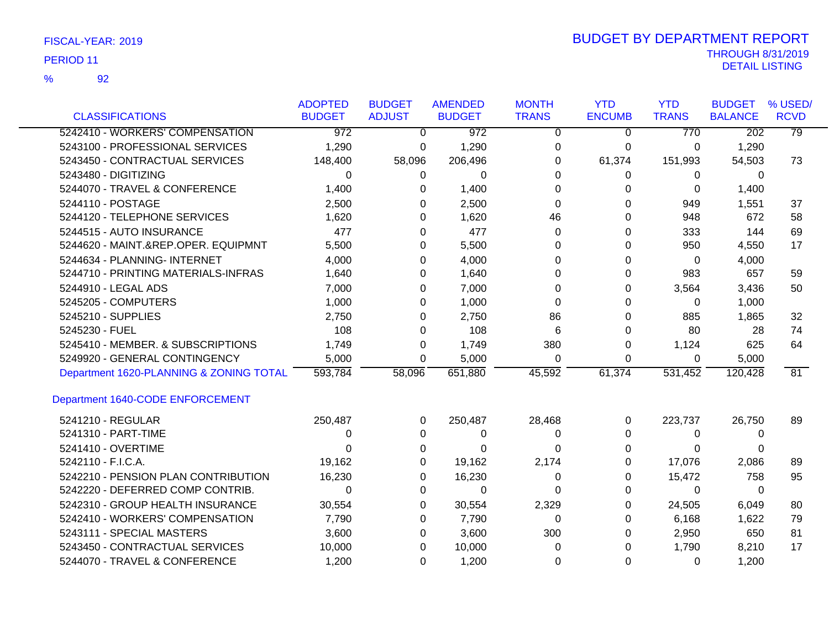92 %

| <b>CLASSIFICATIONS</b>                  | <b>ADOPTED</b><br><b>BUDGET</b> | <b>BUDGET</b><br><b>ADJUST</b> | <b>AMENDED</b><br><b>BUDGET</b> | <b>MONTH</b><br><b>TRANS</b> | <b>YTD</b><br><b>ENCUMB</b> | <b>YTD</b><br><b>TRANS</b> | <b>BUDGET</b><br><b>BALANCE</b> | % USED/<br><b>RCVD</b> |
|-----------------------------------------|---------------------------------|--------------------------------|---------------------------------|------------------------------|-----------------------------|----------------------------|---------------------------------|------------------------|
| 5242410 - WORKERS' COMPENSATION         | $\overline{972}$                | $\Omega$                       | $\overline{972}$                | 0                            | $\Omega$                    | 770                        | $\overline{202}$                | 79                     |
| 5243100 - PROFESSIONAL SERVICES         | 1,290                           | 0                              | 1,290                           | 0                            | 0                           | 0                          | 1,290                           |                        |
| 5243450 - CONTRACTUAL SERVICES          | 148,400                         | 58,096                         | 206,496                         | 0                            | 61,374                      | 151,993                    | 54,503                          | 73                     |
| 5243480 - DIGITIZING                    | 0                               | 0                              | 0                               | 0                            | 0                           | 0                          | 0                               |                        |
| 5244070 - TRAVEL & CONFERENCE           | 1,400                           | 0                              | 1,400                           | $\Omega$                     | 0                           | 0                          | 1,400                           |                        |
| 5244110 - POSTAGE                       | 2,500                           | 0                              | 2,500                           | 0                            | 0                           | 949                        | 1,551                           | 37                     |
| 5244120 - TELEPHONE SERVICES            | 1,620                           | 0                              | 1,620                           | 46                           | $\Omega$                    | 948                        | 672                             | 58                     |
| 5244515 - AUTO INSURANCE                | 477                             | 0                              | 477                             | 0                            | 0                           | 333                        | 144                             | 69                     |
| 5244620 - MAINT.&REP.OPER. EQUIPMNT     | 5,500                           | 0                              | 5,500                           | $\Omega$                     | 0                           | 950                        | 4,550                           | 17                     |
| 5244634 - PLANNING- INTERNET            | 4,000                           | 0                              | 4,000                           | 0                            | 0                           | 0                          | 4,000                           |                        |
| 5244710 - PRINTING MATERIALS-INFRAS     | 1,640                           | 0                              | 1,640                           | 0                            | 0                           | 983                        | 657                             | 59                     |
| 5244910 - LEGAL ADS                     | 7,000                           | 0                              | 7,000                           | 0                            | 0                           | 3,564                      | 3,436                           | 50                     |
| 5245205 - COMPUTERS                     | 1,000                           | 0                              | 1,000                           | $\Omega$                     | $\Omega$                    | 0                          | 1,000                           |                        |
| 5245210 - SUPPLIES                      | 2,750                           | 0                              | 2,750                           | 86                           | 0                           | 885                        | 1,865                           | 32                     |
| 5245230 - FUEL                          | 108                             | 0                              | 108                             | 6                            | 0                           | 80                         | 28                              | 74                     |
| 5245410 - MEMBER. & SUBSCRIPTIONS       | 1,749                           | 0                              | 1,749                           | 380                          | 0                           | 1,124                      | 625                             | 64                     |
| 5249920 - GENERAL CONTINGENCY           | 5,000                           | 0                              | 5,000                           | 0                            | 0                           | 0                          | 5,000                           |                        |
| Department 1620-PLANNING & ZONING TOTAL | 593,784                         | 58,096                         | 651,880                         | 45,592                       | 61,374                      | 531,452                    | 120,428                         | 81                     |
| Department 1640-CODE ENFORCEMENT        |                                 |                                |                                 |                              |                             |                            |                                 |                        |
| 5241210 - REGULAR                       | 250,487                         | $\Omega$                       | 250,487                         | 28,468                       | 0                           | 223,737                    | 26,750                          | 89                     |
| 5241310 - PART-TIME                     | 0                               | 0                              | 0                               | 0                            | 0                           | 0                          | 0                               |                        |
| 5241410 - OVERTIME                      | 0                               | 0                              | 0                               | 0                            | 0                           | 0                          | 0                               |                        |
| 5242110 - F.I.C.A.                      | 19,162                          | 0                              | 19,162                          | 2,174                        | 0                           | 17,076                     | 2,086                           | 89                     |
| 5242210 - PENSION PLAN CONTRIBUTION     | 16,230                          | 0                              | 16,230                          | 0                            | 0                           | 15,472                     | 758                             | 95                     |
| 5242220 - DEFERRED COMP CONTRIB.        | $\Omega$                        | 0                              | $\Omega$                        | 0                            | 0                           | $\Omega$                   | $\mathbf{0}$                    |                        |
| 5242310 - GROUP HEALTH INSURANCE        | 30,554                          | 0                              | 30,554                          | 2,329                        | 0                           | 24,505                     | 6,049                           | 80                     |
| 5242410 - WORKERS' COMPENSATION         | 7,790                           | 0                              | 7,790                           | 0                            | 0                           | 6,168                      | 1,622                           | 79                     |
| 5243111 - SPECIAL MASTERS               | 3,600                           | 0                              | 3,600                           | 300                          | 0                           | 2,950                      | 650                             | 81                     |
| 5243450 - CONTRACTUAL SERVICES          | 10,000                          | 0                              | 10,000                          | 0                            | 0                           | 1,790                      | 8,210                           | 17                     |
| 5244070 - TRAVEL & CONFERENCE           | 1,200                           | 0                              | 1,200                           | 0                            | 0                           | 0                          | 1,200                           |                        |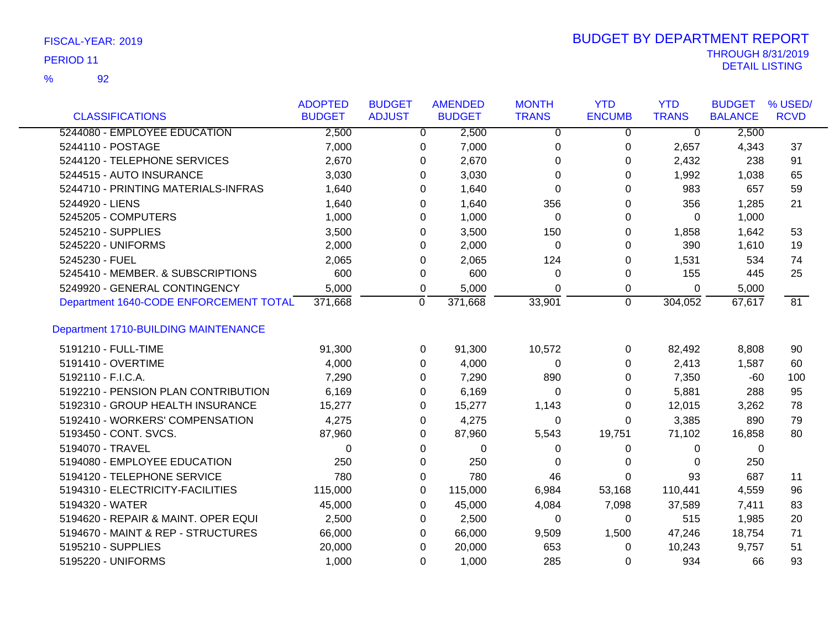92 %

|                                        | <b>ADOPTED</b> | <b>BUDGET</b>  | <b>AMENDED</b> | <b>MONTH</b>   | <b>YTD</b>     | <b>YTD</b>     | <b>BUDGET</b>  | % USED/     |
|----------------------------------------|----------------|----------------|----------------|----------------|----------------|----------------|----------------|-------------|
| <b>CLASSIFICATIONS</b>                 | <b>BUDGET</b>  | <b>ADJUST</b>  | <b>BUDGET</b>  | <b>TRANS</b>   | <b>ENCUMB</b>  | <b>TRANS</b>   | <b>BALANCE</b> | <b>RCVD</b> |
| 5244080 - EMPLOYEE EDUCATION           | 2,500          | $\overline{0}$ | 2,500          | $\overline{0}$ | $\overline{0}$ | $\overline{0}$ | 2,500          |             |
| 5244110 - POSTAGE                      | 7,000          | 0              | 7,000          | $\mathbf 0$    | 0              | 2,657          | 4,343          | 37          |
| 5244120 - TELEPHONE SERVICES           | 2,670          | 0              | 2,670          | $\Omega$       | 0              | 2,432          | 238            | 91          |
| 5244515 - AUTO INSURANCE               | 3,030          | 0              | 3,030          | 0              | $\Omega$       | 1,992          | 1,038          | 65          |
| 5244710 - PRINTING MATERIALS-INFRAS    | 1,640          | $\Omega$       | 1,640          | $\Omega$       | $\Omega$       | 983            | 657            | 59          |
| 5244920 - LIENS                        | 1,640          | 0              | 1,640          | 356            | 0              | 356            | 1,285          | 21          |
| 5245205 - COMPUTERS                    | 1,000          | 0              | 1,000          | 0              | 0              | $\Omega$       | 1,000          |             |
| 5245210 - SUPPLIES                     | 3,500          | $\Omega$       | 3,500          | 150            | 0              | 1,858          | 1,642          | 53          |
| 5245220 - UNIFORMS                     | 2,000          | 0              | 2,000          | 0              | 0              | 390            | 1,610          | 19          |
| 5245230 - FUEL                         | 2,065          | 0              | 2,065          | 124            | 0              | 1,531          | 534            | 74          |
| 5245410 - MEMBER. & SUBSCRIPTIONS      | 600            | 0              | 600            | 0              | 0              | 155            | 445            | 25          |
| 5249920 - GENERAL CONTINGENCY          | 5,000          | 0              | 5,000          | 0              | 0              | 0              | 5,000          |             |
| Department 1640-CODE ENFORCEMENT TOTAL | 371,668        | 0              | 371,668        | 33,901         | $\mathbf 0$    | 304,052        | 67,617         | 81          |
| Department 1710-BUILDING MAINTENANCE   |                |                |                |                |                |                |                |             |
| 5191210 - FULL-TIME                    | 91,300         | $\Omega$       | 91,300         | 10,572         | 0              | 82,492         | 8,808          | 90          |
| 5191410 - OVERTIME                     | 4,000          | $\Omega$       | 4,000          | $\Omega$       | $\Omega$       | 2,413          | 1,587          | 60          |
| 5192110 - F.I.C.A.                     | 7,290          | $\Omega$       | 7,290          | 890            | $\Omega$       | 7,350          | $-60$          | 100         |
| 5192210 - PENSION PLAN CONTRIBUTION    | 6,169          | 0              | 6,169          | $\Omega$       | 0              | 5,881          | 288            | 95          |
| 5192310 - GROUP HEALTH INSURANCE       | 15,277         | 0              | 15,277         | 1,143          | 0              | 12,015         | 3,262          | 78          |
| 5192410 - WORKERS' COMPENSATION        | 4,275          | $\Omega$       | 4,275          | $\Omega$       | $\Omega$       | 3,385          | 890            | 79          |
| 5193450 - CONT. SVCS.                  | 87,960         | 0              | 87,960         | 5,543          | 19,751         | 71,102         | 16,858         | 80          |
| 5194070 - TRAVEL                       | 0              | 0              | 0              | 0              | 0              | 0              | 0              |             |
| 5194080 - EMPLOYEE EDUCATION           | 250            | 0              | 250            | 0              | 0              | 0              | 250            |             |
| 5194120 - TELEPHONE SERVICE            | 780            | 0              | 780            | 46             | 0              | 93             | 687            | 11          |
| 5194310 - ELECTRICITY-FACILITIES       | 115,000        | 0              | 115,000        | 6,984          | 53,168         | 110,441        | 4,559          | 96          |
| 5194320 - WATER                        | 45,000         | 0              | 45,000         | 4,084          | 7,098          | 37,589         | 7,411          | 83          |
| 5194620 - REPAIR & MAINT. OPER EQUI    | 2,500          | 0              | 2,500          | 0              | 0              | 515            | 1,985          | 20          |
| 5194670 - MAINT & REP - STRUCTURES     | 66,000         | 0              | 66,000         | 9,509          | 1,500          | 47,246         | 18,754         | 71          |
| 5195210 - SUPPLIES                     | 20,000         | 0              | 20,000         | 653            | 0              | 10,243         | 9,757          | 51          |
| 5195220 - UNIFORMS                     | 1,000          | $\Omega$       | 1,000          | 285            | 0              | 934            | 66             | 93          |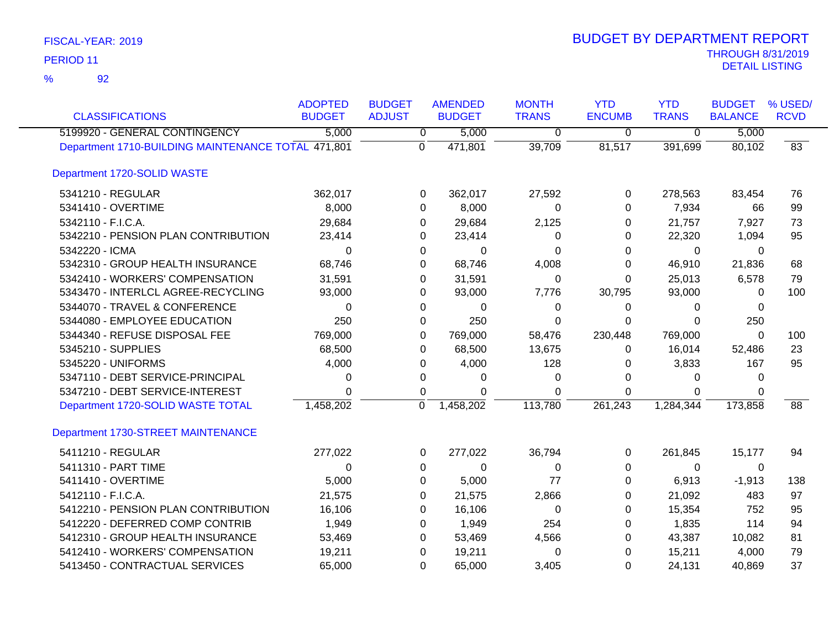92 %

| <b>CLASSIFICATIONS</b>                             | <b>ADOPTED</b><br><b>BUDGET</b> | <b>BUDGET</b><br><b>ADJUST</b> | <b>AMENDED</b><br><b>BUDGET</b> | <b>MONTH</b><br><b>TRANS</b> | <b>YTD</b><br><b>ENCUMB</b> | <b>YTD</b><br><b>TRANS</b> | <b>BUDGET</b><br><b>BALANCE</b> | % USED/<br><b>RCVD</b> |
|----------------------------------------------------|---------------------------------|--------------------------------|---------------------------------|------------------------------|-----------------------------|----------------------------|---------------------------------|------------------------|
| 5199920 - GENERAL CONTINGENCY                      | 5,000                           | $\overline{0}$                 | 5,000                           | $\overline{0}$               | $\overline{0}$              | $\overline{\mathfrak{o}}$  | 5,000                           |                        |
| Department 1710-BUILDING MAINTENANCE TOTAL 471,801 |                                 | $\Omega$                       | 471,801                         | 39,709                       | 81,517                      | 391,699                    | 80,102                          | 83                     |
| Department 1720-SOLID WASTE                        |                                 |                                |                                 |                              |                             |                            |                                 |                        |
| 5341210 - REGULAR                                  | 362,017                         | 0                              | 362,017                         | 27,592                       | $\mathbf 0$                 | 278,563                    | 83,454                          | 76                     |
| 5341410 - OVERTIME                                 | 8,000                           | 0                              | 8,000                           | 0                            | 0                           | 7,934                      | 66                              | 99                     |
| 5342110 - F.I.C.A.                                 | 29,684                          | 0                              | 29,684                          | 2,125                        | 0                           | 21,757                     | 7,927                           | 73                     |
| 5342210 - PENSION PLAN CONTRIBUTION                | 23,414                          | 0                              | 23,414                          | 0                            | 0                           | 22,320                     | 1,094                           | 95                     |
| 5342220 - ICMA                                     | 0                               | 0                              | 0                               | 0                            | $\Omega$                    | $\Omega$                   | $\Omega$                        |                        |
| 5342310 - GROUP HEALTH INSURANCE                   | 68,746                          | 0                              | 68,746                          | 4,008                        | 0                           | 46,910                     | 21,836                          | 68                     |
| 5342410 - WORKERS' COMPENSATION                    | 31,591                          | 0                              | 31,591                          | 0                            | 0                           | 25,013                     | 6,578                           | 79                     |
| 5343470 - INTERLCL AGREE-RECYCLING                 | 93,000                          | 0                              | 93,000                          | 7,776                        | 30,795                      | 93,000                     | $\mathbf{0}$                    | 100                    |
| 5344070 - TRAVEL & CONFERENCE                      | 0                               | 0                              | 0                               | 0                            | 0                           | 0                          | 0                               |                        |
| 5344080 - EMPLOYEE EDUCATION                       | 250                             | 0                              | 250                             | $\Omega$                     | $\Omega$                    | $\Omega$                   | 250                             |                        |
| 5344340 - REFUSE DISPOSAL FEE                      | 769,000                         | 0                              | 769,000                         | 58,476                       | 230,448                     | 769,000                    | 0                               | 100                    |
| 5345210 - SUPPLIES                                 | 68,500                          | 0                              | 68,500                          | 13,675                       | 0                           | 16,014                     | 52,486                          | 23                     |
| 5345220 - UNIFORMS                                 | 4,000                           | 0                              | 4,000                           | 128                          | 0                           | 3,833                      | 167                             | 95                     |
| 5347110 - DEBT SERVICE-PRINCIPAL                   | 0                               | 0                              | 0                               | 0                            | 0                           | 0                          | $\mathbf{0}$                    |                        |
| 5347210 - DEBT SERVICE-INTEREST                    | 0                               | 0                              | 0                               | $\Omega$                     | 0                           | $\Omega$                   | $\mathbf{0}$                    |                        |
| Department 1720-SOLID WASTE TOTAL                  | 1,458,202                       | $\overline{0}$                 | 1,458,202                       | 113,780                      | 261,243                     | 1,284,344                  | 173,858                         | 88                     |
| Department 1730-STREET MAINTENANCE                 |                                 |                                |                                 |                              |                             |                            |                                 |                        |
| 5411210 - REGULAR                                  | 277,022                         | 0                              | 277,022                         | 36,794                       | 0                           | 261,845                    | 15,177                          | 94                     |
| 5411310 - PART TIME                                | $\Omega$                        | 0                              | 0                               | 0                            | 0                           | 0                          | 0                               |                        |
| 5411410 - OVERTIME                                 | 5,000                           | 0                              | 5,000                           | 77                           | 0                           | 6,913                      | $-1,913$                        | 138                    |
| 5412110 - F.I.C.A.                                 | 21,575                          | 0                              | 21,575                          | 2,866                        | 0                           | 21,092                     | 483                             | 97                     |
| 5412210 - PENSION PLAN CONTRIBUTION                | 16,106                          | 0                              | 16,106                          | 0                            | 0                           | 15,354                     | 752                             | 95                     |
| 5412220 - DEFERRED COMP CONTRIB                    | 1,949                           | 0                              | 1,949                           | 254                          | 0                           | 1,835                      | 114                             | 94                     |
| 5412310 - GROUP HEALTH INSURANCE                   | 53,469                          | 0                              | 53,469                          | 4,566                        | 0                           | 43,387                     | 10,082                          | 81                     |
| 5412410 - WORKERS' COMPENSATION                    | 19,211                          | 0                              | 19,211                          | 0                            | 0                           | 15,211                     | 4,000                           | 79                     |
| 5413450 - CONTRACTUAL SERVICES                     | 65,000                          | 0                              | 65,000                          | 3,405                        | $\Omega$                    | 24,131                     | 40,869                          | 37                     |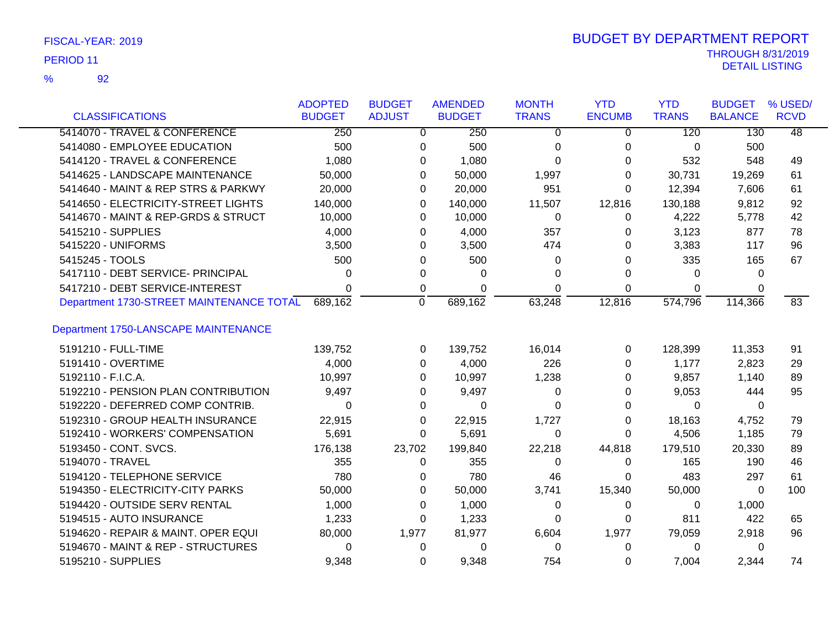| FISCAL-YEAR: 2019 |
|-------------------|
|                   |

92 %

|                                          | <b>ADOPTED</b> | <b>BUDGET</b> | <b>AMENDED</b> | <b>MONTH</b> | <b>YTD</b>    | <b>YTD</b>   | <b>BUDGET</b>  | % USED/         |
|------------------------------------------|----------------|---------------|----------------|--------------|---------------|--------------|----------------|-----------------|
| <b>CLASSIFICATIONS</b>                   | <b>BUDGET</b>  | <b>ADJUST</b> | <b>BUDGET</b>  | <b>TRANS</b> | <b>ENCUMB</b> | <b>TRANS</b> | <b>BALANCE</b> | <b>RCVD</b>     |
| 5414070 - TRAVEL & CONFERENCE            | 250            | 0             | 250            | $\Omega$     | 0             | 120          | 130            | $\overline{48}$ |
| 5414080 - EMPLOYEE EDUCATION             | 500            | 0             | 500            | 0            | 0             | 0            | 500            |                 |
| 5414120 - TRAVEL & CONFERENCE            | 1,080          | 0             | 1,080          | 0            | 0             | 532          | 548            | 49              |
| 5414625 - LANDSCAPE MAINTENANCE          | 50,000         |               | 50,000<br>0    | 1,997        | 0             | 30,731       | 19,269         | 61              |
| 5414640 - MAINT & REP STRS & PARKWY      | 20,000         | 0             | 20,000         | 951          | 0             | 12,394       | 7,606          | 61              |
| 5414650 - ELECTRICITY-STREET LIGHTS      | 140,000        | 0             | 140,000        | 11,507       | 12,816        | 130,188      | 9,812          | 92              |
| 5414670 - MAINT & REP-GRDS & STRUCT      | 10,000         | 0             | 10,000         | 0            | 0             | 4,222        | 5,778          | 42              |
| 5415210 - SUPPLIES                       | 4,000          | 0             | 4,000          | 357          | $\Omega$      | 3,123        | 877            | 78              |
| 5415220 - UNIFORMS                       | 3,500          | 0             | 3,500          | 474          | 0             | 3,383        | 117            | 96              |
| 5415245 - TOOLS                          | 500            | 0             | 500            | 0            | 0             | 335          | 165            | 67              |
| 5417110 - DEBT SERVICE- PRINCIPAL        | 0              | 0             | 0              | 0            | 0             | 0            | 0              |                 |
| 5417210 - DEBT SERVICE-INTEREST          | 0              | 0             | 0              | 0            | 0             | 0            | 0              |                 |
| Department 1730-STREET MAINTENANCE TOTAL | 689,162        | $\mathbf 0$   | 689,162        | 63,248       | 12,816        | 574,796      | 114,366        | 83              |
| Department 1750-LANSCAPE MAINTENANCE     |                |               |                |              |               |              |                |                 |
| 5191210 - FULL-TIME                      | 139,752        | 0             | 139,752        | 16,014       | 0             | 128,399      | 11,353         | 91              |
| 5191410 - OVERTIME                       | 4,000          | 0             | 4,000          | 226          | 0             | 1,177        | 2,823          | 29              |
| 5192110 - F.I.C.A.                       | 10,997         | 0             | 10,997         | 1,238        | 0             | 9,857        | 1,140          | 89              |
| 5192210 - PENSION PLAN CONTRIBUTION      | 9,497          | 0             | 9,497          | 0            | 0             | 9,053        | 444            | 95              |
| 5192220 - DEFERRED COMP CONTRIB.         | 0              | 0             | 0              | 0            | 0             | 0            | $\Omega$       |                 |
| 5192310 - GROUP HEALTH INSURANCE         | 22,915         | 0             | 22,915         | 1,727        | 0             | 18,163       | 4,752          | 79              |
| 5192410 - WORKERS' COMPENSATION          | 5,691          | 0             | 5,691          | 0            | 0             | 4,506        | 1,185          | 79              |
| 5193450 - CONT. SVCS.                    | 176,138        | 23,702        | 199,840        | 22,218       | 44,818        | 179,510      | 20,330         | 89              |
| 5194070 - TRAVEL                         | 355            | 0             | 355            | 0            | 0             | 165          | 190            | 46              |
| 5194120 - TELEPHONE SERVICE              | 780            | 0             | 780            | 46           | 0             | 483          | 297            | 61              |
| 5194350 - ELECTRICITY-CITY PARKS         | 50,000         | 0             | 50,000         | 3,741        | 15,340        | 50,000       | 0              | 100             |
| 5194420 - OUTSIDE SERV RENTAL            | 1,000          | 0             | 1,000          | 0            | 0             | 0            | 1,000          |                 |
| 5194515 - AUTO INSURANCE                 | 1,233          | 0             | 1,233          | 0            | 0             | 811          | 422            | 65              |
| 5194620 - REPAIR & MAINT. OPER EQUI      | 80,000         | 1,977         | 81,977         | 6,604        | 1,977         | 79,059       | 2,918          | 96              |
| 5194670 - MAINT & REP - STRUCTURES       | 0              | 0             | 0              | 0            | 0             | 0            | 0              |                 |
| 5195210 - SUPPLIES                       | 9,348          | 0             | 9,348          | 754          | 0             | 7,004        | 2,344          | 74              |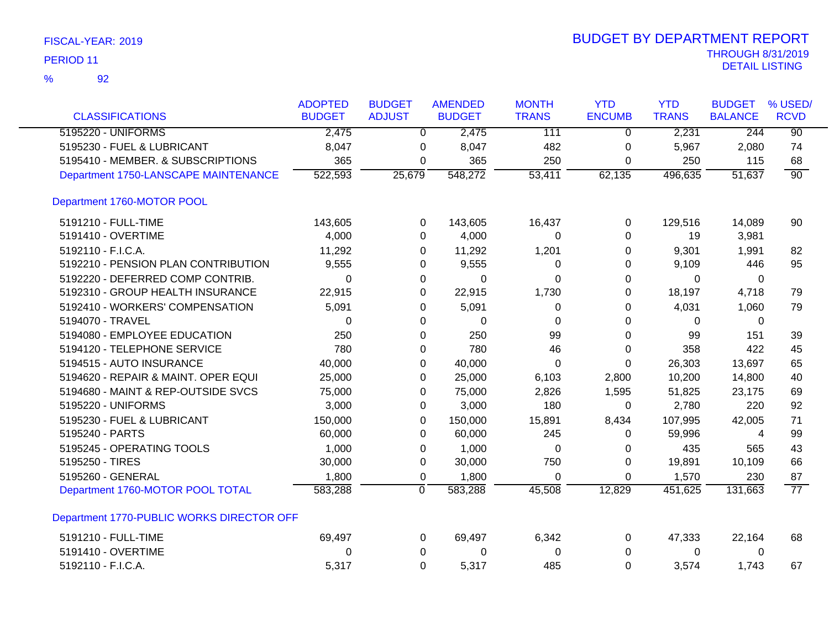|  |  | FISCAL-YEAR: 2019 |  |
|--|--|-------------------|--|
|--|--|-------------------|--|

|                                           | <b>ADOPTED</b> | <b>BUDGET</b>  | <b>AMENDED</b> | <b>MONTH</b> | <b>YTD</b>    | <b>YTD</b>   | <b>BUDGET</b>  | % USED/         |
|-------------------------------------------|----------------|----------------|----------------|--------------|---------------|--------------|----------------|-----------------|
| <b>CLASSIFICATIONS</b>                    | <b>BUDGET</b>  | <b>ADJUST</b>  | <b>BUDGET</b>  | <b>TRANS</b> | <b>ENCUMB</b> | <b>TRANS</b> | <b>BALANCE</b> | <b>RCVD</b>     |
| 5195220 - UNIFORMS                        | 2,475          | $\overline{0}$ | 2,475          | 111          | $\mathbf{0}$  | 2,231        | 244            | $\overline{90}$ |
| 5195230 - FUEL & LUBRICANT                | 8,047          | 0              | 8,047          | 482          | 0             | 5,967        | 2,080          | 74              |
| 5195410 - MEMBER. & SUBSCRIPTIONS         | 365            | 0              | 365            | 250          | 0             | 250          | 115            | 68              |
| Department 1750-LANSCAPE MAINTENANCE      | 522,593        | 25,679         | 548,272        | 53,411       | 62,135        | 496,635      | 51,637         | $\overline{90}$ |
| Department 1760-MOTOR POOL                |                |                |                |              |               |              |                |                 |
| 5191210 - FULL-TIME                       | 143,605        | 0              | 143,605        | 16,437       | 0             | 129,516      | 14,089         | 90              |
| 5191410 - OVERTIME                        | 4,000          | 0              | 4,000          | 0            | $\mathbf 0$   | 19           | 3,981          |                 |
| 5192110 - F.I.C.A.                        | 11,292         | 0              | 11,292         | 1,201        | 0             | 9,301        | 1,991          | 82              |
| 5192210 - PENSION PLAN CONTRIBUTION       | 9,555          | 0              | 9,555          | $\Omega$     | 0             | 9,109        | 446            | 95              |
| 5192220 - DEFERRED COMP CONTRIB.          | 0              | 0              | 0              | 0            | 0             | 0            | 0              |                 |
| 5192310 - GROUP HEALTH INSURANCE          | 22,915         | 0              | 22,915         | 1,730        | 0             | 18,197       | 4,718          | 79              |
| 5192410 - WORKERS' COMPENSATION           | 5,091          | 0              | 5,091          | 0            | $\Omega$      | 4,031        | 1,060          | 79              |
| 5194070 - TRAVEL                          | 0              | 0              | 0              | 0            | 0             | 0            | 0              |                 |
| 5194080 - EMPLOYEE EDUCATION              | 250            | 0              | 250            | 99           | $\Omega$      | 99           | 151            | 39              |
| 5194120 - TELEPHONE SERVICE               | 780            | 0              | 780            | 46           | 0             | 358          | 422            | 45              |
| 5194515 - AUTO INSURANCE                  | 40,000         | 0              | 40,000         | 0            | 0             | 26,303       | 13,697         | 65              |
| 5194620 - REPAIR & MAINT. OPER EQUI       | 25,000         | 0              | 25,000         | 6,103        | 2,800         | 10,200       | 14,800         | 40              |
| 5194680 - MAINT & REP-OUTSIDE SVCS        | 75,000         | 0              | 75,000         | 2,826        | 1,595         | 51,825       | 23,175         | 69              |
| 5195220 - UNIFORMS                        | 3,000          | 0              | 3,000          | 180          | $\mathbf 0$   | 2,780        | 220            | 92              |
| 5195230 - FUEL & LUBRICANT                | 150,000        | 0              | 150,000        | 15,891       | 8,434         | 107,995      | 42,005         | 71              |
| 5195240 - PARTS                           | 60,000         | 0              | 60,000         | 245          | $\Omega$      | 59,996       | 4              | 99              |
| 5195245 - OPERATING TOOLS                 | 1,000          | 0              | 1,000          | 0            | 0             | 435          | 565            | 43              |
| 5195250 - TIRES                           | 30,000         | 0              | 30,000         | 750          | 0             | 19,891       | 10,109         | 66              |
| 5195260 - GENERAL                         | 1,800          | 0              | 1,800          | $\Omega$     | $\mathbf 0$   | 1,570        | 230            | 87              |
| Department 1760-MOTOR POOL TOTAL          | 583,288        | 0              | 583,288        | 45,508       | 12,829        | 451,625      | 131,663        | $\overline{77}$ |
| Department 1770-PUBLIC WORKS DIRECTOR OFF |                |                |                |              |               |              |                |                 |
| 5191210 - FULL-TIME                       | 69,497         | 0              | 69,497         | 6,342        | 0             | 47,333       | 22,164         | 68              |
| 5191410 - OVERTIME                        | 0              | 0              | 0              | 0            | $\mathbf 0$   | 0            | 0              |                 |
| 5192110 - F.I.C.A.                        | 5,317          | 0              | 5,317          | 485          | $\mathbf 0$   | 3,574        | 1,743          | 67              |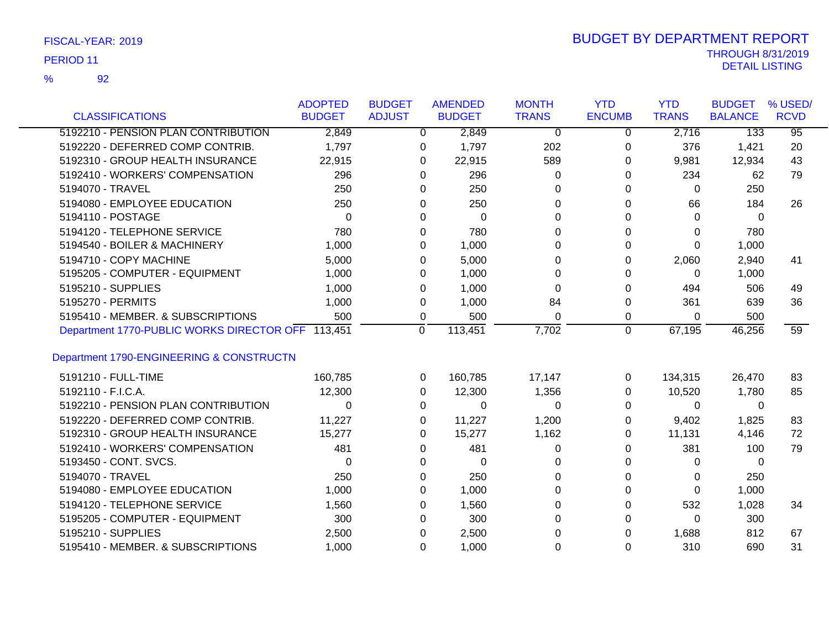92 %

|                                                   | <b>ADOPTED</b> | <b>BUDGET</b> | <b>AMENDED</b>     |       | <b>MONTH</b> | <b>YTD</b>    | <b>YTD</b>   | <b>BUDGET</b>  | % USED/         |
|---------------------------------------------------|----------------|---------------|--------------------|-------|--------------|---------------|--------------|----------------|-----------------|
| <b>CLASSIFICATIONS</b>                            | <b>BUDGET</b>  | <b>ADJUST</b> | <b>BUDGET</b>      |       | <b>TRANS</b> | <b>ENCUMB</b> | <b>TRANS</b> | <b>BALANCE</b> | <b>RCVD</b>     |
| 5192210 - PENSION PLAN CONTRIBUTION               | 2,849          |               | $\Omega$           | 2,849 | $\Omega$     | $\Omega$      | 2,716        | 133            | $\overline{95}$ |
| 5192220 - DEFERRED COMP CONTRIB.                  | 1,797          |               | 0                  | 1,797 | 202          | 0             | 376          | 1,421          | 20              |
| 5192310 - GROUP HEALTH INSURANCE                  | 22,915         |               | 22,915<br>0        |       | 589          | 0             | 9,981        | 12,934         | 43              |
| 5192410 - WORKERS' COMPENSATION                   | 296            |               | 0                  | 296   | 0            | 0             | 234          | 62             | 79              |
| 5194070 - TRAVEL                                  | 250            |               | 0                  | 250   | 0            | 0             | $\Omega$     | 250            |                 |
| 5194080 - EMPLOYEE EDUCATION                      | 250            |               | 0                  | 250   | $\Omega$     | 0             | 66           | 184            | 26              |
| 5194110 - POSTAGE                                 | $\Omega$       |               | 0                  | 0     | $\Omega$     | $\Omega$      | $\Omega$     | $\Omega$       |                 |
| 5194120 - TELEPHONE SERVICE                       | 780            |               | 0                  | 780   | 0            | $\Omega$      | 0            | 780            |                 |
| 5194540 - BOILER & MACHINERY                      | 1,000          |               | 0                  | 1,000 | ∩            | 0             | $\Omega$     | 1,000          |                 |
| 5194710 - COPY MACHINE                            | 5,000          |               | 0                  | 5,000 | 0            | 0             | 2,060        | 2,940          | 41              |
| 5195205 - COMPUTER - EQUIPMENT                    | 1,000          |               | 0                  | 1,000 | $\Omega$     | $\Omega$      | $\mathbf 0$  | 1,000          |                 |
| 5195210 - SUPPLIES                                | 1,000          |               | 0                  | 1,000 | $\Omega$     | 0             | 494          | 506            | 49              |
| 5195270 - PERMITS                                 | 1,000          |               | 0                  | 1,000 | 84           | 0             | 361          | 639            | 36              |
| 5195410 - MEMBER. & SUBSCRIPTIONS                 | 500            |               | 0                  | 500   | 0            | 0             | 0            | 500            |                 |
| Department 1770-PUBLIC WORKS DIRECTOR OFF 113,451 |                |               | 113,451<br>0       |       | 7,702        | $\mathbf 0$   | 67,195       | 46,256         | 59              |
| Department 1790-ENGINEERING & CONSTRUCTN          |                |               |                    |       |              |               |              |                |                 |
|                                                   |                |               |                    |       |              |               |              |                |                 |
| 5191210 - FULL-TIME                               | 160,785        |               | 160,785<br>0       |       | 17,147       | 0             | 134,315      | 26,470         | 83              |
| 5192110 - F.I.C.A.                                | 12,300         |               | 12,300<br>$\Omega$ |       | 1,356        | $\Omega$      | 10,520       | 1,780          | 85              |
| 5192210 - PENSION PLAN CONTRIBUTION               | $\Omega$       |               | 0                  | 0     | 0            | 0             | $\mathbf{0}$ | 0              |                 |
| 5192220 - DEFERRED COMP CONTRIB.                  | 11,227         |               | 11,227<br>0        |       | 1,200        | 0             | 9,402        | 1,825          | 83              |
| 5192310 - GROUP HEALTH INSURANCE                  | 15,277         |               | 15,277<br>0        |       | 1,162        | 0             | 11,131       | 4,146          | 72              |
| 5192410 - WORKERS' COMPENSATION                   | 481            |               | 0                  | 481   | 0            | 0             | 381          | 100            | 79              |
| 5193450 - CONT. SVCS.                             | 0              |               | 0                  | 0     | 0            | 0             | 0            | 0              |                 |
| 5194070 - TRAVEL                                  | 250            |               | 0                  | 250   | 0            | 0             | 0            | 250            |                 |
| 5194080 - EMPLOYEE EDUCATION                      | 1,000          |               | 0                  | 1,000 | $\Omega$     | $\Omega$      | $\mathbf{0}$ | 1,000          |                 |
| 5194120 - TELEPHONE SERVICE                       | 1,560          |               | 0                  | 1,560 | 0            | 0             | 532          | 1,028          | 34              |
| 5195205 - COMPUTER - EQUIPMENT                    | 300            |               | 0                  | 300   | 0            | 0             | $\Omega$     | 300            |                 |
| 5195210 - SUPPLIES                                | 2,500          |               | 0                  | 2,500 | U            | 0             | 1,688        | 812            | 67              |
| 5195410 - MEMBER. & SUBSCRIPTIONS                 | 1,000          |               | 0                  | 1,000 | 0            | $\Omega$      | 310          | 690            | 31              |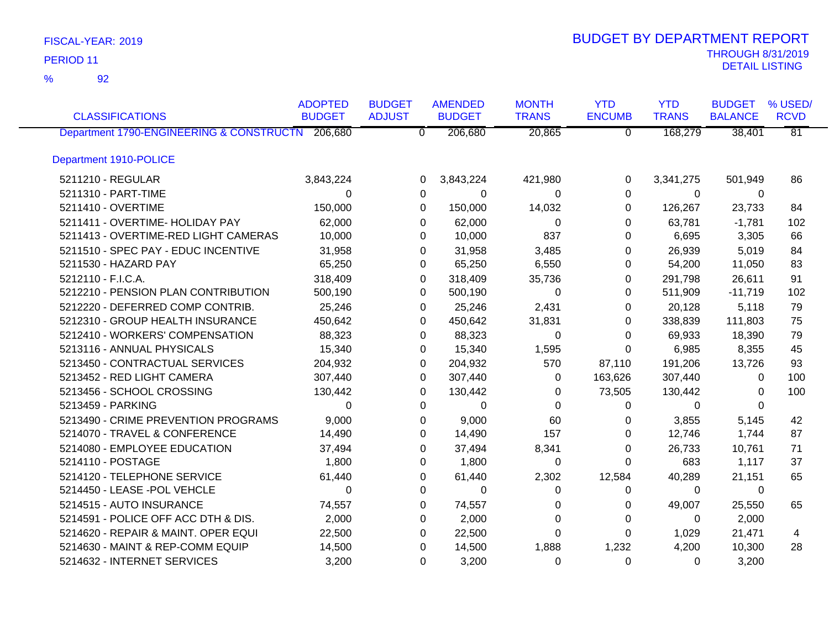92 %

|                                                  | <b>ADOPTED</b> | <b>BUDGET</b>  | <b>AMENDED</b> | <b>MONTH</b> | <b>YTD</b>     | <b>YTD</b>   | <b>BUDGET</b>  | % USED/         |
|--------------------------------------------------|----------------|----------------|----------------|--------------|----------------|--------------|----------------|-----------------|
| <b>CLASSIFICATIONS</b>                           | <b>BUDGET</b>  | <b>ADJUST</b>  | <b>BUDGET</b>  | <b>TRANS</b> | <b>ENCUMB</b>  | <b>TRANS</b> | <b>BALANCE</b> | <b>RCVD</b>     |
| Department 1790-ENGINEERING & CONSTRUCTN 206,680 |                | $\overline{0}$ | 206,680        | 20,865       | $\overline{0}$ | 168,279      | 38,401         | $\overline{81}$ |
| Department 1910-POLICE                           |                |                |                |              |                |              |                |                 |
| 5211210 - REGULAR                                | 3,843,224      | 0              | 3,843,224      | 421,980      | 0              | 3,341,275    | 501,949        | 86              |
| 5211310 - PART-TIME                              | $\Omega$       | 0              | $\Omega$       | $\Omega$     | $\Omega$       | $\mathbf 0$  | 0              |                 |
| 5211410 - OVERTIME                               | 150,000        | $\Omega$       | 150,000        | 14,032       | 0              | 126,267      | 23,733         | 84              |
| 5211411 - OVERTIME- HOLIDAY PAY                  | 62,000         | 0              | 62,000         | 0            | 0              | 63,781       | $-1,781$       | 102             |
| 5211413 - OVERTIME-RED LIGHT CAMERAS             | 10,000         | 0              | 10,000         | 837          | 0              | 6,695        | 3,305          | 66              |
| 5211510 - SPEC PAY - EDUC INCENTIVE              | 31,958         | 0              | 31,958         | 3,485        | 0              | 26,939       | 5,019          | 84              |
| 5211530 - HAZARD PAY                             | 65,250         | 0              | 65,250         | 6,550        | 0              | 54,200       | 11,050         | 83              |
| 5212110 - F.I.C.A.                               | 318,409        | 0              | 318,409        | 35,736       | 0              | 291,798      | 26,611         | 91              |
| 5212210 - PENSION PLAN CONTRIBUTION              | 500,190        | 0              | 500,190        | $\Omega$     | 0              | 511,909      | $-11,719$      | 102             |
| 5212220 - DEFERRED COMP CONTRIB.                 | 25,246         | 0              | 25,246         | 2,431        | 0              | 20,128       | 5,118          | 79              |
| 5212310 - GROUP HEALTH INSURANCE                 | 450,642        | $\Omega$       | 450,642        | 31,831       | 0              | 338,839      | 111,803        | 75              |
| 5212410 - WORKERS' COMPENSATION                  | 88,323         | 0              | 88,323         | 0            | 0              | 69,933       | 18,390         | 79              |
| 5213116 - ANNUAL PHYSICALS                       | 15,340         | 0              | 15,340         | 1,595        | 0              | 6,985        | 8,355          | 45              |
| 5213450 - CONTRACTUAL SERVICES                   | 204,932        | 0              | 204,932        | 570          | 87,110         | 191,206      | 13,726         | 93              |
| 5213452 - RED LIGHT CAMERA                       | 307,440        | $\Omega$       | 307,440        | $\Omega$     | 163,626        | 307,440      | 0              | 100             |
| 5213456 - SCHOOL CROSSING                        | 130,442        | 0              | 130,442        | 0            | 73,505         | 130,442      | $\Omega$       | 100             |
| 5213459 - PARKING                                | $\Omega$       | 0              | 0              | $\Omega$     | 0              | 0            | $\Omega$       |                 |
| 5213490 - CRIME PREVENTION PROGRAMS              | 9,000          | $\Omega$       | 9,000          | 60           | 0              | 3,855        | 5,145          | 42              |
| 5214070 - TRAVEL & CONFERENCE                    | 14,490         | 0              | 14,490         | 157          | 0              | 12,746       | 1,744          | 87              |
| 5214080 - EMPLOYEE EDUCATION                     | 37,494         | $\Omega$       | 37,494         | 8,341        | 0              | 26,733       | 10,761         | 71              |
| 5214110 - POSTAGE                                | 1,800          | 0              | 1,800          | 0            | $\Omega$       | 683          | 1,117          | 37              |
| 5214120 - TELEPHONE SERVICE                      | 61,440         | 0              | 61,440         | 2,302        | 12,584         | 40,289       | 21,151         | 65              |
| 5214450 - LEASE -POL VEHCLE                      | $\Omega$       | $\Omega$       | $\Omega$       | $\Omega$     | $\Omega$       | $\Omega$     | $\mathbf{0}$   |                 |
| 5214515 - AUTO INSURANCE                         | 74,557         | 0              | 74,557         | 0            | 0              | 49,007       | 25,550         | 65              |
| 5214591 - POLICE OFF ACC DTH & DIS.              | 2,000          | 0              | 2,000          | $\Omega$     | $\Omega$       | $\mathbf{0}$ | 2,000          |                 |
| 5214620 - REPAIR & MAINT. OPER EQUI              | 22,500         | $\Omega$       | 22,500         | $\Omega$     | $\Omega$       | 1,029        | 21,471         | 4               |
| 5214630 - MAINT & REP-COMM EQUIP                 | 14,500         | $\Omega$       | 14,500         | 1,888        | 1,232          | 4,200        | 10,300         | 28              |
| 5214632 - INTERNET SERVICES                      | 3,200          | $\Omega$       | 3,200          | $\Omega$     | 0              | $\Omega$     | 3,200          |                 |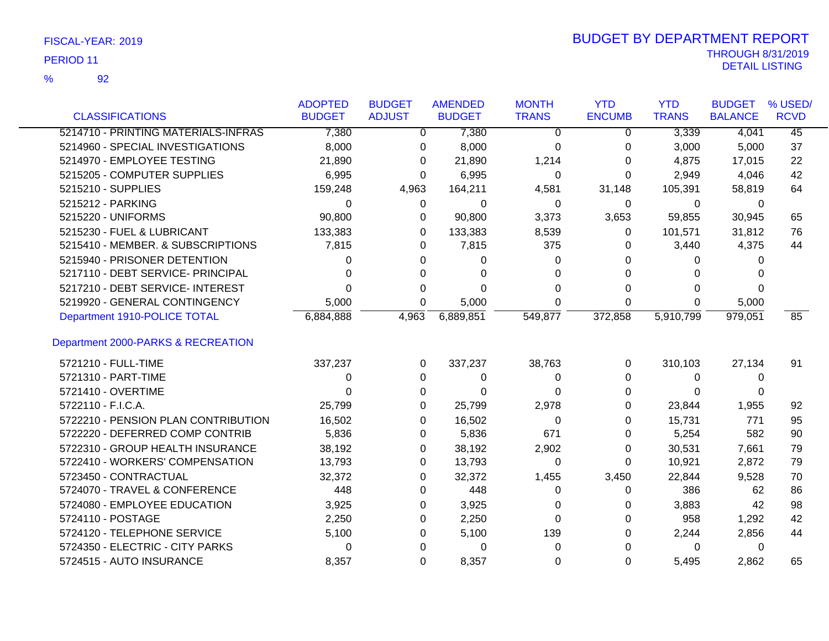92 %

|                                     | <b>ADOPTED</b> | <b>BUDGET</b> | <b>AMENDED</b> | <b>MONTH</b> | <b>YTD</b>    | <b>YTD</b>   | <b>BUDGET</b>  | % USED/     |
|-------------------------------------|----------------|---------------|----------------|--------------|---------------|--------------|----------------|-------------|
| <b>CLASSIFICATIONS</b>              | <b>BUDGET</b>  | <b>ADJUST</b> | <b>BUDGET</b>  | <b>TRANS</b> | <b>ENCUMB</b> | <b>TRANS</b> | <b>BALANCE</b> | <b>RCVD</b> |
| 5214710 - PRINTING MATERIALS-INFRAS | 7,380          | 0             | 7,380          | 0            | 0             | 3,339        | 4,041          | 45          |
| 5214960 - SPECIAL INVESTIGATIONS    | 8,000          | 0             | 8,000          | 0            | 0             | 3,000        | 5,000          | 37          |
| 5214970 - EMPLOYEE TESTING          | 21,890         | 0             | 21,890         | 1,214        | 0             | 4,875        | 17,015         | 22          |
| 5215205 - COMPUTER SUPPLIES         | 6,995          | 0             | 6,995          | 0            | 0             | 2,949        | 4,046          | 42          |
| 5215210 - SUPPLIES                  | 159,248        | 4,963         | 164,211        | 4,581        | 31,148        | 105,391      | 58,819         | 64          |
| 5215212 - PARKING                   | 0              | 0             | 0              | 0            | 0             | 0            | 0              |             |
| 5215220 - UNIFORMS                  | 90,800         | 0             | 90,800         | 3,373        | 3,653         | 59,855       | 30,945         | 65          |
| 5215230 - FUEL & LUBRICANT          | 133,383        | 0             | 133,383        | 8,539        | 0             | 101,571      | 31,812         | 76          |
| 5215410 - MEMBER. & SUBSCRIPTIONS   | 7,815          | 0             | 7,815          | 375          | 0             | 3,440        | 4,375          | 44          |
| 5215940 - PRISONER DETENTION        | 0              | 0             | 0              | 0            | 0             | 0            | 0              |             |
| 5217110 - DEBT SERVICE- PRINCIPAL   | 0              | 0             | 0              | 0            | 0             | 0            | $\Omega$       |             |
| 5217210 - DEBT SERVICE- INTEREST    | 0              | 0             | 0              | 0            | 0             | 0            | 0              |             |
| 5219920 - GENERAL CONTINGENCY       | 5,000          | 0             | 5,000          | 0            | 0             | $\Omega$     | 5,000          |             |
| Department 1910-POLICE TOTAL        | 6,884,888      | 4,963         | 6,889,851      | 549,877      | 372,858       | 5,910,799    | 979,051        | 85          |
| Department 2000-PARKS & RECREATION  |                |               |                |              |               |              |                |             |
| 5721210 - FULL-TIME                 | 337,237        | 0             | 337,237        | 38,763       | 0             | 310,103      | 27,134         | 91          |
| 5721310 - PART-TIME                 | 0              | 0             | 0              | 0            | 0             | 0            | 0              |             |
| 5721410 - OVERTIME                  | 0              | 0             | 0              | 0            | 0             | 0            | 0              |             |
| 5722110 - F.I.C.A.                  | 25,799         | 0             | 25,799         | 2,978        | 0             | 23,844       | 1,955          | 92          |
| 5722210 - PENSION PLAN CONTRIBUTION | 16,502         | 0             | 16,502         | 0            | 0             | 15,731       | 771            | 95          |
| 5722220 - DEFERRED COMP CONTRIB     | 5,836          | 0             | 5,836          | 671          | 0             | 5,254        | 582            | 90          |
| 5722310 - GROUP HEALTH INSURANCE    | 38,192         | 0             | 38,192         | 2,902        | 0             | 30,531       | 7,661          | 79          |
| 5722410 - WORKERS' COMPENSATION     | 13,793         | 0             | 13,793         | 0            | 0             | 10,921       | 2,872          | 79          |
| 5723450 - CONTRACTUAL               | 32,372         | 0             | 32,372         | 1,455        | 3,450         | 22,844       | 9,528          | 70          |
| 5724070 - TRAVEL & CONFERENCE       | 448            | 0             | 448            | 0            | 0             | 386          | 62             | 86          |
| 5724080 - EMPLOYEE EDUCATION        | 3,925          | 0             | 3,925          | 0            | 0             | 3,883        | 42             | 98          |
| 5724110 - POSTAGE                   | 2,250          | 0             | 2,250          | 0            | 0             | 958          | 1,292          | 42          |
| 5724120 - TELEPHONE SERVICE         | 5,100          | 0             | 5,100          | 139          | 0             | 2,244        | 2,856          | 44          |
| 5724350 - ELECTRIC - CITY PARKS     | 0              | 0             | 0              | 0            | 0             | 0            | 0              |             |
| 5724515 - AUTO INSURANCE            | 8,357          | 0             | 8,357          | 0            | 0             | 5,495        | 2,862          | 65          |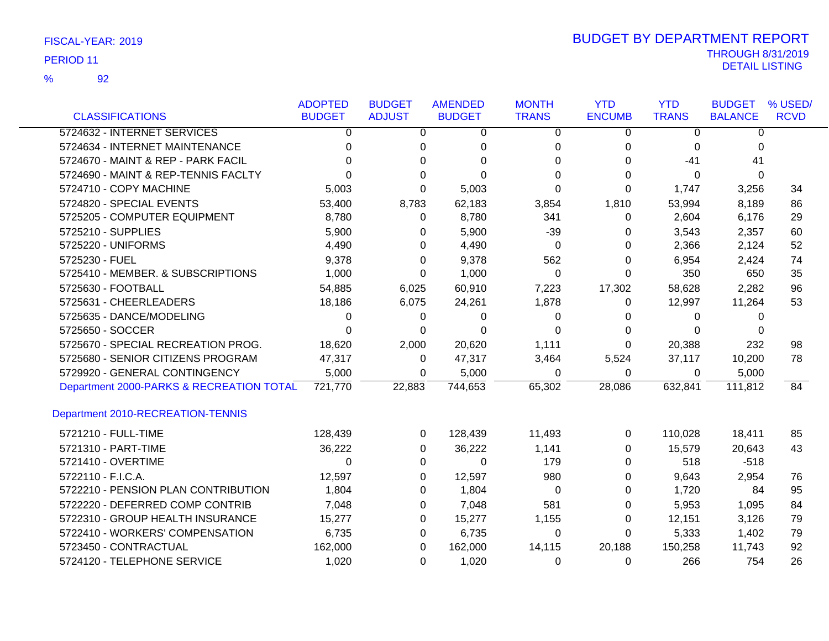92 %

|                                          | <b>ADOPTED</b> | <b>BUDGET</b>  | <b>AMENDED</b> | <b>MONTH</b>   | <b>YTD</b>     | <b>YTD</b>   | <b>BUDGET</b>  | % USED/     |
|------------------------------------------|----------------|----------------|----------------|----------------|----------------|--------------|----------------|-------------|
| <b>CLASSIFICATIONS</b>                   | <b>BUDGET</b>  | <b>ADJUST</b>  | <b>BUDGET</b>  | <b>TRANS</b>   | <b>ENCUMB</b>  | <b>TRANS</b> | <b>BALANCE</b> | <b>RCVD</b> |
| 5724632 - INTERNET SERVICES              | $\overline{0}$ | $\overline{0}$ | $\overline{0}$ | $\overline{0}$ | $\overline{0}$ | 0            | $\overline{0}$ |             |
| 5724634 - INTERNET MAINTENANCE           | $\Omega$       | 0              | 0              | 0              | 0              | 0            | $\Omega$       |             |
| 5724670 - MAINT & REP - PARK FACIL       | $\Omega$       | 0              | $\Omega$       | 0              | 0              | $-41$        | 41             |             |
| 5724690 - MAINT & REP-TENNIS FACLTY      | U              | $\Omega$       | $\Omega$       | $\Omega$       | 0              | 0            | $\Omega$       |             |
| 5724710 - COPY MACHINE                   | 5,003          | 0              | 5,003          | $\Omega$       | $\Omega$       | 1,747        | 3,256          | 34          |
| 5724820 - SPECIAL EVENTS                 | 53,400         | 8,783          | 62,183         | 3,854          | 1,810          | 53,994       | 8,189          | 86          |
| 5725205 - COMPUTER EQUIPMENT             | 8,780          | 0              | 8,780          | 341            | 0              | 2,604        | 6,176          | 29          |
| 5725210 - SUPPLIES                       | 5,900          | 0              | 5,900          | $-39$          | 0              | 3,543        | 2,357          | 60          |
| 5725220 - UNIFORMS                       | 4,490          | 0              | 4,490          | 0              | 0              | 2,366        | 2,124          | 52          |
| 5725230 - FUEL                           | 9,378          | $\Omega$       | 9,378          | 562            | 0              | 6,954        | 2,424          | 74          |
| 5725410 - MEMBER. & SUBSCRIPTIONS        | 1,000          | 0              | 1,000          | 0              | 0              | 350          | 650            | 35          |
| 5725630 - FOOTBALL                       | 54,885         | 6,025          | 60,910         | 7,223          | 17,302         | 58,628       | 2,282          | 96          |
| 5725631 - CHEERLEADERS                   | 18,186         | 6,075          | 24,261         | 1,878          | 0              | 12,997       | 11,264         | 53          |
| 5725635 - DANCE/MODELING                 | 0              | 0              | 0              | 0              | 0              | 0            | 0              |             |
| 5725650 - SOCCER                         | $\Omega$       | 0              | $\Omega$       | $\Omega$       | 0              | 0            | 0              |             |
| 5725670 - SPECIAL RECREATION PROG.       | 18,620         | 2,000          | 20,620         | 1,111          | 0              | 20,388       | 232            | 98          |
| 5725680 - SENIOR CITIZENS PROGRAM        | 47,317         | 0              | 47,317         | 3,464          | 5,524          | 37,117       | 10,200         | 78          |
| 5729920 - GENERAL CONTINGENCY            | 5,000          | 0              | 5,000          | 0              | 0              | 0            | 5,000          |             |
| Department 2000-PARKS & RECREATION TOTAL | 721,770        | 22,883         | 744,653        | 65,302         | 28,086         | 632,841      | 111,812        | 84          |
| Department 2010-RECREATION-TENNIS        |                |                |                |                |                |              |                |             |
| 5721210 - FULL-TIME                      | 128,439        | 0              | 128,439        | 11,493         | 0              | 110,028      | 18,411         | 85          |
| 5721310 - PART-TIME                      | 36,222         | 0              | 36,222         | 1,141          | 0              | 15,579       | 20,643         | 43          |
| 5721410 - OVERTIME                       | 0              | 0              | 0              | 179            | 0              | 518          | $-518$         |             |
| 5722110 - F.I.C.A.                       | 12,597         | $\Omega$       | 12,597         | 980            | 0              | 9,643        | 2,954          | 76          |
| 5722210 - PENSION PLAN CONTRIBUTION      | 1,804          | 0              | 1,804          | 0              | 0              | 1,720        | 84             | 95          |
| 5722220 - DEFERRED COMP CONTRIB          | 7,048          | 0              | 7,048          | 581            | 0              | 5,953        | 1,095          | 84          |
| 5722310 - GROUP HEALTH INSURANCE         | 15,277         | 0              | 15,277         | 1,155          | 0              | 12,151       | 3,126          | 79          |
| 5722410 - WORKERS' COMPENSATION          | 6,735          | 0              | 6,735          | 0              | 0              | 5,333        | 1,402          | 79          |
| 5723450 - CONTRACTUAL                    | 162,000        | 0              | 162,000        | 14,115         | 20,188         | 150,258      | 11,743         | 92          |
| 5724120 - TELEPHONE SERVICE              | 1,020          | 0              | 1,020          | 0              | 0              | 266          | 754            | 26          |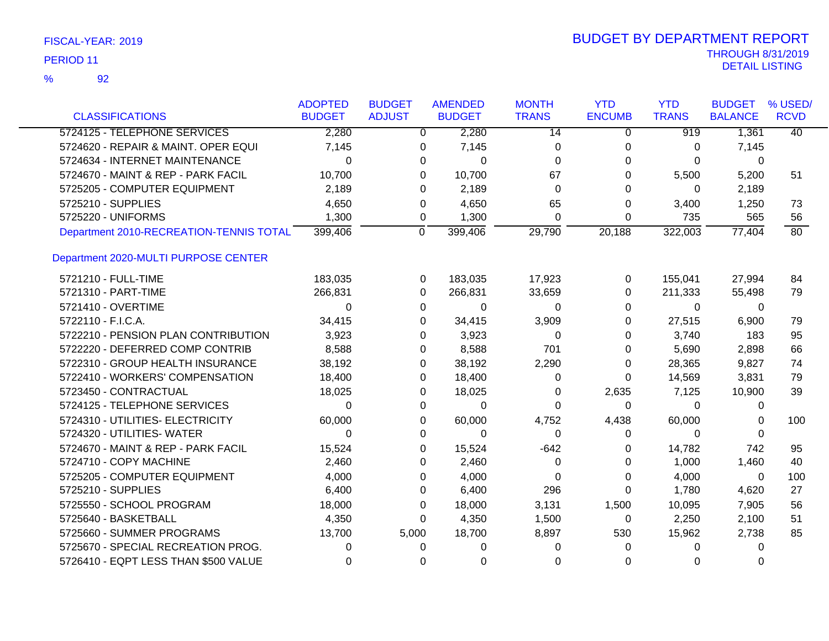| FISCAL-YEAR: 2019 |  |
|-------------------|--|
|-------------------|--|

|                                         | <b>ADOPTED</b> | <b>BUDGET</b>  | <b>AMENDED</b> | <b>MONTH</b> | <b>YTD</b>    | <b>YTD</b>   | <b>BUDGET</b>  | % USED/     |
|-----------------------------------------|----------------|----------------|----------------|--------------|---------------|--------------|----------------|-------------|
| <b>CLASSIFICATIONS</b>                  | <b>BUDGET</b>  | <b>ADJUST</b>  | <b>BUDGET</b>  | <b>TRANS</b> | <b>ENCUMB</b> | <b>TRANS</b> | <b>BALANCE</b> | <b>RCVD</b> |
| 5724125 - TELEPHONE SERVICES            | 2,280          |                | 2,280<br>0     | 14           | 0             | 919          | 1,361          | 40          |
| 5724620 - REPAIR & MAINT. OPER EQUI     | 7,145          | 0              | 7,145          | 0            | 0             | 0            | 7,145          |             |
| 5724634 - INTERNET MAINTENANCE          | 0              | 0              | 0              | $\Omega$     | 0             | 0            | 0              |             |
| 5724670 - MAINT & REP - PARK FACIL      | 10,700         |                | 0<br>10,700    | 67           | 0             | 5,500        | 5,200          | 51          |
| 5725205 - COMPUTER EQUIPMENT            | 2,189          | $\Omega$       | 2,189          | $\Omega$     | 0             | 0            | 2,189          |             |
| 5725210 - SUPPLIES                      | 4,650          | 0              | 4,650          | 65           | 0             | 3,400        | 1,250          | 73          |
| 5725220 - UNIFORMS                      | 1,300          | 0              | 1,300          | $\Omega$     | 0             | 735          | 565            | 56          |
| Department 2010-RECREATION-TENNIS TOTAL | 399,406        | $\overline{0}$ | 399,406        | 29,790       | 20,188        | 322,003      | 77,404         | 80          |
| Department 2020-MULTI PURPOSE CENTER    |                |                |                |              |               |              |                |             |
| 5721210 - FULL-TIME                     | 183,035        |                | 183,035<br>0   | 17,923       | 0             | 155,041      | 27,994         | 84          |
| 5721310 - PART-TIME                     | 266,831        | $\Omega$       | 266,831        | 33,659       | 0             | 211,333      | 55,498         | 79          |
| 5721410 - OVERTIME                      | $\Omega$       |                | 0<br>0         | 0            | 0             | 0            | 0              |             |
| 5722110 - F.I.C.A.                      | 34,415         | 0              | 34,415         | 3,909        | 0             | 27,515       | 6,900          | 79          |
| 5722210 - PENSION PLAN CONTRIBUTION     | 3,923          |                | 3,923<br>0     | 0            | 0             | 3,740        | 183            | 95          |
| 5722220 - DEFERRED COMP CONTRIB         | 8,588          | 0              | 8,588          | 701          | 0             | 5,690        | 2,898          | 66          |
| 5722310 - GROUP HEALTH INSURANCE        | 38,192         |                | 38,192<br>0    | 2,290        | $\Omega$      | 28,365       | 9,827          | 74          |
| 5722410 - WORKERS' COMPENSATION         | 18,400         | 0              | 18,400         | 0            | $\Omega$      | 14,569       | 3,831          | 79          |
| 5723450 - CONTRACTUAL                   | 18,025         |                | 18,025<br>0    | 0            | 2,635         | 7,125        | 10,900         | 39          |
| 5724125 - TELEPHONE SERVICES            | $\Omega$       | $\Omega$       | $\Omega$       | $\Omega$     | 0             | $\Omega$     | 0              |             |
| 5724310 - UTILITIES- ELECTRICITY        | 60,000         |                | 60,000<br>0    | 4,752        | 4,438         | 60,000       | 0              | 100         |
| 5724320 - UTILITIES- WATER              | $\Omega$       | $\Omega$       | 0              | $\Omega$     | 0             | $\Omega$     | 0              |             |
| 5724670 - MAINT & REP - PARK FACIL      | 15,524         |                | 0<br>15,524    | $-642$       | 0             | 14,782       | 742            | 95          |
| 5724710 - COPY MACHINE                  | 2,460          | 0              | 2,460          | $\Omega$     | 0             | 1,000        | 1,460          | 40          |
| 5725205 - COMPUTER EQUIPMENT            | 4,000          |                | 4,000<br>0     | $\Omega$     | $\Omega$      | 4,000        | 0              | 100         |
| 5725210 - SUPPLIES                      | 6,400          | $\Omega$       | 6,400          | 296          | $\Omega$      | 1,780        | 4,620          | 27          |
| 5725550 - SCHOOL PROGRAM                | 18,000         | 0              | 18,000         | 3,131        | 1,500         | 10,095       | 7,905          | 56          |
| 5725640 - BASKETBALL                    | 4,350          | $\Omega$       | 4,350          | 1,500        | 0             | 2,250        | 2,100          | 51          |
| 5725660 - SUMMER PROGRAMS               | 13,700         | 5,000          | 18,700         | 8,897        | 530           | 15,962       | 2,738          | 85          |
| 5725670 - SPECIAL RECREATION PROG.      | 0              | $\Omega$       | $\Omega$       | $\Omega$     | 0             | 0            | 0              |             |
| 5726410 - EQPT LESS THAN \$500 VALUE    | $\Omega$       | $\Omega$       | $\Omega$       | $\Omega$     | $\Omega$      | 0            | 0              |             |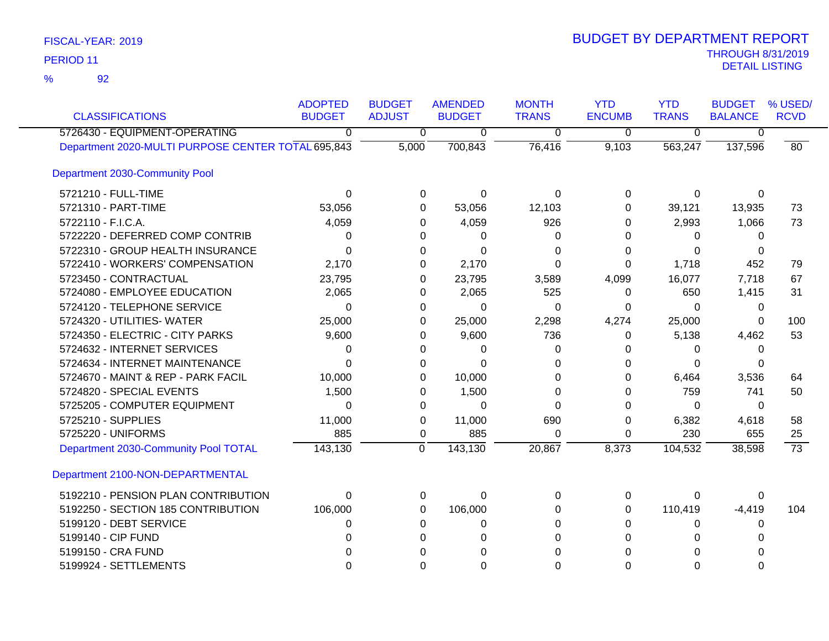92 %

| <b>CLASSIFICATIONS</b>                             | <b>ADOPTED</b><br><b>BUDGET</b> | <b>BUDGET</b><br><b>ADJUST</b> | <b>AMENDED</b><br><b>BUDGET</b> | <b>MONTH</b><br><b>TRANS</b> | <b>YTD</b><br><b>ENCUMB</b> | <b>YTD</b><br><b>TRANS</b> | <b>BUDGET</b><br><b>BALANCE</b> | % USED/<br><b>RCVD</b> |
|----------------------------------------------------|---------------------------------|--------------------------------|---------------------------------|------------------------------|-----------------------------|----------------------------|---------------------------------|------------------------|
| 5726430 - EQUIPMENT-OPERATING                      | 0                               | $\overline{0}$                 | $\overline{0}$                  | $\overline{0}$               | $\overline{\mathfrak{o}}$   | $\overline{0}$             | $\overline{0}$                  |                        |
| Department 2020-MULTI PURPOSE CENTER TOTAL 695,843 |                                 | 5,000                          | 700,843                         | 76,416                       | 9,103                       | 563,247                    | 137,596                         | 80                     |
| Department 2030-Community Pool                     |                                 |                                |                                 |                              |                             |                            |                                 |                        |
| 5721210 - FULL-TIME                                | $\Omega$                        | 0                              | $\Omega$                        | $\Omega$                     | $\mathbf{0}$                | $\Omega$                   | $\Omega$                        |                        |
| 5721310 - PART-TIME                                | 53,056                          | 0                              | 53,056                          | 12,103                       | $\Omega$                    | 39,121                     | 13,935                          | 73                     |
| 5722110 - F.I.C.A.                                 | 4,059                           | 0                              | 4,059                           | 926                          | 0                           | 2,993                      | 1,066                           | 73                     |
| 5722220 - DEFERRED COMP CONTRIB                    | 0                               | 0                              | 0                               | 0                            | 0                           | $\Omega$                   | 0                               |                        |
| 5722310 - GROUP HEALTH INSURANCE                   | 0                               | 0                              | 0                               | 0                            | 0                           | $\Omega$                   | 0                               |                        |
| 5722410 - WORKERS' COMPENSATION                    | 2,170                           | 0                              | 2,170                           | $\Omega$                     | 0                           | 1,718                      | 452                             | 79                     |
| 5723450 - CONTRACTUAL                              | 23,795                          | 0                              | 23,795                          | 3,589                        | 4,099                       | 16,077                     | 7,718                           | 67                     |
| 5724080 - EMPLOYEE EDUCATION                       | 2,065                           | 0                              | 2,065                           | 525                          | 0                           | 650                        | 1,415                           | 31                     |
| 5724120 - TELEPHONE SERVICE                        | $\Omega$                        | 0                              | $\Omega$                        | $\Omega$                     | 0                           | $\Omega$                   | $\mathbf{0}$                    |                        |
| 5724320 - UTILITIES- WATER                         | 25,000                          | 0                              | 25,000                          | 2,298                        | 4,274                       | 25,000                     | $\mathbf{0}$                    | 100                    |
| 5724350 - ELECTRIC - CITY PARKS                    | 9,600                           | 0                              | 9,600                           | 736                          | 0                           | 5,138                      | 4,462                           | 53                     |
| 5724632 - INTERNET SERVICES                        | 0                               | 0                              | 0                               | 0                            | $\Omega$                    | 0                          | 0                               |                        |
| 5724634 - INTERNET MAINTENANCE                     | $\Omega$                        | 0                              | $\Omega$                        | 0                            | 0                           | 0                          | 0                               |                        |
| 5724670 - MAINT & REP - PARK FACIL                 | 10,000                          | 0                              | 10,000                          | $\Omega$                     | 0                           | 6,464                      | 3,536                           | 64                     |
| 5724820 - SPECIAL EVENTS                           | 1,500                           | 0                              | 1,500                           | $\Omega$                     | 0                           | 759                        | 741                             | 50                     |
| 5725205 - COMPUTER EQUIPMENT                       | 0                               | 0                              | $\Omega$                        | $\Omega$                     | $\Omega$                    | $\Omega$                   | $\mathbf{0}$                    |                        |
| 5725210 - SUPPLIES                                 | 11,000                          | 0                              | 11,000                          | 690                          | 0                           | 6,382                      | 4,618                           | 58                     |
| 5725220 - UNIFORMS                                 | 885                             | 0                              | 885                             | 0                            | 0                           | 230                        | 655                             | 25                     |
| Department 2030-Community Pool TOTAL               | 143,130                         | $\overline{0}$                 | 143,130                         | 20,867                       | 8,373                       | 104,532                    | 38,598                          | $\overline{73}$        |
| Department 2100-NON-DEPARTMENTAL                   |                                 |                                |                                 |                              |                             |                            |                                 |                        |
| 5192210 - PENSION PLAN CONTRIBUTION                | $\Omega$                        | 0                              | $\mathbf 0$                     | $\Omega$                     | 0                           | $\mathbf 0$                | 0                               |                        |
| 5192250 - SECTION 185 CONTRIBUTION                 | 106,000                         | 0                              | 106,000                         | 0                            | 0                           | 110,419                    | $-4,419$                        | 104                    |
| 5199120 - DEBT SERVICE                             | 0                               | 0                              | 0                               | $\Omega$                     | 0                           | 0                          | 0                               |                        |
| 5199140 - CIP FUND                                 | 0                               | 0                              | 0                               | $\Omega$                     | $\Omega$                    | $\Omega$                   | $\Omega$                        |                        |
| 5199150 - CRA FUND                                 |                                 | 0                              |                                 | 0                            | 0                           | $\Omega$                   | 0                               |                        |
| 5199924 - SETTLEMENTS                              | $\Omega$                        | $\Omega$                       | $\Omega$                        | $\Omega$                     | $\Omega$                    | $\Omega$                   | $\Omega$                        |                        |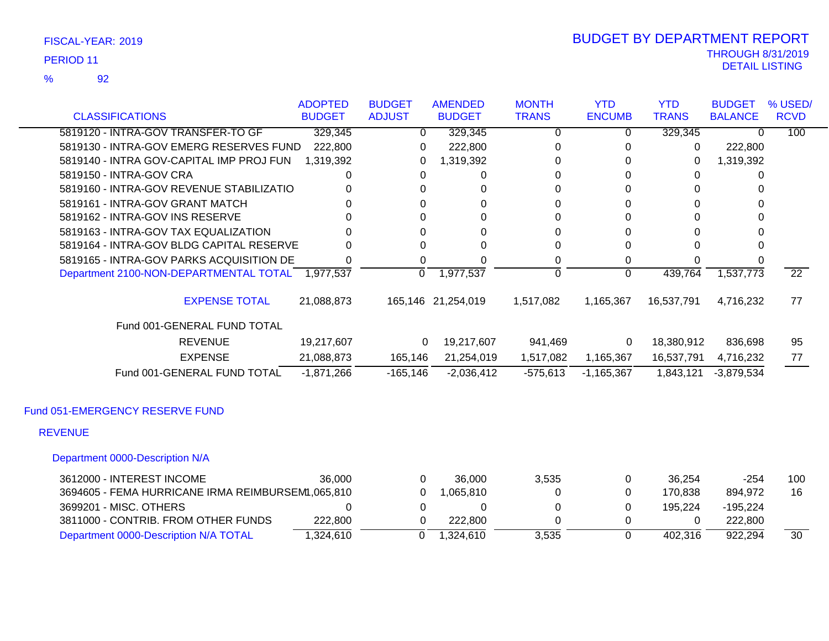92 %

|                                                  | <b>ADOPTED</b> | <b>BUDGET</b>  | <b>AMENDED</b>     | <b>MONTH</b> | <b>YTD</b>    | <b>YTD</b>   | <b>BUDGET</b>  | % USED/         |
|--------------------------------------------------|----------------|----------------|--------------------|--------------|---------------|--------------|----------------|-----------------|
| <b>CLASSIFICATIONS</b>                           | <b>BUDGET</b>  | <b>ADJUST</b>  | <b>BUDGET</b>      | <b>TRANS</b> | <b>ENCUMB</b> | <b>TRANS</b> | <b>BALANCE</b> | <b>RCVD</b>     |
| 5819120 - INTRA-GOV TRANSFER-TO GF               | 329,345        | $\overline{0}$ | 329,345            | 0            | 0             | 329,345      | 0              | 100             |
| 5819130 - INTRA-GOV EMERG RESERVES FUND          | 222,800        | 0              | 222,800            | 0            | 0             | 0            | 222,800        |                 |
| 5819140 - INTRA GOV-CAPITAL IMP PROJ FUN         | 1,319,392      | 0              | 1,319,392          | 0            | 0             | 0            | 1,319,392      |                 |
| 5819150 - INTRA-GOV CRA                          | 0              | 0              | 0                  | 0            | 0             | 0            | 0              |                 |
| 5819160 - INTRA-GOV REVENUE STABILIZATIO         |                | 0              | 0                  | 0            | 0             | 0            |                |                 |
| 5819161 - INTRA-GOV GRANT MATCH                  |                | 0              | 0                  | 0            | 0             | 0            | 0              |                 |
| 5819162 - INTRA-GOV INS RESERVE                  |                | 0              | 0                  | 0            | 0             |              | 0              |                 |
| 5819163 - INTRA-GOV TAX EQUALIZATION             |                | 0              | 0                  | 0            | 0             | 0            | 0              |                 |
| 5819164 - INTRA-GOV BLDG CAPITAL RESERVE         | 0              | 0              | 0                  | 0            | 0             |              | 0              |                 |
| 5819165 - INTRA-GOV PARKS ACQUISITION DE         | 0              | 0              | 0                  | 0            | 0             |              |                |                 |
| Department 2100-NON-DEPARTMENTAL TOTAL 1,977,537 |                | 0              | 1,977,537          | 0            | $\Omega$      | 439,764      | 1,537,773      | $\overline{22}$ |
| <b>EXPENSE TOTAL</b>                             | 21,088,873     |                | 165,146 21,254,019 | 1,517,082    | 1,165,367     | 16,537,791   | 4,716,232      | 77              |
| Fund 001-GENERAL FUND TOTAL                      |                |                |                    |              |               |              |                |                 |
| <b>REVENUE</b>                                   | 19,217,607     | 0              | 19,217,607         | 941,469      | 0             | 18,380,912   | 836,698        | 95              |
| <b>EXPENSE</b>                                   | 21,088,873     | 165,146        | 21,254,019         | 1,517,082    | 1,165,367     | 16,537,791   | 4,716,232      | 77              |
| Fund 001-GENERAL FUND TOTAL                      | $-1,871,266$   | $-165, 146$    | $-2,036,412$       | $-575,613$   | $-1,165,367$  | 1,843,121    | $-3,879,534$   |                 |
| Fund 051-EMERGENCY RESERVE FUND                  |                |                |                    |              |               |              |                |                 |
| <b>REVENUE</b>                                   |                |                |                    |              |               |              |                |                 |
| Department 0000-Description N/A                  |                |                |                    |              |               |              |                |                 |
|                                                  |                |                |                    |              |               |              |                |                 |

| 3612000 - INTEREST INCOME                         | 36,000   | 36,000    | 3.535 | 36.254  | -254     | 100 |
|---------------------------------------------------|----------|-----------|-------|---------|----------|-----|
| 3694605 - FEMA HURRICANE IRMA REIMBURSEM1.065.810 |          | .065.810  |       | 170.838 | 894.972  | 16  |
| 3699201 - MISC. OTHERS                            |          |           |       | 195.224 | -195.224 |     |
| 3811000 - CONTRIB. FROM OTHER FUNDS               | 222,800  | 222.800   |       |         | 222.800  |     |
| Department 0000-Description N/A TOTAL             | .324.610 | l.324.610 | 3.535 | 402.316 | 922.294  | 30  |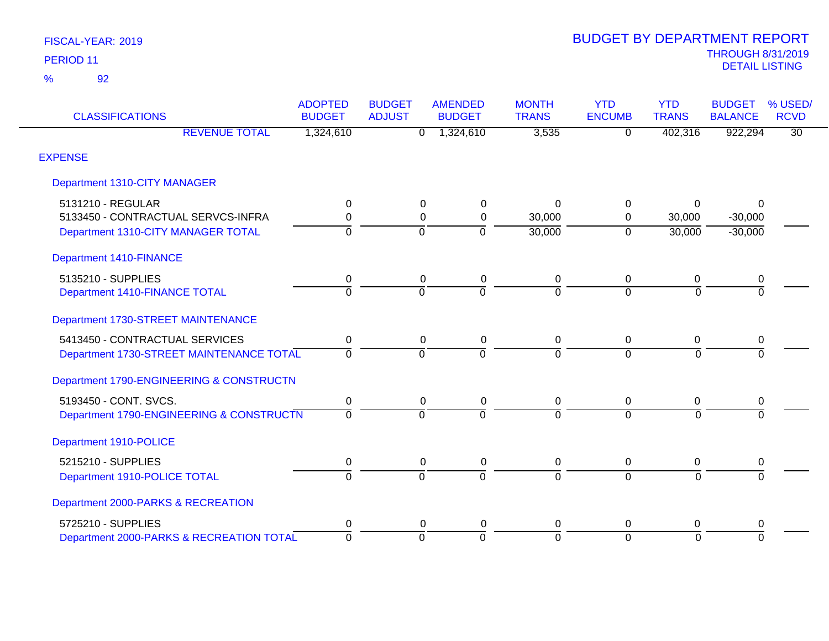| <b>CLASSIFICATIONS</b>                    | <b>ADOPTED</b><br><b>BUDGET</b> | <b>BUDGET</b><br><b>ADJUST</b> | <b>AMENDED</b><br><b>BUDGET</b> | <b>MONTH</b><br><b>TRANS</b> | <b>YTD</b><br><b>ENCUMB</b> | <b>YTD</b><br><b>TRANS</b> | <b>BUDGET</b><br><b>BALANCE</b> | % USED/<br><b>RCVD</b> |
|-------------------------------------------|---------------------------------|--------------------------------|---------------------------------|------------------------------|-----------------------------|----------------------------|---------------------------------|------------------------|
| <b>REVENUE TOTAL</b>                      | 1,324,610                       | $\overline{0}$                 | 1,324,610                       | 3,535                        | $\overline{0}$              | 402,316                    | 922,294                         | $\overline{30}$        |
| <b>EXPENSE</b>                            |                                 |                                |                                 |                              |                             |                            |                                 |                        |
| <b>Department 1310-CITY MANAGER</b>       |                                 |                                |                                 |                              |                             |                            |                                 |                        |
| 5131210 - REGULAR                         | 0                               | 0                              | 0                               | 0                            | 0                           | 0                          | $\Omega$                        |                        |
| 5133450 - CONTRACTUAL SERVCS-INFRA        | 0                               | 0                              | $\mathbf 0$                     | 30,000                       | 0                           | 30,000                     | $-30,000$                       |                        |
| Department 1310-CITY MANAGER TOTAL        | $\Omega$                        | $\Omega$                       | $\Omega$                        | 30,000                       | $\overline{0}$              | 30,000                     | $-30,000$                       |                        |
| Department 1410-FINANCE                   |                                 |                                |                                 |                              |                             |                            |                                 |                        |
| 5135210 - SUPPLIES                        | 0                               | $\pmb{0}$                      | $\pmb{0}$                       | 0                            | 0                           | $\mathbf 0$                | 0                               |                        |
| Department 1410-FINANCE TOTAL             | $\overline{0}$                  | $\Omega$                       | $\Omega$                        | $\overline{0}$               | $\Omega$                    | $\Omega$                   | $\Omega$                        |                        |
| <b>Department 1730-STREET MAINTENANCE</b> |                                 |                                |                                 |                              |                             |                            |                                 |                        |
| 5413450 - CONTRACTUAL SERVICES            | $\pmb{0}$                       | 0                              | $\pmb{0}$                       | $\pmb{0}$                    | $\overline{0}$              | $\mathbf 0$                | $\pmb{0}$                       |                        |
| Department 1730-STREET MAINTENANCE TOTAL  | $\Omega$                        | 0                              | $\Omega$                        | $\Omega$                     | $\Omega$                    | $\Omega$                   | $\Omega$                        |                        |
| Department 1790-ENGINEERING & CONSTRUCTN  |                                 |                                |                                 |                              |                             |                            |                                 |                        |
| 5193450 - CONT. SVCS.                     | 0                               | 0                              | 0                               | 0                            | 0                           | 0                          | 0                               |                        |
| Department 1790-ENGINEERING & CONSTRUCTN  | $\Omega$                        | $\Omega$                       | $\Omega$                        | $\overline{0}$               | $\Omega$                    | $\Omega$                   | $\Omega$                        |                        |
| Department 1910-POLICE                    |                                 |                                |                                 |                              |                             |                            |                                 |                        |
| 5215210 - SUPPLIES                        | 0                               | 0                              | 0                               | 0                            | 0                           | $\mathbf 0$                | 0                               |                        |
| Department 1910-POLICE TOTAL              | $\overline{0}$                  | $\overline{0}$                 | $\Omega$                        | ō                            | $\Omega$                    | $\overline{0}$             | $\Omega$                        |                        |
| Department 2000-PARKS & RECREATION        |                                 |                                |                                 |                              |                             |                            |                                 |                        |
| 5725210 - SUPPLIES                        | 0                               | 0                              | 0                               | 0                            | 0                           | $\Omega$                   | 0                               |                        |
| Department 2000-PARKS & RECREATION TOTAL  | $\mathbf 0$                     | $\Omega$                       | $\Omega$                        | $\overline{0}$               | $\Omega$                    | $\Omega$                   | $\Omega$                        |                        |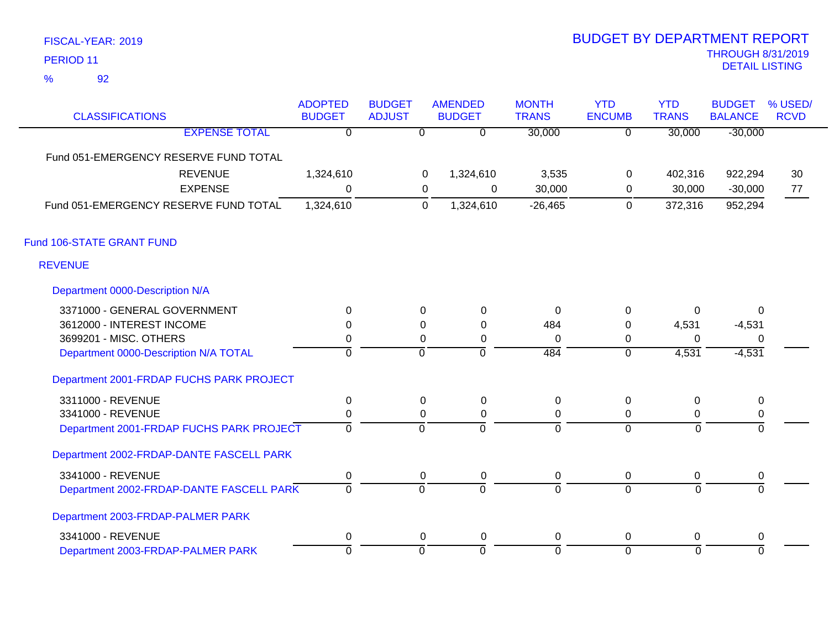92 %

| <b>CLASSIFICATIONS</b>                   | <b>ADOPTED</b><br><b>BUDGET</b> | <b>BUDGET</b><br><b>ADJUST</b> |                           | <b>AMENDED</b><br><b>BUDGET</b> | <b>MONTH</b><br><b>TRANS</b> | <b>YTD</b><br><b>ENCUMB</b> | <b>YTD</b><br><b>TRANS</b> | <b>BUDGET</b><br><b>BALANCE</b> | % USED/<br><b>RCVD</b> |
|------------------------------------------|---------------------------------|--------------------------------|---------------------------|---------------------------------|------------------------------|-----------------------------|----------------------------|---------------------------------|------------------------|
| <b>EXPENSE TOTAL</b>                     | $\overline{0}$                  |                                | $\overline{\mathfrak{o}}$ | $\overline{0}$                  | 30,000                       | $\overline{0}$              | 30,000                     | $-30,000$                       |                        |
| Fund 051-EMERGENCY RESERVE FUND TOTAL    |                                 |                                |                           |                                 |                              |                             |                            |                                 |                        |
| <b>REVENUE</b>                           | 1,324,610                       |                                | 0                         | 1,324,610                       | 3,535                        | 0                           | 402,316                    | 922,294                         | 30                     |
| <b>EXPENSE</b>                           | $\Omega$                        |                                | 0                         | $\Omega$                        | 30,000                       | 0                           | 30,000                     | $-30,000$                       | 77                     |
| Fund 051-EMERGENCY RESERVE FUND TOTAL    | 1,324,610                       |                                | 0                         | 1,324,610                       | $-26,465$                    | $\mathbf 0$                 | 372,316                    | 952,294                         |                        |
| Fund 106-STATE GRANT FUND                |                                 |                                |                           |                                 |                              |                             |                            |                                 |                        |
| <b>REVENUE</b>                           |                                 |                                |                           |                                 |                              |                             |                            |                                 |                        |
| Department 0000-Description N/A          |                                 |                                |                           |                                 |                              |                             |                            |                                 |                        |
| 3371000 - GENERAL GOVERNMENT             | $\Omega$                        |                                | $\Omega$                  | $\mathbf{0}$                    | $\Omega$                     | 0                           | $\Omega$                   | $\Omega$                        |                        |
| 3612000 - INTEREST INCOME                | 0                               |                                | 0                         | 0                               | 484                          | 0                           | 4,531                      | $-4,531$                        |                        |
| 3699201 - MISC. OTHERS                   | 0                               |                                | 0                         | 0                               | 0                            | 0                           | $\Omega$                   | $\Omega$                        |                        |
| Department 0000-Description N/A TOTAL    | 0                               |                                | $\overline{0}$            | ō                               | 484                          | $\overline{0}$              | 4,531                      | $-4,531$                        |                        |
| Department 2001-FRDAP FUCHS PARK PROJECT |                                 |                                |                           |                                 |                              |                             |                            |                                 |                        |
| 3311000 - REVENUE                        | 0                               |                                | 0                         | $\mathbf 0$                     | $\mathbf 0$                  | 0                           | 0                          | 0                               |                        |
| 3341000 - REVENUE                        | 0                               |                                | $\Omega$                  | 0                               | 0                            | 0                           | 0                          | 0                               |                        |
| Department 2001-FRDAP FUCHS PARK PROJECT | $\overline{0}$                  |                                | $\overline{0}$            | $\overline{0}$                  | $\overline{0}$               | $\overline{0}$              | $\mathbf 0$                | $\overline{0}$                  |                        |
| Department 2002-FRDAP-DANTE FASCELL PARK |                                 |                                |                           |                                 |                              |                             |                            |                                 |                        |
| 3341000 - REVENUE                        | 0                               |                                | 0                         | $\mathbf 0$                     | $\mathbf 0$                  | 0                           | 0                          | 0                               |                        |
| Department 2002-FRDAP-DANTE FASCELL PARK | $\overline{0}$                  |                                | $\overline{0}$            | $\overline{0}$                  | ō                            | $\overline{0}$              | $\overline{0}$             | $\Omega$                        |                        |
| Department 2003-FRDAP-PALMER PARK        |                                 |                                |                           |                                 |                              |                             |                            |                                 |                        |
| 3341000 - REVENUE                        | 0                               |                                | 0                         | 0                               | $\boldsymbol{0}$             | 0                           | $\Omega$                   | $\mathbf 0$                     |                        |
| Department 2003-FRDAP-PALMER PARK        | $\overline{0}$                  |                                | $\overline{0}$            | $\mathbf 0$                     | $\overline{0}$               | $\mathbf 0$                 | $\Omega$                   | $\mathbf 0$                     |                        |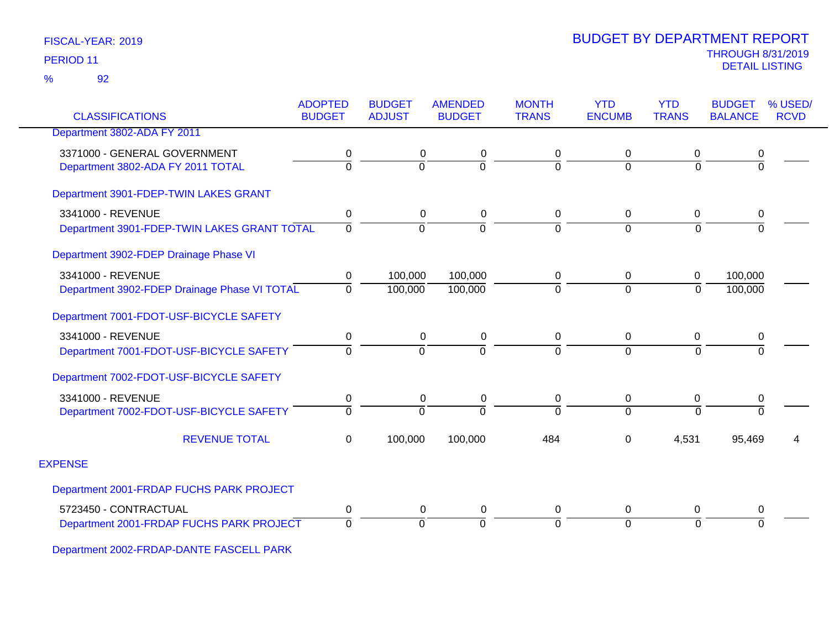## 92 %

| <b>CLASSIFICATIONS</b>                       | <b>ADOPTED</b><br><b>BUDGET</b> | <b>BUDGET</b><br><b>ADJUST</b> | <b>AMENDED</b><br><b>BUDGET</b> | <b>MONTH</b><br><b>TRANS</b> | <b>YTD</b><br><b>ENCUMB</b> | <b>YTD</b><br><b>TRANS</b> | <b>BUDGET</b><br><b>BALANCE</b> | % USED/<br><b>RCVD</b> |
|----------------------------------------------|---------------------------------|--------------------------------|---------------------------------|------------------------------|-----------------------------|----------------------------|---------------------------------|------------------------|
| Department 3802-ADA FY 2011                  |                                 |                                |                                 |                              |                             |                            |                                 |                        |
| 3371000 - GENERAL GOVERNMENT                 | 0                               | 0                              | 0                               | 0                            | $\Omega$                    | 0                          | 0                               |                        |
| Department 3802-ADA FY 2011 TOTAL            | $\overline{0}$                  | $\overline{0}$                 | $\Omega$                        | $\overline{0}$               | $\Omega$                    | $\overline{0}$             | $\overline{0}$                  |                        |
| Department 3901-FDEP-TWIN LAKES GRANT        |                                 |                                |                                 |                              |                             |                            |                                 |                        |
| 3341000 - REVENUE                            | 0                               | 0                              | 0                               | $\mathbf 0$                  | $\mathbf 0$                 | $\mathbf 0$                | 0                               |                        |
| Department 3901-FDEP-TWIN LAKES GRANT TOTAL  | $\Omega$                        | $\Omega$                       | $\Omega$                        | $\mathbf 0$                  | $\Omega$                    | $\overline{0}$             | $\overline{0}$                  |                        |
| Department 3902-FDEP Drainage Phase VI       |                                 |                                |                                 |                              |                             |                            |                                 |                        |
| 3341000 - REVENUE                            | 0                               | 100,000                        | 100,000                         | 0                            | 0                           | 0                          | 100,000                         |                        |
| Department 3902-FDEP Drainage Phase VI TOTAL | $\Omega$                        | 100,000                        | 100,000                         | $\Omega$                     | $\Omega$                    | $\Omega$                   | 100,000                         |                        |
| Department 7001-FDOT-USF-BICYCLE SAFETY      |                                 |                                |                                 |                              |                             |                            |                                 |                        |
| 3341000 - REVENUE                            | 0                               | 0                              | 0                               | $\mathbf 0$                  | $\mathbf{0}$                | 0                          | 0                               |                        |
| Department 7001-FDOT-USF-BICYCLE SAFETY      | $\Omega$                        | $\Omega$                       | $\Omega$                        | $\Omega$                     | $\Omega$                    | $\Omega$                   | $\Omega$                        |                        |
| Department 7002-FDOT-USF-BICYCLE SAFETY      |                                 |                                |                                 |                              |                             |                            |                                 |                        |
| 3341000 - REVENUE                            | $\pmb{0}$                       | 0                              | $\mathbf 0$                     | 0                            | $\mathbf 0$                 | 0                          | 0                               |                        |
| Department 7002-FDOT-USF-BICYCLE SAFETY      | $\Omega$                        | $\Omega$                       | $\Omega$                        | 7                            | $\Omega$                    | $\Omega$                   | $\overline{0}$                  |                        |
| <b>REVENUE TOTAL</b>                         | $\Omega$                        | 100,000                        | 100,000                         | 484                          | $\Omega$                    | 4,531                      | 95,469                          | 4                      |
| <b>EXPENSE</b>                               |                                 |                                |                                 |                              |                             |                            |                                 |                        |
| Department 2001-FRDAP FUCHS PARK PROJECT     |                                 |                                |                                 |                              |                             |                            |                                 |                        |
| 5723450 - CONTRACTUAL                        | 0                               | 0                              | 0                               | 0                            | $\mathbf{0}$                | 0                          | 0                               |                        |
| Department 2001-FRDAP FUCHS PARK PROJECT     | $\Omega$                        | $\Omega$                       | $\Omega$                        | $\Omega$                     | $\Omega$                    | $\Omega$                   | $\overline{0}$                  |                        |

Department 2002-FRDAP-DANTE FASCELL PARK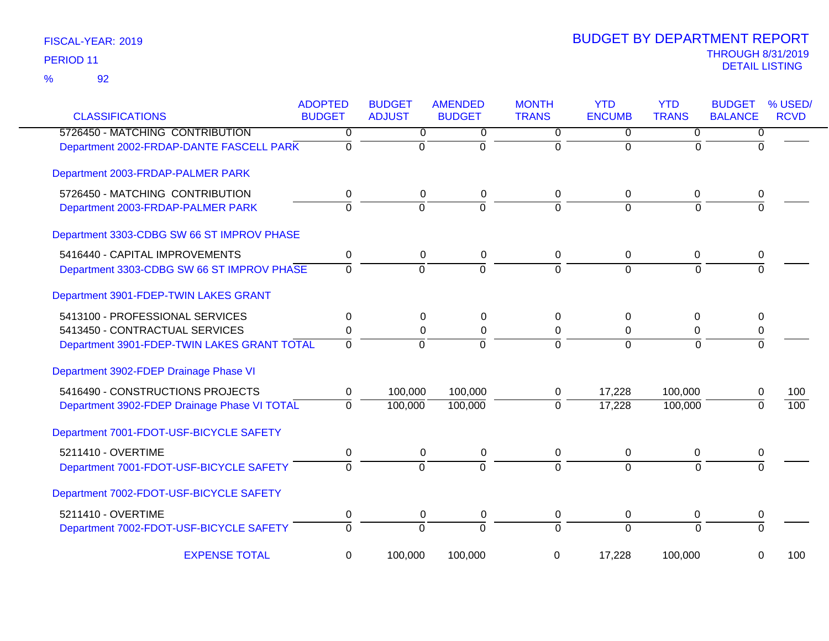| <b>CLASSIFICATIONS</b>                       | <b>ADOPTED</b><br><b>BUDGET</b> | <b>BUDGET</b><br><b>ADJUST</b> | <b>AMENDED</b><br><b>BUDGET</b> | <b>MONTH</b><br><b>TRANS</b> | <b>YTD</b><br><b>ENCUMB</b> | <b>YTD</b><br><b>TRANS</b> | <b>BUDGET</b><br><b>BALANCE</b> | % USED/<br><b>RCVD</b> |
|----------------------------------------------|---------------------------------|--------------------------------|---------------------------------|------------------------------|-----------------------------|----------------------------|---------------------------------|------------------------|
| 5726450 - MATCHING CONTRIBUTION              | 0                               | 0                              | 0                               | 0                            | 0                           | $\mathbf 0$                | $\overline{0}$                  |                        |
| Department 2002-FRDAP-DANTE FASCELL PARK     | $\mathbf 0$                     | $\mathbf{0}$                   | $\Omega$                        | $\Omega$                     | $\Omega$                    | $\Omega$                   | $\Omega$                        |                        |
| Department 2003-FRDAP-PALMER PARK            |                                 |                                |                                 |                              |                             |                            |                                 |                        |
| 5726450 - MATCHING CONTRIBUTION              | 0                               | $\mathbf 0$                    | $\pmb{0}$                       | 0                            | 0                           | 0                          | 0                               |                        |
| Department 2003-FRDAP-PALMER PARK            | $\Omega$                        | $\overline{0}$                 | $\Omega$                        | $\overline{0}$               | $\Omega$                    | $\Omega$                   | $\Omega$                        |                        |
| Department 3303-CDBG SW 66 ST IMPROV PHASE   |                                 |                                |                                 |                              |                             |                            |                                 |                        |
| 5416440 - CAPITAL IMPROVEMENTS               | 0                               | $\mathbf 0$                    | $\pmb{0}$                       | 0                            | $\mathbf 0$                 | 0                          | 0                               |                        |
| Department 3303-CDBG SW 66 ST IMPROV PHASE   | $\overline{0}$                  | $\overline{0}$                 | $\overline{0}$                  | $\overline{0}$               | $\overline{0}$              | $\Omega$                   | $\Omega$                        |                        |
| Department 3901-FDEP-TWIN LAKES GRANT        |                                 |                                |                                 |                              |                             |                            |                                 |                        |
| 5413100 - PROFESSIONAL SERVICES              | 0                               | 0                              | $\pmb{0}$                       | $\Omega$                     | 0                           | 0                          | 0                               |                        |
| 5413450 - CONTRACTUAL SERVICES               | 0                               | 0                              | $\pmb{0}$                       | $\mathbf 0$                  | $\mathbf 0$                 | $\pmb{0}$                  | 0                               |                        |
| Department 3901-FDEP-TWIN LAKES GRANT TOTAL  | $\mathbf 0$                     | $\mathbf 0$                    | $\mathbf 0$                     | $\mathbf 0$                  | $\mathbf 0$                 | $\Omega$                   | $\Omega$                        |                        |
| Department 3902-FDEP Drainage Phase VI       |                                 |                                |                                 |                              |                             |                            |                                 |                        |
| 5416490 - CONSTRUCTIONS PROJECTS             | 0                               | 100,000                        | 100,000                         | 0                            | 17,228                      | 100,000                    | 0                               | 100                    |
| Department 3902-FDEP Drainage Phase VI TOTAL | $\Omega$                        | 100,000                        | 100,000                         | $\overline{0}$               | 17,228                      | 100,000                    | 0                               | $\overline{100}$       |
| Department 7001-FDOT-USF-BICYCLE SAFETY      |                                 |                                |                                 |                              |                             |                            |                                 |                        |
| 5211410 - OVERTIME                           | 0                               | 0                              | 0                               | 0                            | 0                           | 0                          | 0                               |                        |
| Department 7001-FDOT-USF-BICYCLE SAFETY      | $\overline{0}$                  | $\overline{0}$                 | $\overline{0}$                  | $\overline{0}$               | $\overline{0}$              | $\Omega$                   | 0                               |                        |
| Department 7002-FDOT-USF-BICYCLE SAFETY      |                                 |                                |                                 |                              |                             |                            |                                 |                        |
| 5211410 - OVERTIME                           | 0                               | 0                              | $\pmb{0}$                       | 0                            | $\mathbf 0$                 | 0                          | 0                               |                        |
| Department 7002-FDOT-USF-BICYCLE SAFETY      | $\Omega$                        | $\overline{0}$                 | $\overline{0}$                  | $\overline{0}$               | $\overline{0}$              | $\Omega$                   | $\overline{0}$                  |                        |
| <b>EXPENSE TOTAL</b>                         | 0                               | 100,000                        | 100,000                         | 0                            | 17,228                      | 100,000                    | 0                               | 100                    |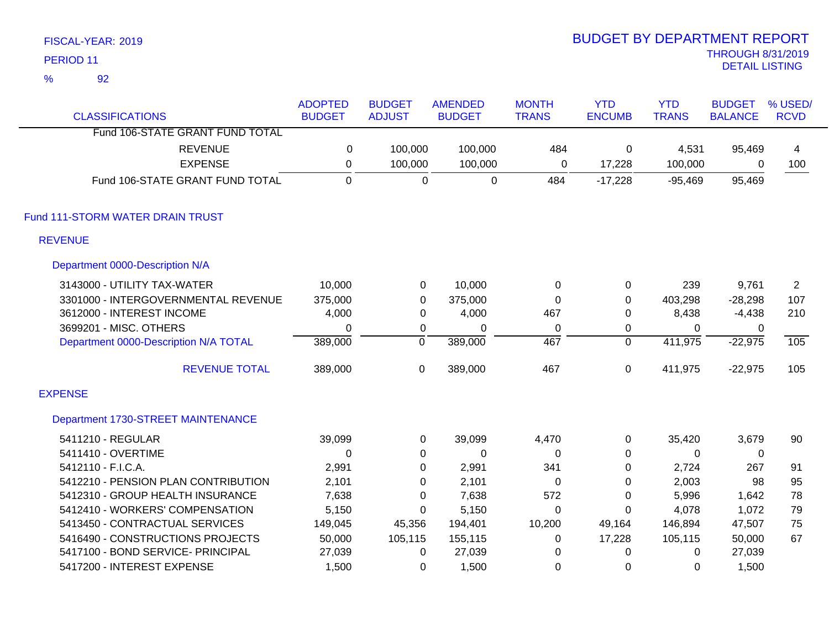| PERIOD <sub>11</sub> |                                       |                                 |                                |                                 |                              |                             |                            | <b>THROUGH 8/31/2019</b><br><b>DETAIL LISTING</b> |                        |
|----------------------|---------------------------------------|---------------------------------|--------------------------------|---------------------------------|------------------------------|-----------------------------|----------------------------|---------------------------------------------------|------------------------|
| $\frac{9}{6}$        | 92                                    |                                 |                                |                                 |                              |                             |                            |                                                   |                        |
|                      | <b>CLASSIFICATIONS</b>                | <b>ADOPTED</b><br><b>BUDGET</b> | <b>BUDGET</b><br><b>ADJUST</b> | <b>AMENDED</b><br><b>BUDGET</b> | <b>MONTH</b><br><b>TRANS</b> | <b>YTD</b><br><b>ENCUMB</b> | <b>YTD</b><br><b>TRANS</b> | <b>BUDGET</b><br><b>BALANCE</b>                   | % USED/<br><b>RCVD</b> |
|                      | Fund 106-STATE GRANT FUND TOTAL       |                                 |                                |                                 |                              |                             |                            |                                                   |                        |
|                      | <b>REVENUE</b>                        | 0                               | 100,000                        | 100,000                         | 484                          | 0                           | 4,531                      | 95,469                                            | 4                      |
|                      | <b>EXPENSE</b>                        | $\pmb{0}$                       | 100,000                        | 100,000                         | $\mathbf 0$                  | 17,228                      | 100,000                    | 0                                                 | 100                    |
|                      | Fund 106-STATE GRANT FUND TOTAL       | $\mathbf 0$                     | $\mathbf 0$                    | $\mathbf 0$                     | 484                          | $-17,228$                   | $-95,469$                  | 95,469                                            |                        |
|                      | Fund 111-STORM WATER DRAIN TRUST      |                                 |                                |                                 |                              |                             |                            |                                                   |                        |
| <b>REVENUE</b>       |                                       |                                 |                                |                                 |                              |                             |                            |                                                   |                        |
|                      | Department 0000-Description N/A       |                                 |                                |                                 |                              |                             |                            |                                                   |                        |
|                      | 3143000 - UTILITY TAX-WATER           | 10,000                          | $\mathbf 0$                    | 10,000                          | $\mathbf 0$                  | 0                           | 239                        | 9,761                                             | $\overline{2}$         |
|                      | 3301000 - INTERGOVERNMENTAL REVENUE   | 375,000                         | $\mathbf 0$                    | 375,000                         | $\mathbf 0$                  | 0                           | 403,298                    | $-28,298$                                         | 107                    |
|                      | 3612000 - INTEREST INCOME             | 4,000                           | $\boldsymbol{0}$               | 4,000                           | 467                          | 0                           | 8,438                      | $-4,438$                                          | 210                    |
|                      | 3699201 - MISC. OTHERS                | 0                               | $\mathbf 0$                    | $\mathbf 0$                     | $\mathbf 0$                  | 0                           | $\Omega$                   | $\Omega$                                          |                        |
|                      | Department 0000-Description N/A TOTAL | 389,000                         | $\overline{0}$                 | 389,000                         | 467                          | $\overline{0}$              | 411,975                    | $-22,975$                                         | 105                    |
|                      | <b>REVENUE TOTAL</b>                  | 389,000                         | $\mathbf 0$                    | 389,000                         | 467                          | 0                           | 411,975                    | $-22,975$                                         | 105                    |
| <b>EXPENSE</b>       |                                       |                                 |                                |                                 |                              |                             |                            |                                                   |                        |
|                      | Department 1730-STREET MAINTENANCE    |                                 |                                |                                 |                              |                             |                            |                                                   |                        |
|                      | 5411210 - REGULAR                     | 39,099                          | $\mathbf 0$                    | 39,099                          | 4,470                        | 0                           | 35,420                     | 3,679                                             | 90                     |
|                      | 5411410 - OVERTIME                    | $\mathbf 0$                     | 0                              | $\mathbf 0$                     | 0                            | 0                           | 0                          | $\mathbf 0$                                       |                        |
|                      | 5412110 - F.I.C.A.                    | 2,991                           | $\boldsymbol{0}$               | 2,991                           | 341                          | 0                           | 2,724                      | 267                                               | 91                     |
|                      | 5412210 - PENSION PLAN CONTRIBUTION   | 2,101                           | $\mathbf 0$                    | 2,101                           | $\mathbf 0$                  | $\Omega$                    | 2,003                      | 98                                                | 95                     |
|                      | 5412310 - GROUP HEALTH INSURANCE      | 7,638                           | 0                              | 7,638                           | 572                          | 0                           | 5,996                      | 1,642                                             | 78                     |
|                      | 5412410 - WORKERS' COMPENSATION       | 5,150                           | 0                              | 5,150                           | 0                            | 0                           | 4,078                      | 1,072                                             | 79                     |
|                      | 5413450 - CONTRACTUAL SERVICES        | 149,045                         | 45,356                         | 194,401                         | 10,200                       | 49,164                      | 146,894                    | 47,507                                            | 75                     |
|                      | 5416490 - CONSTRUCTIONS PROJECTS      | 50,000                          | 105,115                        | 155,115                         | 0                            | 17,228                      | 105,115                    | 50,000                                            | 67                     |
|                      | 5417100 - BOND SERVICE- PRINCIPAL     | 27,039                          | $\mathbf 0$                    | 27,039                          | 0                            | 0                           | $\mathbf 0$                | 27,039                                            |                        |
|                      | 5417200 - INTEREST EXPENSE            | 1,500                           | 0                              | 1,500                           | 0                            | 0                           | 0                          | 1,500                                             |                        |

BUDGET BY DEPARTMENT REPORT

FISCAL-YEAR: 2019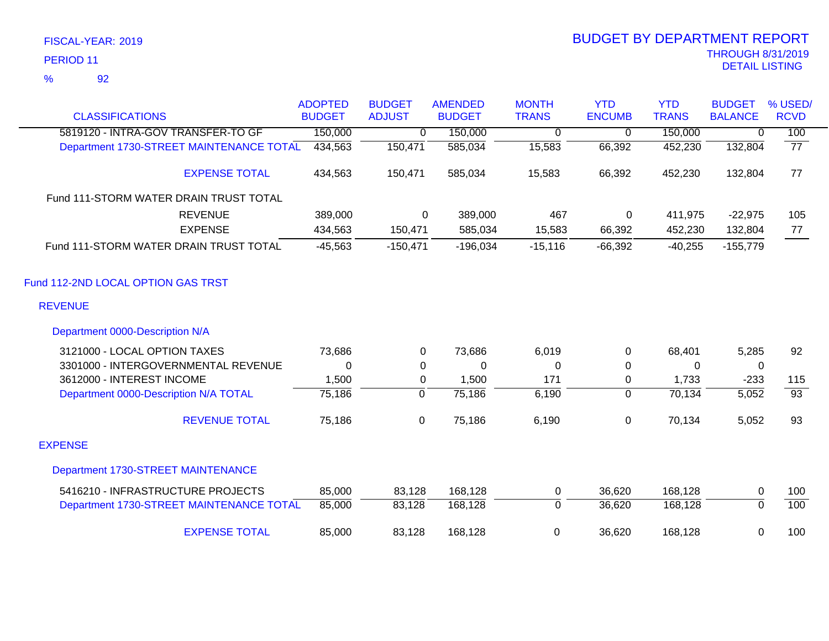|                                          | <b>ADOPTED</b> | <b>BUDGET</b>  | <b>AMENDED</b> | <b>MONTH</b>   | <b>YTD</b>    | <b>YTD</b>   | <b>BUDGET</b>  | % USED/         |
|------------------------------------------|----------------|----------------|----------------|----------------|---------------|--------------|----------------|-----------------|
| <b>CLASSIFICATIONS</b>                   | <b>BUDGET</b>  | <b>ADJUST</b>  | <b>BUDGET</b>  | <b>TRANS</b>   | <b>ENCUMB</b> | <b>TRANS</b> | <b>BALANCE</b> | <b>RCVD</b>     |
| 5819120 - INTRA-GOV TRANSFER-TO GF       | 150,000        | 0              | 150,000        | 0              | 0             | 150,000      | 0              | 100             |
| Department 1730-STREET MAINTENANCE TOTAL | 434,563        | 150,471        | 585,034        | 15,583         | 66,392        | 452,230      | 132,804        | $\overline{77}$ |
| <b>EXPENSE TOTAL</b>                     | 434,563        | 150,471        | 585,034        | 15,583         | 66,392        | 452,230      | 132,804        | 77              |
| Fund 111-STORM WATER DRAIN TRUST TOTAL   |                |                |                |                |               |              |                |                 |
| <b>REVENUE</b>                           | 389,000        | 0              | 389,000        | 467            | 0             | 411,975      | $-22,975$      | 105             |
| <b>EXPENSE</b>                           | 434,563        | 150,471        | 585,034        | 15,583         | 66,392        | 452,230      | 132,804        | 77              |
| Fund 111-STORM WATER DRAIN TRUST TOTAL   | $-45,563$      | $-150,471$     | $-196,034$     | $-15,116$      | $-66,392$     | $-40,255$    | $-155,779$     |                 |
| Fund 112-2ND LOCAL OPTION GAS TRST       |                |                |                |                |               |              |                |                 |
| <b>REVENUE</b>                           |                |                |                |                |               |              |                |                 |
| Department 0000-Description N/A          |                |                |                |                |               |              |                |                 |
| 3121000 - LOCAL OPTION TAXES             | 73,686         | $\Omega$       | 73,686         | 6,019          | 0             | 68,401       | 5,285          | 92              |
| 3301000 - INTERGOVERNMENTAL REVENUE      | 0              | 0              | 0              | 0              | 0             | 0            | 0              |                 |
| 3612000 - INTEREST INCOME                | 1,500          | 0              | 1,500          | 171            | 0             | 1,733        | $-233$         | 115             |
| Department 0000-Description N/A TOTAL    | 75,186         | $\overline{0}$ | 75,186         | 6,190          | $\mathbf 0$   | 70,134       | 5,052          | $\overline{93}$ |
| <b>REVENUE TOTAL</b>                     | 75,186         | $\pmb{0}$      | 75,186         | 6,190          | $\pmb{0}$     | 70,134       | 5,052          | 93              |
| <b>EXPENSE</b>                           |                |                |                |                |               |              |                |                 |
| Department 1730-STREET MAINTENANCE       |                |                |                |                |               |              |                |                 |
| 5416210 - INFRASTRUCTURE PROJECTS        | 85,000         | 83,128         | 168,128        | $\mathbf 0$    | 36,620        | 168,128      | 0              | 100             |
| Department 1730-STREET MAINTENANCE TOTAL | 85,000         | 83,128         | 168,128        | $\overline{0}$ | 36,620        | 168,128      | $\overline{0}$ | 100             |
| <b>EXPENSE TOTAL</b>                     | 85,000         | 83,128         | 168,128        | $\mathbf 0$    | 36,620        | 168,128      | 0              | 100             |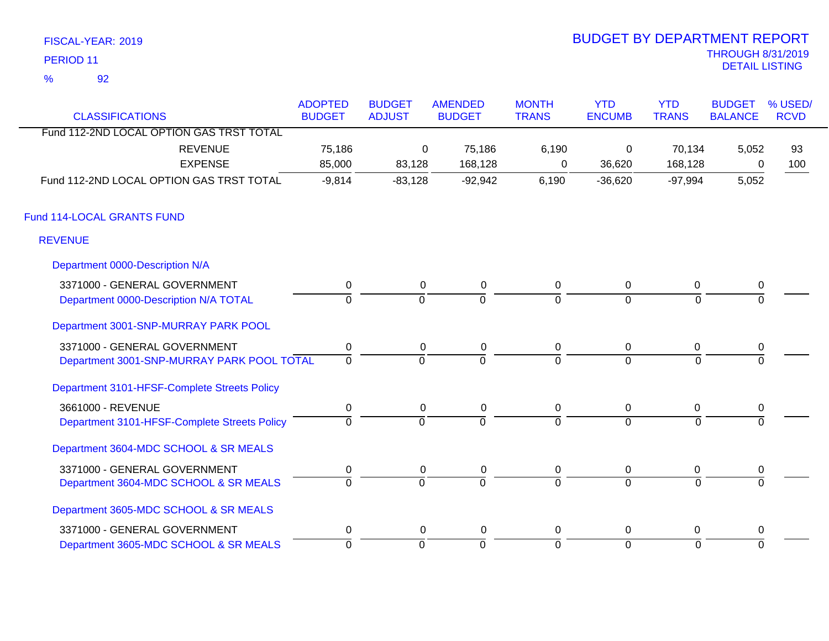| FISCAL-YEAR: 2019 | <b>BUDGET BY DEPARTMENT REPORT</b> |
|-------------------|------------------------------------|
| PERIOD 11         | <b>THROUGH 8/31/2019</b>           |
| $\%$              | DETAIL LISTING                     |
|                   |                                    |

# BUDGET BY DEPARTMENT REPORT

| <b>CLASSIFICATIONS</b>                       | <b>ADOPTED</b><br><b>BUDGET</b> | <b>BUDGET</b><br><b>ADJUST</b> | <b>AMENDED</b><br><b>BUDGET</b> | <b>MONTH</b><br><b>TRANS</b> | <b>YTD</b><br><b>ENCUMB</b> | <b>YTD</b><br><b>TRANS</b> | <b>BUDGET</b><br><b>BALANCE</b> | % USED/<br><b>RCVD</b> |
|----------------------------------------------|---------------------------------|--------------------------------|---------------------------------|------------------------------|-----------------------------|----------------------------|---------------------------------|------------------------|
| Fund 112-2ND LOCAL OPTION GAS TRST TOTAL     |                                 |                                |                                 |                              |                             |                            |                                 |                        |
| <b>REVENUE</b>                               | 75,186                          | 0                              | 75,186                          | 6,190                        | 0                           | 70,134                     | 5,052                           | 93                     |
| <b>EXPENSE</b>                               | 85,000                          | 83,128                         | 168,128                         | 0                            | 36,620                      | 168,128                    | 0                               | 100                    |
| Fund 112-2ND LOCAL OPTION GAS TRST TOTAL     | $-9,814$                        | $-83,128$                      | $-92,942$                       | 6,190                        | $-36,620$                   | $-97,994$                  | 5,052                           |                        |
| Fund 114-LOCAL GRANTS FUND                   |                                 |                                |                                 |                              |                             |                            |                                 |                        |
| <b>REVENUE</b>                               |                                 |                                |                                 |                              |                             |                            |                                 |                        |
| Department 0000-Description N/A              |                                 |                                |                                 |                              |                             |                            |                                 |                        |
| 3371000 - GENERAL GOVERNMENT                 | $\pmb{0}$                       | 0                              | $\pmb{0}$                       | $\mathbf 0$                  | $\mathbf 0$                 | $\mathbf 0$                | $\pmb{0}$                       |                        |
| Department 0000-Description N/A TOTAL        | $\Omega$                        | $\Omega$                       | $\Omega$                        | $\Omega$                     | $\Omega$                    | $\Omega$                   |                                 |                        |
| Department 3001-SNP-MURRAY PARK POOL         |                                 |                                |                                 |                              |                             |                            |                                 |                        |
| 3371000 - GENERAL GOVERNMENT                 | $\pmb{0}$                       | 0                              | 0                               | 0                            | $\overline{0}$              | 0                          | 0                               |                        |
| Department 3001-SNP-MURRAY PARK POOL TOTAL   | $\overline{0}$                  | $\overline{0}$                 | $\Omega$                        | $\Omega$                     | $\Omega$                    | $\Omega$                   |                                 |                        |
| Department 3101-HFSF-Complete Streets Policy |                                 |                                |                                 |                              |                             |                            |                                 |                        |
| 3661000 - REVENUE                            | $\mathbf 0$                     | 0                              | 0                               | $\mathsf 0$                  | $\overline{0}$              | $\mathbf 0$                | $\pmb{0}$                       |                        |
| Department 3101-HFSF-Complete Streets Policy | $\Omega$                        | $\overline{0}$                 | $\Omega$                        | $\overline{0}$               | $\Omega$                    | $\Omega$                   |                                 |                        |
| Department 3604-MDC SCHOOL & SR MEALS        |                                 |                                |                                 |                              |                             |                            |                                 |                        |
| 3371000 - GENERAL GOVERNMENT                 | $\boldsymbol{0}$                | 0                              | 0                               | 0                            | $\mathbf 0$                 | 0                          | 0                               |                        |
| Department 3604-MDC SCHOOL & SR MEALS        | $\overline{0}$                  | ō                              | $\overline{0}$                  | $\overline{0}$               | $\overline{0}$              | $\Omega$                   | $\Omega$                        |                        |
| Department 3605-MDC SCHOOL & SR MEALS        |                                 |                                |                                 |                              |                             |                            |                                 |                        |
| 3371000 - GENERAL GOVERNMENT                 | $\mathbf 0$                     | 0                              | 0                               | $\mathbf 0$                  | $\mathbf 0$                 | 0                          | $\pmb{0}$                       |                        |
| Department 3605-MDC SCHOOL & SR MEALS        | $\overline{0}$                  | $\mathbf 0$                    | $\overline{0}$                  | $\overline{0}$               | $\mathbf 0$                 | $\overline{0}$             | $\Omega$                        |                        |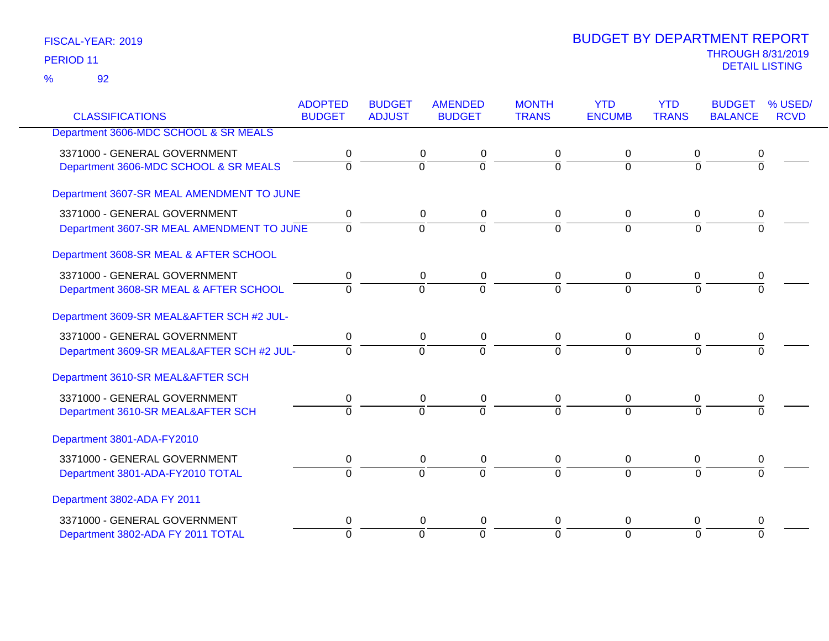|                                           | <b>ADOPTED</b> | <b>BUDGET</b>  | <b>AMENDED</b> | <b>MONTH</b>   | <b>YTD</b>     | <b>YTD</b>     | <b>BUDGET</b>  | % USED/     |
|-------------------------------------------|----------------|----------------|----------------|----------------|----------------|----------------|----------------|-------------|
| <b>CLASSIFICATIONS</b>                    | <b>BUDGET</b>  | <b>ADJUST</b>  | <b>BUDGET</b>  | <b>TRANS</b>   | <b>ENCUMB</b>  | <b>TRANS</b>   | <b>BALANCE</b> | <b>RCVD</b> |
| Department 3606-MDC SCHOOL & SR MEALS     |                |                |                |                |                |                |                |             |
| 3371000 - GENERAL GOVERNMENT              | 0              | 0              | 0              | 0              | 0              | 0              | 0              |             |
| Department 3606-MDC SCHOOL & SR MEALS     | $\overline{0}$ | $\overline{0}$ | $\overline{0}$ | $\Omega$       | $\Omega$       | $\Omega$       | $\overline{0}$ |             |
| Department 3607-SR MEAL AMENDMENT TO JUNE |                |                |                |                |                |                |                |             |
| 3371000 - GENERAL GOVERNMENT              | 0              | $\mathbf 0$    | $\mathbf 0$    | 0              | 0              | 0              | 0              |             |
| Department 3607-SR MEAL AMENDMENT TO JUNE | $\mathbf 0$    | $\overline{0}$ | $\overline{0}$ | $\overline{0}$ | $\overline{0}$ | $\Omega$       | 0              |             |
|                                           |                |                |                |                |                |                |                |             |
| Department 3608-SR MEAL & AFTER SCHOOL    |                |                |                |                |                |                |                |             |
| 3371000 - GENERAL GOVERNMENT              | 0              | 0              | 0              | 0              | 0              | 0              |                |             |
| Department 3608-SR MEAL & AFTER SCHOOL    | $\Omega$       | $\Omega$       | $\overline{0}$ | $\Omega$       | $\Omega$       | $\Omega$       | 0              |             |
| Department 3609-SR MEAL&AFTER SCH #2 JUL- |                |                |                |                |                |                |                |             |
|                                           |                |                |                |                |                |                |                |             |
| 3371000 - GENERAL GOVERNMENT              | 0              | $\mathbf 0$    | 0              | 0              | $\mathbf 0$    | 0              | 0              |             |
| Department 3609-SR MEAL&AFTER SCH #2 JUL- | $\Omega$       | $\Omega$       | $\overline{0}$ | $\Omega$       | $\Omega$       | $\overline{0}$ | $\overline{0}$ |             |
| Department 3610-SR MEAL&AFTER SCH         |                |                |                |                |                |                |                |             |
| 3371000 - GENERAL GOVERNMENT              | 0              | $\mathbf 0$    | $\mathbf 0$    | $\mathbf 0$    | $\pmb{0}$      | 0              | 0              |             |
| Department 3610-SR MEAL&AFTER SCH         | $\Omega$       | $\Omega$       | $\overline{0}$ | $\Omega$       | $\Omega$       | $\Omega$       | $\Omega$       |             |
| Department 3801-ADA-FY2010                |                |                |                |                |                |                |                |             |
| 3371000 - GENERAL GOVERNMENT              | 0              | 0              | $\mathbf 0$    | 0              | 0              | 0              | 0              |             |
| Department 3801-ADA-FY2010 TOTAL          | $\Omega$       | $\mathbf 0$    | $\overline{0}$ | $\Omega$       | $\overline{0}$ | $\Omega$       | $\Omega$       |             |
|                                           |                |                |                |                |                |                |                |             |
| Department 3802-ADA FY 2011               |                |                |                |                |                |                |                |             |
| 3371000 - GENERAL GOVERNMENT              | 0              | $\mathbf 0$    | $\mathbf 0$    | 0              | 0              | 0              | 0              |             |
| Department 3802-ADA FY 2011 TOTAL         | $\Omega$       | $\Omega$       | $\overline{0}$ | $\Omega$       | $\overline{0}$ | $\Omega$       | $\overline{0}$ |             |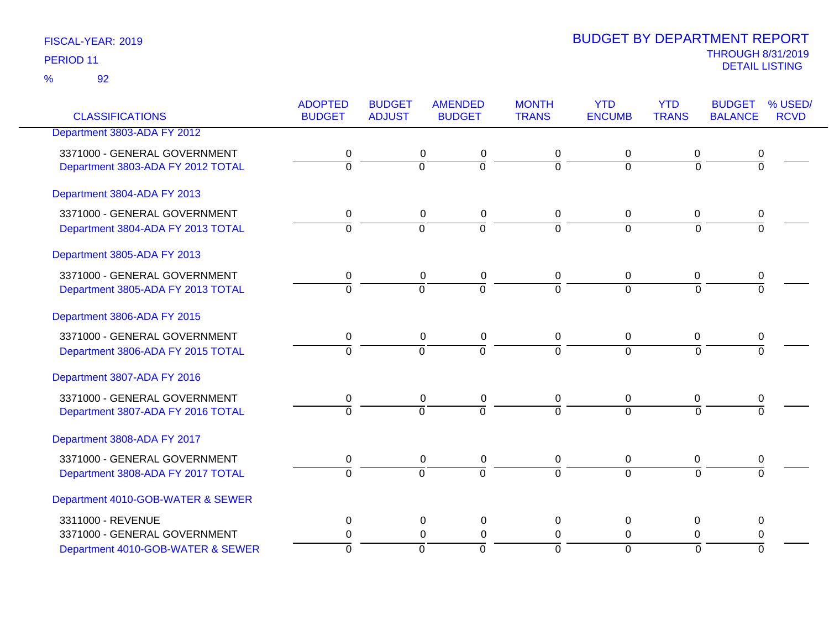|                                   | <b>ADOPTED</b> | <b>BUDGET</b>  | <b>AMENDED</b> | <b>MONTH</b>   | <b>YTD</b>     | <b>YTD</b>     | <b>BUDGET</b>    | % USED/     |
|-----------------------------------|----------------|----------------|----------------|----------------|----------------|----------------|------------------|-------------|
| <b>CLASSIFICATIONS</b>            | <b>BUDGET</b>  | <b>ADJUST</b>  | <b>BUDGET</b>  | <b>TRANS</b>   | <b>ENCUMB</b>  | <b>TRANS</b>   | <b>BALANCE</b>   | <b>RCVD</b> |
| Department 3803-ADA FY 2012       |                |                |                |                |                |                |                  |             |
| 3371000 - GENERAL GOVERNMENT      | 0              | 0              | 0              | 0              | $\mathbf 0$    | 0              | $\boldsymbol{0}$ |             |
| Department 3803-ADA FY 2012 TOTAL | $\overline{0}$ | $\overline{0}$ | $\overline{0}$ | $\overline{0}$ | $\Omega$       | $\overline{0}$ | $\overline{0}$   |             |
| Department 3804-ADA FY 2013       |                |                |                |                |                |                |                  |             |
| 3371000 - GENERAL GOVERNMENT      | 0              | $\mathbf 0$    | $\pmb{0}$      | 0              | 0              | 0              | 0                |             |
| Department 3804-ADA FY 2013 TOTAL | $\overline{0}$ | $\overline{0}$ | $\overline{0}$ | $\overline{0}$ | $\overline{0}$ | $\overline{0}$ | $\overline{0}$   |             |
| Department 3805-ADA FY 2013       |                |                |                |                |                |                |                  |             |
| 3371000 - GENERAL GOVERNMENT      | 0              | 0              | $\pmb{0}$      | 0              | 0              | 0              | 0                |             |
| Department 3805-ADA FY 2013 TOTAL | $\overline{0}$ | $\overline{0}$ | $\overline{0}$ | $\overline{0}$ | $\overline{0}$ | $\overline{0}$ | $\overline{0}$   |             |
| Department 3806-ADA FY 2015       |                |                |                |                |                |                |                  |             |
| 3371000 - GENERAL GOVERNMENT      | 0              | 0              | $\pmb{0}$      | $\mathbf 0$    | 0              | 0              | 0                |             |
| Department 3806-ADA FY 2015 TOTAL | $\overline{0}$ | $\overline{0}$ | $\overline{0}$ | $\overline{0}$ | $\overline{0}$ | $\overline{0}$ | $\overline{0}$   |             |
| Department 3807-ADA FY 2016       |                |                |                |                |                |                |                  |             |
| 3371000 - GENERAL GOVERNMENT      | 0              | 0              | $\pmb{0}$      | 0              | 0              | 0              | 0                |             |
| Department 3807-ADA FY 2016 TOTAL | $\overline{0}$ | $\overline{0}$ | $\overline{0}$ | $\overline{0}$ | $\overline{0}$ | $\overline{0}$ | $\overline{0}$   |             |
| Department 3808-ADA FY 2017       |                |                |                |                |                |                |                  |             |
| 3371000 - GENERAL GOVERNMENT      | $\pmb{0}$      | 0              | $\pmb{0}$      | 0              | $\mathbf 0$    | $\mathbf 0$    | $\pmb{0}$        |             |
| Department 3808-ADA FY 2017 TOTAL | $\overline{0}$ | $\overline{0}$ | $\overline{0}$ | $\overline{0}$ | $\overline{0}$ | $\overline{0}$ | $\overline{0}$   |             |
| Department 4010-GOB-WATER & SEWER |                |                |                |                |                |                |                  |             |
| 3311000 - REVENUE                 | 0              | 0              | $\mathbf 0$    | $\Omega$       | 0              | $\Omega$       | 0                |             |
| 3371000 - GENERAL GOVERNMENT      | 0              | $\mathbf 0$    | $\pmb{0}$      | $\mathbf 0$    | 0              | 0              | 0                |             |
| Department 4010-GOB-WATER & SEWER | $\overline{0}$ | $\overline{0}$ | $\overline{0}$ | $\overline{0}$ | $\overline{0}$ | $\overline{0}$ | $\Omega$         |             |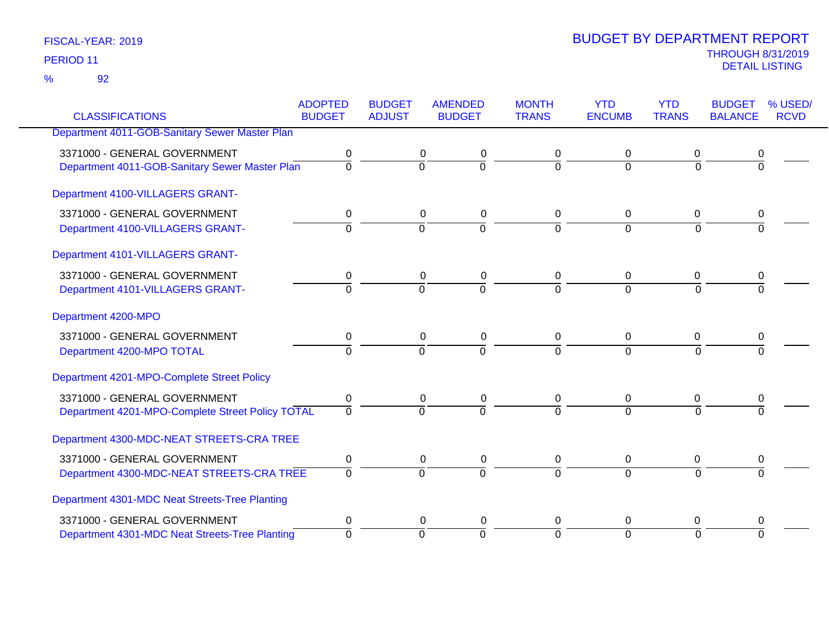|                                                  | <b>ADOPTED</b> | <b>BUDGET</b>  | <b>AMENDED</b> | <b>MONTH</b>   | <b>YTD</b>     | <b>YTD</b>   | <b>BUDGET</b>  | % USED/     |
|--------------------------------------------------|----------------|----------------|----------------|----------------|----------------|--------------|----------------|-------------|
| <b>CLASSIFICATIONS</b>                           | <b>BUDGET</b>  | <b>ADJUST</b>  | <b>BUDGET</b>  | <b>TRANS</b>   | <b>ENCUMB</b>  | <b>TRANS</b> | <b>BALANCE</b> | <b>RCVD</b> |
| Department 4011-GOB-Sanitary Sewer Master Plan   |                |                |                |                |                |              |                |             |
| 3371000 - GENERAL GOVERNMENT                     | 0              | 0              | 0              | 0              | 0              | 0            | 0              |             |
| Department 4011-GOB-Sanitary Sewer Master Plan   | $\overline{0}$ | $\mathbf 0$    | ō              | $\Omega$       | $\mathbf{0}$   | $\Omega$     | 0              |             |
| Department 4100-VILLAGERS GRANT-                 |                |                |                |                |                |              |                |             |
| 3371000 - GENERAL GOVERNMENT                     | 0              | $\mathbf 0$    | $\pmb{0}$      | 0              | $\mathbf 0$    | $\mathbf 0$  | 0              |             |
| Department 4100-VILLAGERS GRANT-                 | $\mathbf 0$    | $\overline{0}$ | $\overline{0}$ | $\overline{0}$ | $\mathbf 0$    | $\mathbf 0$  | $\overline{0}$ |             |
| Department 4101-VILLAGERS GRANT-                 |                |                |                |                |                |              |                |             |
| 3371000 - GENERAL GOVERNMENT                     | 0              | 0              | 0              | 0              | 0              | 0            | 0              |             |
| Department 4101-VILLAGERS GRANT-                 | $\Omega$       | $\Omega$       | $\overline{0}$ | $\Omega$       | $\Omega$       | $\Omega$     | $\Omega$       |             |
| Department 4200-MPO                              |                |                |                |                |                |              |                |             |
| 3371000 - GENERAL GOVERNMENT                     | $\pmb{0}$      | $\mathbf 0$    | $\pmb{0}$      | $\overline{0}$ | 0              | $\mathbf 0$  | 0              |             |
| Department 4200-MPO TOTAL                        | $\Omega$       | $\Omega$       | $\overline{0}$ | $\Omega$       | $\Omega$       | $\Omega$     | $\Omega$       |             |
| Department 4201-MPO-Complete Street Policy       |                |                |                |                |                |              |                |             |
| 3371000 - GENERAL GOVERNMENT                     | 0              | $\mathbf 0$    | $\pmb{0}$      | $\mathbf 0$    | 0              | $\mathbf 0$  | 0              |             |
| Department 4201-MPO-Complete Street Policy TOTAL | $\mathbf 0$    | $\Omega$       | $\Omega$       | $\Omega$       | $\Omega$       | $\Omega$     | $\Omega$       |             |
| Department 4300-MDC-NEAT STREETS-CRA TREE        |                |                |                |                |                |              |                |             |
| 3371000 - GENERAL GOVERNMENT                     | 0              | $\mathbf 0$    | $\pmb{0}$      | 0              | 0              | $\mathbf 0$  | 0              |             |
| Department 4300-MDC-NEAT STREETS-CRA TREE        | $\overline{0}$ | $\overline{0}$ | $\overline{0}$ | $\Omega$       | $\overline{0}$ | $\Omega$     | $\overline{0}$ |             |
| Department 4301-MDC Neat Streets-Tree Planting   |                |                |                |                |                |              |                |             |
| 3371000 - GENERAL GOVERNMENT                     | 0              |                | 0<br>0         | 0              | 0              | 0            | 0              |             |
| Department 4301-MDC Neat Streets-Tree Planting   | $\mathbf 0$    | $\mathbf 0$    | $\Omega$       | $\Omega$       | $\Omega$       | $\Omega$     | $\Omega$       |             |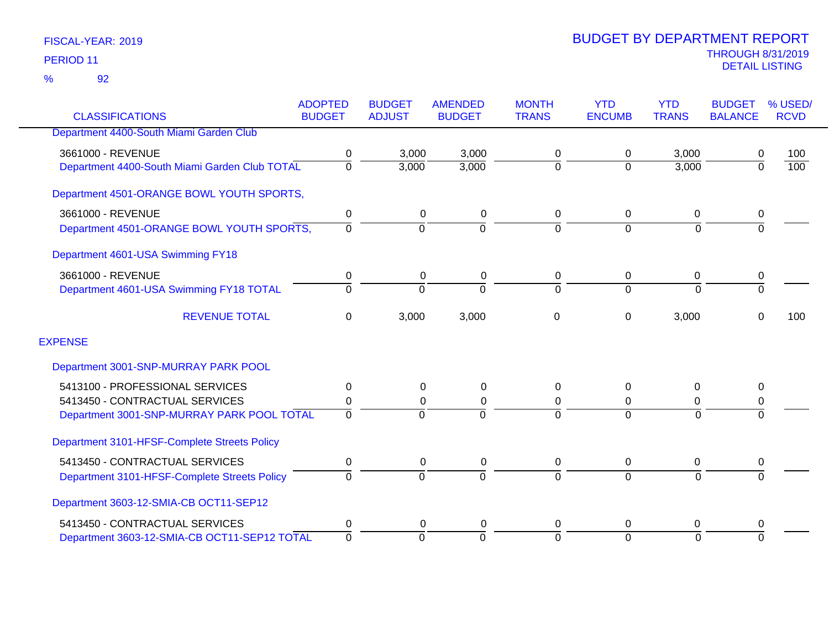|                                               | <b>ADOPTED</b> | <b>BUDGET</b>  | <b>AMENDED</b> | <b>MONTH</b>   | <b>YTD</b>    | <b>YTD</b>     | <b>BUDGET</b>  | % USED/          |
|-----------------------------------------------|----------------|----------------|----------------|----------------|---------------|----------------|----------------|------------------|
| <b>CLASSIFICATIONS</b>                        | <b>BUDGET</b>  | <b>ADJUST</b>  | <b>BUDGET</b>  | <b>TRANS</b>   | <b>ENCUMB</b> | <b>TRANS</b>   | <b>BALANCE</b> | <b>RCVD</b>      |
| Department 4400-South Miami Garden Club       |                |                |                |                |               |                |                |                  |
| 3661000 - REVENUE                             | 0              | 3,000          | 3,000          | 0              | 0             | 3,000          | 0              | 100              |
| Department 4400-South Miami Garden Club TOTAL | 0              | 3,000          | 3,000          | $\mathbf 0$    | $\Omega$      | 3,000          | $\overline{0}$ | $\overline{100}$ |
| Department 4501-ORANGE BOWL YOUTH SPORTS,     |                |                |                |                |               |                |                |                  |
| 3661000 - REVENUE                             | 0              | 0              | 0              | 0              | 0             | 0              | 0              |                  |
| Department 4501-ORANGE BOWL YOUTH SPORTS,     | $\Omega$       | $\overline{0}$ | $\Omega$       | $\overline{0}$ | $\Omega$      | $\mathbf 0$    | $\overline{0}$ |                  |
| Department 4601-USA Swimming FY18             |                |                |                |                |               |                |                |                  |
| 3661000 - REVENUE                             | 0              | 0              | 0              | 0              | 0             | 0              | 0              |                  |
| Department 4601-USA Swimming FY18 TOTAL       | $\Omega$       | $\Omega$       | $\Omega$       | $\Omega$       | $\Omega$      | $\Omega$       | $\overline{0}$ |                  |
| <b>REVENUE TOTAL</b>                          | 0              | 3,000          | 3,000          | 0              | 0             | 3,000          | $\Omega$       | 100              |
| <b>EXPENSE</b>                                |                |                |                |                |               |                |                |                  |
| Department 3001-SNP-MURRAY PARK POOL          |                |                |                |                |               |                |                |                  |
| 5413100 - PROFESSIONAL SERVICES               | 0              | 0              | 0              | 0              | $\Omega$      | $\Omega$       | 0              |                  |
| 5413450 - CONTRACTUAL SERVICES                | 0              | 0              | 0              | 0              | 0             | 0              | 0              |                  |
| Department 3001-SNP-MURRAY PARK POOL TOTAL    | $\Omega$       | $\Omega$       |                | $\Omega$       | $\Omega$      | $\Omega$       | $\Omega$       |                  |
| Department 3101-HFSF-Complete Streets Policy  |                |                |                |                |               |                |                |                  |
| 5413450 - CONTRACTUAL SERVICES                | 0              | 0              | 0              | 0              | 0             | 0              | 0              |                  |
| Department 3101-HFSF-Complete Streets Policy  | $\Omega$       | $\overline{0}$ | $\Omega$       | 0              | $\Omega$      | $\overline{0}$ | $\Omega$       |                  |
| Department 3603-12-SMIA-CB OCT11-SEP12        |                |                |                |                |               |                |                |                  |
| 5413450 - CONTRACTUAL SERVICES                | 0              | 0              | 0              | 0              | $\Omega$      | 0              | 0              |                  |
| Department 3603-12-SMIA-CB OCT11-SEP12 TOTAL  | $\overline{0}$ | $\Omega$       | $\Omega$       | $\overline{0}$ | $\Omega$      | $\Omega$       | $\Omega$       |                  |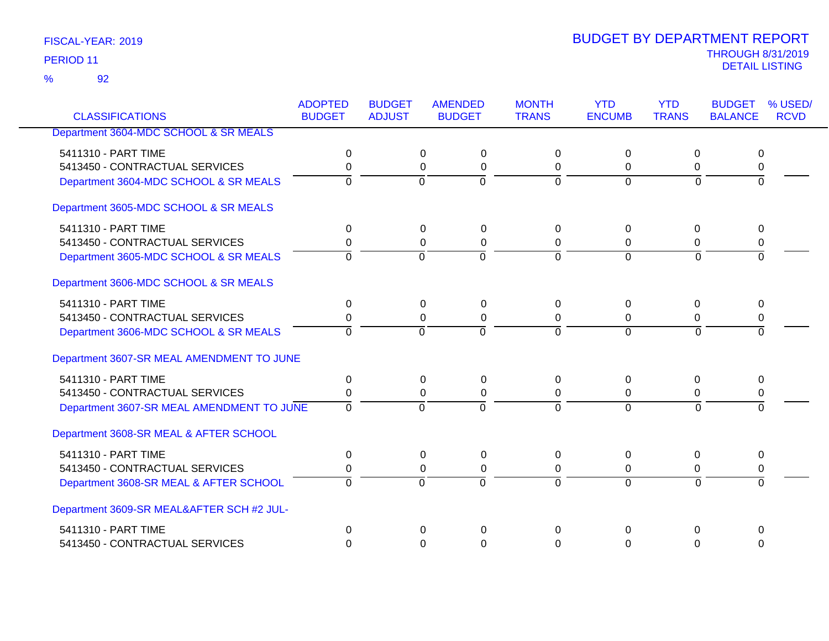92 %

|                                           | <b>ADOPTED</b> | <b>BUDGET</b>  | <b>AMENDED</b>       | <b>MONTH</b>   | <b>YTD</b>     | <b>YTD</b>     | <b>BUDGET</b>  | % USED/     |
|-------------------------------------------|----------------|----------------|----------------------|----------------|----------------|----------------|----------------|-------------|
| <b>CLASSIFICATIONS</b>                    | <b>BUDGET</b>  | <b>ADJUST</b>  | <b>BUDGET</b>        | <b>TRANS</b>   | <b>ENCUMB</b>  | <b>TRANS</b>   | <b>BALANCE</b> | <b>RCVD</b> |
| Department 3604-MDC SCHOOL & SR MEALS     |                |                |                      |                |                |                |                |             |
| 5411310 - PART TIME                       | 0              |                | 0<br>$\pmb{0}$       | $\Omega$       | 0              | 0              | 0              |             |
| 5413450 - CONTRACTUAL SERVICES            | 0              |                | $\Omega$<br>0        | 0              | $\Omega$       | 0              | 0              |             |
| Department 3604-MDC SCHOOL & SR MEALS     | 0              | $\overline{0}$ | $\overline{0}$       | $\overline{0}$ | $\overline{0}$ | $\overline{0}$ | $\overline{0}$ |             |
| Department 3605-MDC SCHOOL & SR MEALS     |                |                |                      |                |                |                |                |             |
| 5411310 - PART TIME                       | 0              |                | 0<br>$\pmb{0}$       | 0              | 0              | 0              | 0              |             |
| 5413450 - CONTRACTUAL SERVICES            | 0              |                | $\pmb{0}$<br>0       | $\mathbf 0$    | 0              | 0              | 0              |             |
| Department 3605-MDC SCHOOL & SR MEALS     | $\Omega$       | $\Omega$       | $\Omega$             | $\mathbf 0$    | $\mathbf 0$    | $\Omega$       | $\Omega$       |             |
| Department 3606-MDC SCHOOL & SR MEALS     |                |                |                      |                |                |                |                |             |
| 5411310 - PART TIME                       | 0              |                | 0<br>$\pmb{0}$       | 0              | 0              | 0              | 0              |             |
| 5413450 - CONTRACTUAL SERVICES            | 0              |                | 0<br>$\Omega$        | $\Omega$       | 0              | $\mathbf 0$    | 0              |             |
| Department 3606-MDC SCHOOL & SR MEALS     | $\Omega$       | $\Omega$       | $\overline{0}$       | $\Omega$       | $\overline{0}$ | $\Omega$       | $\overline{0}$ |             |
| Department 3607-SR MEAL AMENDMENT TO JUNE |                |                |                      |                |                |                |                |             |
| 5411310 - PART TIME                       | $\Omega$       |                | $\Omega$<br>$\Omega$ | $\Omega$       | $\Omega$       | $\mathbf{0}$   | $\Omega$       |             |
| 5413450 - CONTRACTUAL SERVICES            | 0              |                | 0<br>$\Omega$        | $\Omega$       | 0              | 0              | 0              |             |
| Department 3607-SR MEAL AMENDMENT TO JUNE | $\Omega$       | $\Omega$       | $\Omega$             | $\Omega$       | $\Omega$       | $\Omega$       | $\Omega$       |             |
| Department 3608-SR MEAL & AFTER SCHOOL    |                |                |                      |                |                |                |                |             |
| 5411310 - PART TIME                       | 0              |                | 0<br>0               | 0              | 0              | 0              | 0              |             |
| 5413450 - CONTRACTUAL SERVICES            | 0              |                | 0<br>$\pmb{0}$       | 0              | 0              | 0              | 0              |             |
| Department 3608-SR MEAL & AFTER SCHOOL    | $\Omega$       | $\overline{0}$ | $\overline{0}$       | $\Omega$       | $\overline{0}$ | $\Omega$       | $\Omega$       |             |
| Department 3609-SR MEAL&AFTER SCH #2 JUL- |                |                |                      |                |                |                |                |             |
| 5411310 - PART TIME                       | $\mathbf 0$    |                | $\Omega$<br>$\Omega$ | 0              | $\mathbf{0}$   | 0              | $\mathbf 0$    |             |
| 5413450 - CONTRACTUAL SERVICES            | $\Omega$       |                | $\Omega$<br>$\Omega$ | $\Omega$       | 0              | $\Omega$       | $\Omega$       |             |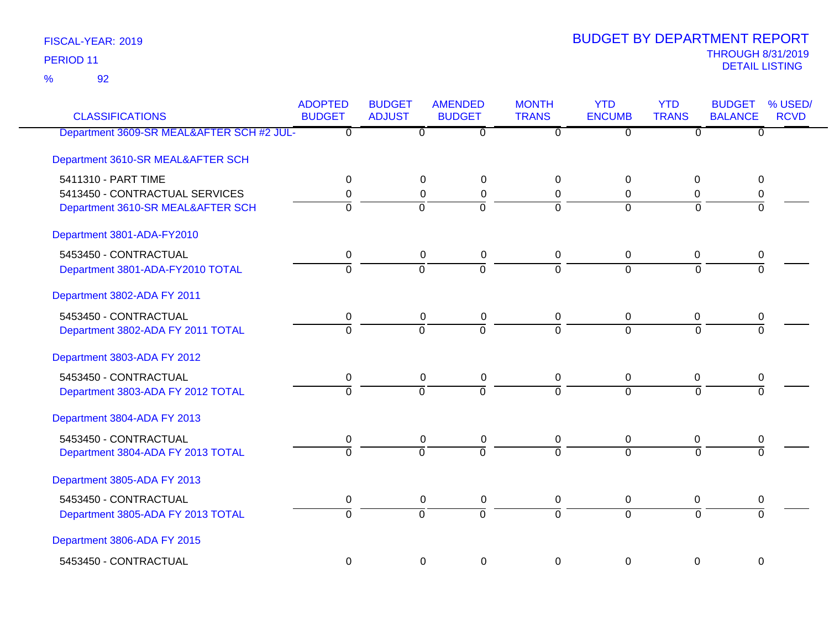92 %

| <b>CLASSIFICATIONS</b>                    | <b>ADOPTED</b><br><b>BUDGET</b> | <b>BUDGET</b><br><b>ADJUST</b> | <b>AMENDED</b><br><b>BUDGET</b> | <b>MONTH</b><br><b>TRANS</b> | <b>YTD</b><br><b>ENCUMB</b> | <b>YTD</b><br><b>TRANS</b> | <b>BUDGET</b><br><b>BALANCE</b> | % USED/<br><b>RCVD</b> |
|-------------------------------------------|---------------------------------|--------------------------------|---------------------------------|------------------------------|-----------------------------|----------------------------|---------------------------------|------------------------|
| Department 3609-SR MEAL&AFTER SCH #2 JUL- | $\Omega$                        | $\overline{0}$                 | $\overline{0}$                  | $\overline{0}$               | $\overline{0}$              | $\overline{0}$             | $\overline{0}$                  |                        |
| Department 3610-SR MEAL&AFTER SCH         |                                 |                                |                                 |                              |                             |                            |                                 |                        |
| 5411310 - PART TIME                       | 0                               | 0                              | 0                               | 0                            | $\Omega$                    | $\mathbf 0$                | 0                               |                        |
| 5413450 - CONTRACTUAL SERVICES            | 0                               | 0                              | $\pmb{0}$                       | 0                            | 0                           | 0                          | 0                               |                        |
| Department 3610-SR MEAL&AFTER SCH         | $\overline{0}$                  | $\Omega$                       | $\overline{0}$                  | $\Omega$                     | $\Omega$                    | $\Omega$                   | $\overline{0}$                  |                        |
| Department 3801-ADA-FY2010                |                                 |                                |                                 |                              |                             |                            |                                 |                        |
| 5453450 - CONTRACTUAL                     | 0                               | $\pmb{0}$                      | $\pmb{0}$                       | $\mathbf 0$                  | $\mathbf 0$                 | $\mathbf 0$                | 0                               |                        |
| Department 3801-ADA-FY2010 TOTAL          | $\Omega$                        | $\overline{0}$                 | $\overline{0}$                  | $\Omega$                     | $\overline{0}$              | $\Omega$                   | $\Omega$                        |                        |
| Department 3802-ADA FY 2011               |                                 |                                |                                 |                              |                             |                            |                                 |                        |
| 5453450 - CONTRACTUAL                     | $\mathbf 0$                     | $\mathbf 0$                    | $\pmb{0}$                       | $\mathbf 0$                  | $\mathbf 0$                 | $\mathbf 0$                | $\pmb{0}$                       |                        |
| Department 3802-ADA FY 2011 TOTAL         | $\overline{0}$                  | $\overline{0}$                 | $\overline{0}$                  | 7                            | $\overline{0}$              | $\overline{0}$             | $\overline{0}$                  |                        |
| Department 3803-ADA FY 2012               |                                 |                                |                                 |                              |                             |                            |                                 |                        |
| 5453450 - CONTRACTUAL                     | $\pmb{0}$                       | $\mathbf 0$                    | $\pmb{0}$                       | $\mathbf 0$                  | $\mathbf 0$                 | $\mathbf 0$                | 0                               |                        |
| Department 3803-ADA FY 2012 TOTAL         | $\overline{0}$                  | $\overline{0}$                 | $\overline{0}$                  | $\overline{0}$               | $\Omega$                    | $\overline{0}$             | $\overline{0}$                  |                        |
| Department 3804-ADA FY 2013               |                                 |                                |                                 |                              |                             |                            |                                 |                        |
| 5453450 - CONTRACTUAL                     | 0                               | $\mathbf 0$                    | $\pmb{0}$                       | $\mathbf 0$                  | 0                           | 0                          | 0                               |                        |
| Department 3804-ADA FY 2013 TOTAL         | $\overline{0}$                  | $\Omega$                       | $\overline{0}$                  | $\overline{0}$               | $\overline{0}$              | $\Omega$                   | $\overline{0}$                  |                        |
| Department 3805-ADA FY 2013               |                                 |                                |                                 |                              |                             |                            |                                 |                        |
| 5453450 - CONTRACTUAL                     | 0                               | $\mathbf 0$                    | $\pmb{0}$                       | $\mathbf 0$                  | $\mathbf 0$                 | 0                          | $\pmb{0}$                       |                        |
| Department 3805-ADA FY 2013 TOTAL         | $\overline{0}$                  | $\overline{0}$                 | $\overline{0}$                  | $\overline{0}$               | $\overline{0}$              | $\overline{0}$             | $\overline{0}$                  |                        |
| Department 3806-ADA FY 2015               |                                 |                                |                                 |                              |                             |                            |                                 |                        |
| 5453450 - CONTRACTUAL                     | $\mathbf 0$                     | 0                              | $\mathbf 0$                     | $\mathbf 0$                  | $\overline{0}$              | $\mathbf 0$                | 0                               |                        |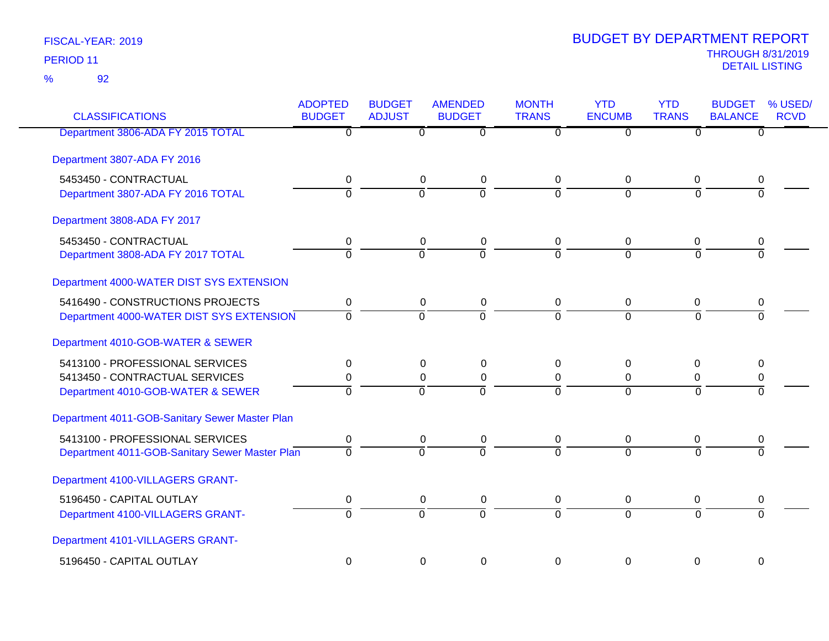## 92 %

| <b>CLASSIFICATIONS</b>                         | <b>ADOPTED</b><br><b>BUDGET</b> | <b>BUDGET</b><br><b>ADJUST</b> | <b>AMENDED</b><br><b>BUDGET</b>  | <b>MONTH</b><br><b>TRANS</b> | <b>YTD</b><br><b>ENCUMB</b> | <b>YTD</b><br><b>TRANS</b> | <b>BUDGET</b><br><b>BALANCE</b> | % USED/<br><b>RCVD</b> |
|------------------------------------------------|---------------------------------|--------------------------------|----------------------------------|------------------------------|-----------------------------|----------------------------|---------------------------------|------------------------|
| Department 3806-ADA FY 2015 TOTAL              | $\overline{0}$                  |                                | $\overline{0}$<br>$\overline{0}$ | $\overline{0}$               | $\overline{0}$              | $\overline{0}$             | $\overline{0}$                  |                        |
| Department 3807-ADA FY 2016                    |                                 |                                |                                  |                              |                             |                            |                                 |                        |
| 5453450 - CONTRACTUAL                          | 0                               |                                | $\mathbf 0$<br>$\mathbf 0$       | 0                            | 0                           | 0                          | 0                               |                        |
| Department 3807-ADA FY 2016 TOTAL              | $\overline{0}$                  |                                | $\overline{0}$<br>$\overline{0}$ | $\Omega$                     | $\Omega$                    | $\Omega$                   | 0                               |                        |
| Department 3808-ADA FY 2017                    |                                 |                                |                                  |                              |                             |                            |                                 |                        |
| 5453450 - CONTRACTUAL                          | 0                               |                                | $\mathbf 0$<br>$\mathbf 0$       | 0                            | $\pmb{0}$                   | 0                          | 0                               |                        |
| Department 3808-ADA FY 2017 TOTAL              | $\Omega$                        |                                | $\Omega$<br>$\Omega$             | $\Omega$                     | $\Omega$                    | $\Omega$                   | $\Omega$                        |                        |
| Department 4000-WATER DIST SYS EXTENSION       |                                 |                                |                                  |                              |                             |                            |                                 |                        |
| 5416490 - CONSTRUCTIONS PROJECTS               | 0                               |                                | $\mathbf 0$<br>$\mathbf 0$       | $\mathbf 0$                  | 0                           | 0                          | 0                               |                        |
| Department 4000-WATER DIST SYS EXTENSION       | $\Omega$                        |                                | $\overline{0}$<br>$\overline{0}$ | $\overline{0}$               | $\overline{0}$              | $\overline{0}$             | $\overline{0}$                  |                        |
| Department 4010-GOB-WATER & SEWER              |                                 |                                |                                  |                              |                             |                            |                                 |                        |
| 5413100 - PROFESSIONAL SERVICES                | 0                               |                                | 0<br>0                           | 0                            | 0                           | 0                          | 0                               |                        |
| 5413450 - CONTRACTUAL SERVICES                 | 0                               |                                | $\boldsymbol{0}$<br>0            | $\mathbf 0$                  | 0                           | 0                          | 0                               |                        |
| Department 4010-GOB-WATER & SEWER              | $\overline{0}$                  |                                | $\overline{0}$<br>$\Omega$       | $\Omega$                     | $\Omega$                    | $\Omega$                   | 0                               |                        |
| Department 4011-GOB-Sanitary Sewer Master Plan |                                 |                                |                                  |                              |                             |                            |                                 |                        |
| 5413100 - PROFESSIONAL SERVICES                | 0                               |                                | $\mathbf 0$<br>$\mathbf 0$       | $\mathbf 0$                  | $\mathbf 0$                 | 0                          | 0                               |                        |
| Department 4011-GOB-Sanitary Sewer Master Plan | $\Omega$                        |                                | $\overline{0}$<br>$\Omega$       | $\overline{0}$               | $\overline{0}$              | $\Omega$                   | $\Omega$                        |                        |
| Department 4100-VILLAGERS GRANT-               |                                 |                                |                                  |                              |                             |                            |                                 |                        |
| 5196450 - CAPITAL OUTLAY                       | 0                               |                                | $\mathbf 0$<br>$\mathbf 0$       | $\mathbf 0$                  | $\pmb{0}$                   | 0                          | 0                               |                        |
| Department 4100-VILLAGERS GRANT-               | $\overline{0}$                  |                                | $\overline{0}$<br>$\overline{0}$ | $\overline{0}$               | $\Omega$                    | $\Omega$                   | $\overline{0}$                  |                        |
| Department 4101-VILLAGERS GRANT-               |                                 |                                |                                  |                              |                             |                            |                                 |                        |
| 5196450 - CAPITAL OUTLAY                       | $\overline{0}$                  |                                | $\mathbf 0$<br>$\mathbf 0$       | $\mathbf 0$                  | 0                           | $\mathbf 0$                | 0                               |                        |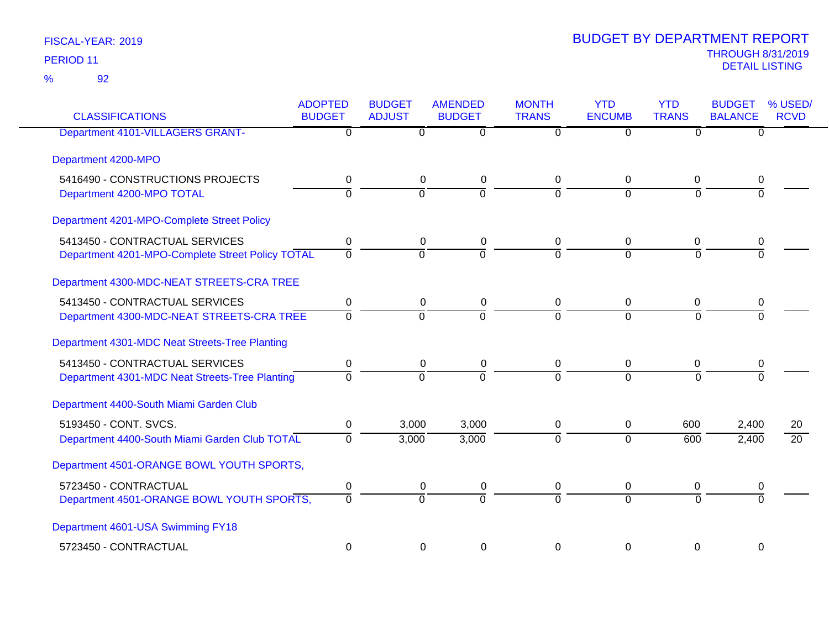| <b>CLASSIFICATIONS</b>                           | <b>ADOPTED</b><br><b>BUDGET</b> | <b>BUDGET</b><br><b>ADJUST</b> | <b>AMENDED</b><br><b>BUDGET</b> | <b>MONTH</b><br><b>TRANS</b> | <b>YTD</b><br><b>ENCUMB</b> | <b>YTD</b><br><b>TRANS</b> | <b>BUDGET</b><br><b>BALANCE</b> | % USED/<br><b>RCVD</b> |
|--------------------------------------------------|---------------------------------|--------------------------------|---------------------------------|------------------------------|-----------------------------|----------------------------|---------------------------------|------------------------|
| <b>Department 4101-VILLAGERS GRANT-</b>          | 0                               | $\Omega$                       | 0                               | $\Omega$                     | $\overline{0}$              | $\Omega$                   | 0                               |                        |
| Department 4200-MPO                              |                                 |                                |                                 |                              |                             |                            |                                 |                        |
| 5416490 - CONSTRUCTIONS PROJECTS                 | 0                               | $\mathbf 0$                    | $\mathbf 0$                     | 0                            | 0                           | $\mathbf 0$                | 0                               |                        |
| Department 4200-MPO TOTAL                        | $\mathbf 0$                     | $\overline{0}$                 | ō                               | $\Omega$                     | $\Omega$                    | $\Omega$                   | $\overline{0}$                  |                        |
| Department 4201-MPO-Complete Street Policy       |                                 |                                |                                 |                              |                             |                            |                                 |                        |
| 5413450 - CONTRACTUAL SERVICES                   | 0                               | $\mathbf 0$                    | $\mathbf 0$                     | 0                            | 0                           | $\mathbf 0$                | 0                               |                        |
| Department 4201-MPO-Complete Street Policy TOTAL | $\overline{0}$                  | $\overline{0}$                 | $\overline{0}$                  | $\overline{0}$               | $\Omega$                    | $\Omega$                   | $\Omega$                        |                        |
| Department 4300-MDC-NEAT STREETS-CRA TREE        |                                 |                                |                                 |                              |                             |                            |                                 |                        |
| 5413450 - CONTRACTUAL SERVICES                   | 0                               | $\mathbf 0$                    | $\mathbf 0$                     | $\mathbf 0$                  | $\mathbf 0$                 | $\mathbf 0$                | 0                               |                        |
| Department 4300-MDC-NEAT STREETS-CRA TREE        | $\mathbf 0$                     | $\overline{0}$                 | $\overline{0}$                  | $\Omega$                     | $\Omega$                    | $\Omega$                   | $\Omega$                        |                        |
| Department 4301-MDC Neat Streets-Tree Planting   |                                 |                                |                                 |                              |                             |                            |                                 |                        |
| 5413450 - CONTRACTUAL SERVICES                   | $\mathbf 0$                     | $\mathbf 0$                    | $\mathbf 0$                     | 0                            | 0                           | $\mathbf 0$                | 0                               |                        |
| Department 4301-MDC Neat Streets-Tree Planting   | $\mathbf 0$                     | $\overline{0}$                 | ō                               | $\overline{0}$               | $\Omega$                    | $\Omega$                   | $\overline{0}$                  |                        |
| Department 4400-South Miami Garden Club          |                                 |                                |                                 |                              |                             |                            |                                 |                        |
| 5193450 - CONT. SVCS.                            | 0                               | 3,000                          | 3,000                           | 0                            | 0                           | 600                        | 2,400                           | 20                     |
| Department 4400-South Miami Garden Club TOTAL    | $\overline{0}$                  | 3,000                          | 3,000                           | $\overline{0}$               | $\overline{0}$              | 600                        | 2,400                           | $\overline{20}$        |
| Department 4501-ORANGE BOWL YOUTH SPORTS,        |                                 |                                |                                 |                              |                             |                            |                                 |                        |
| 5723450 - CONTRACTUAL                            | 0                               | 0                              | $\boldsymbol{0}$                | 0                            | 0                           | 0                          | 0                               |                        |
| Department 4501-ORANGE BOWL YOUTH SPORTS,        | $\overline{0}$                  | $\overline{0}$                 | $\overline{0}$                  | $\overline{0}$               | $\overline{0}$              | $\overline{0}$             | $\overline{0}$                  |                        |
| Department 4601-USA Swimming FY18                |                                 |                                |                                 |                              |                             |                            |                                 |                        |
| 5723450 - CONTRACTUAL                            | 0                               | 0                              | 0                               | $\Omega$                     | 0                           | 0                          | 0                               |                        |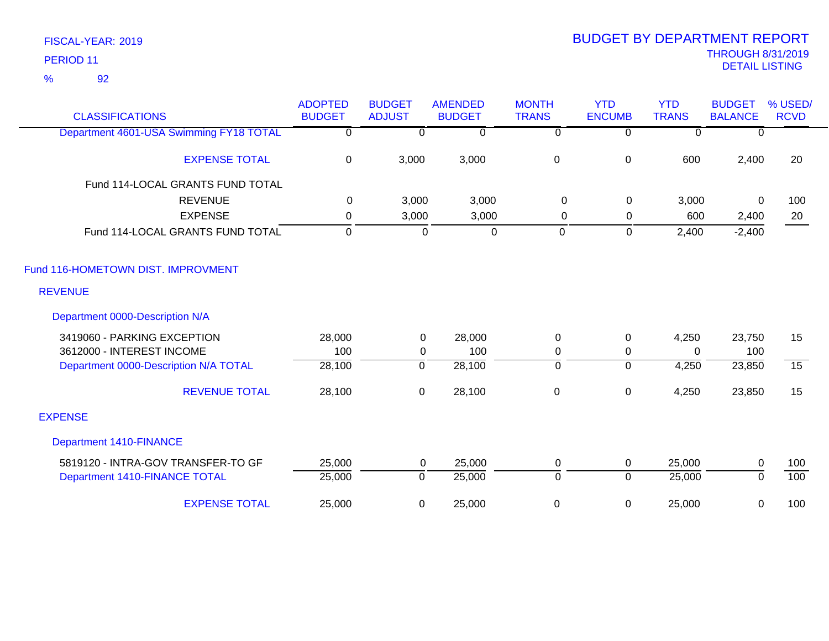92 %

| <b>CLASSIFICATIONS</b>                  | <b>ADOPTED</b><br><b>BUDGET</b> | <b>BUDGET</b><br><b>ADJUST</b> | <b>AMENDED</b><br><b>BUDGET</b> | <b>MONTH</b><br><b>TRANS</b> | <b>YTD</b><br><b>ENCUMB</b> | <b>YTD</b><br><b>TRANS</b> | <b>BUDGET</b><br><b>BALANCE</b> | % USED/<br><b>RCVD</b> |
|-----------------------------------------|---------------------------------|--------------------------------|---------------------------------|------------------------------|-----------------------------|----------------------------|---------------------------------|------------------------|
| Department 4601-USA Swimming FY18 TOTAL | $\overline{0}$                  | $\Omega$                       | $\overline{0}$                  | $\overline{0}$               | $\Omega$                    | $\overline{0}$             | $\Omega$                        |                        |
| <b>EXPENSE TOTAL</b>                    | $\mathbf 0$                     | 3,000                          | 3,000                           | $\pmb{0}$                    | $\pmb{0}$                   | 600                        | 2,400                           | 20                     |
| Fund 114-LOCAL GRANTS FUND TOTAL        |                                 |                                |                                 |                              |                             |                            |                                 |                        |
| <b>REVENUE</b>                          | $\Omega$                        | 3,000                          | 3,000                           | $\mathbf 0$                  | 0                           | 3,000                      | $\mathbf{0}$                    | 100                    |
| <b>EXPENSE</b>                          | 0                               | 3,000                          | 3,000                           | 0                            | $\mathbf 0$                 | 600                        | 2,400                           | 20                     |
| Fund 114-LOCAL GRANTS FUND TOTAL        | $\mathbf 0$                     | $\mathbf 0$                    | $\mathbf 0$                     | 0                            | $\mathbf 0$                 | 2,400                      | $-2,400$                        |                        |
| Fund 116-HOMETOWN DIST. IMPROVMENT      |                                 |                                |                                 |                              |                             |                            |                                 |                        |
| <b>REVENUE</b>                          |                                 |                                |                                 |                              |                             |                            |                                 |                        |
| Department 0000-Description N/A         |                                 |                                |                                 |                              |                             |                            |                                 |                        |
| 3419060 - PARKING EXCEPTION             | 28,000                          | $\mathbf 0$                    | 28,000                          | $\mathbf 0$                  | $\mathbf 0$                 | 4,250                      | 23,750                          | 15                     |
| 3612000 - INTEREST INCOME               | 100                             | $\mathbf 0$                    | 100                             | $\mathbf 0$                  | 0                           | $\Omega$                   | 100                             |                        |
| Department 0000-Description N/A TOTAL   | 28,100                          | 0                              | 28,100                          | $\overline{0}$               | $\overline{0}$              | 4,250                      | 23,850                          | $\overline{15}$        |
| <b>REVENUE TOTAL</b>                    | 28,100                          | $\mathbf 0$                    | 28,100                          | $\boldsymbol{0}$             | $\pmb{0}$                   | 4,250                      | 23,850                          | 15                     |
| <b>EXPENSE</b>                          |                                 |                                |                                 |                              |                             |                            |                                 |                        |
| <b>Department 1410-FINANCE</b>          |                                 |                                |                                 |                              |                             |                            |                                 |                        |
| 5819120 - INTRA-GOV TRANSFER-TO GF      | 25,000                          | $\mathbf 0$                    | 25,000                          | 0                            | $\mathbf 0$                 | 25,000                     | 0                               | 100                    |
| Department 1410-FINANCE TOTAL           | 25,000                          | $\mathbf 0$                    | 25,000                          | $\mathbf 0$                  | $\overline{0}$              | 25,000                     | $\Omega$                        | 100                    |
| <b>EXPENSE TOTAL</b>                    | 25,000                          | 0                              | 25,000                          | $\boldsymbol{0}$             | 0                           | 25,000                     | 0                               | 100                    |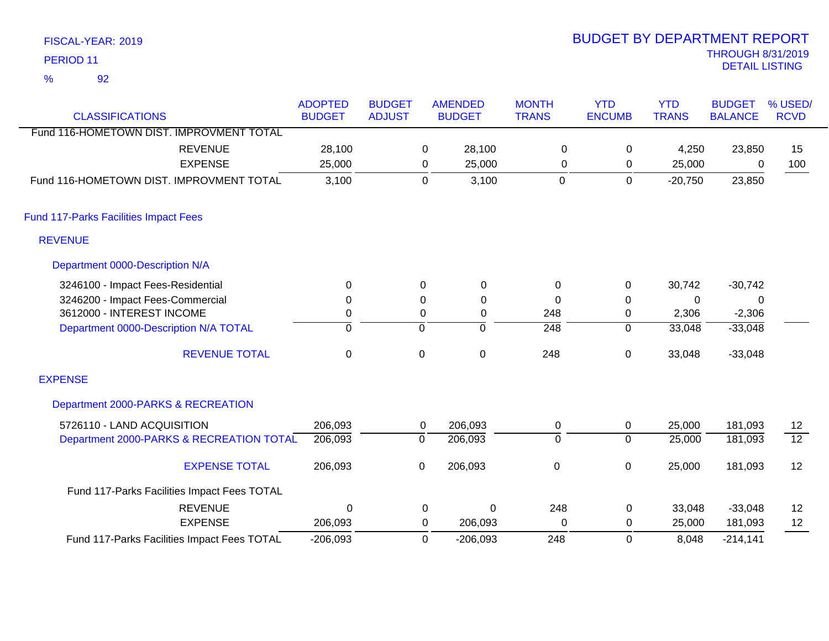| PERIOD <sub>11</sub>                         |                                 |                                |                  |                                 |                              |                             |                            | <b>THROUGH 8/31/2019</b><br><b>DETAIL LISTING</b> |                        |
|----------------------------------------------|---------------------------------|--------------------------------|------------------|---------------------------------|------------------------------|-----------------------------|----------------------------|---------------------------------------------------|------------------------|
| 92<br>$\frac{9}{6}$                          |                                 |                                |                  |                                 |                              |                             |                            |                                                   |                        |
| <b>CLASSIFICATIONS</b>                       | <b>ADOPTED</b><br><b>BUDGET</b> | <b>BUDGET</b><br><b>ADJUST</b> |                  | <b>AMENDED</b><br><b>BUDGET</b> | <b>MONTH</b><br><b>TRANS</b> | <b>YTD</b><br><b>ENCUMB</b> | <b>YTD</b><br><b>TRANS</b> | <b>BUDGET</b><br><b>BALANCE</b>                   | % USED/<br><b>RCVD</b> |
| Fund 116-HOMETOWN DIST. IMPROVMENT TOTAL     |                                 |                                |                  |                                 |                              |                             |                            |                                                   |                        |
| <b>REVENUE</b>                               | 28,100                          |                                | 0                | 28,100                          | 0                            | 0                           | 4,250                      | 23,850                                            | 15                     |
| <b>EXPENSE</b>                               | 25,000                          |                                | 0                | 25,000                          | $\Omega$                     | 0                           | 25,000                     | $\Omega$                                          | 100                    |
| Fund 116-HOMETOWN DIST. IMPROVMENT TOTAL     | 3,100                           |                                | $\mathbf 0$      | 3,100                           | $\Omega$                     | $\mathbf 0$                 | $-20,750$                  | 23,850                                            |                        |
| <b>Fund 117-Parks Facilities Impact Fees</b> |                                 |                                |                  |                                 |                              |                             |                            |                                                   |                        |
| <b>REVENUE</b>                               |                                 |                                |                  |                                 |                              |                             |                            |                                                   |                        |
| Department 0000-Description N/A              |                                 |                                |                  |                                 |                              |                             |                            |                                                   |                        |
| 3246100 - Impact Fees-Residential            | $\mathbf 0$                     |                                | $\Omega$         | 0                               | $\pmb{0}$                    | 0                           | 30,742                     | $-30,742$                                         |                        |
| 3246200 - Impact Fees-Commercial             | 0                               |                                | 0                | 0                               | $\mathbf 0$                  | 0                           | $\mathbf 0$                | 0                                                 |                        |
| 3612000 - INTEREST INCOME                    | 0                               |                                | $\boldsymbol{0}$ | $\pmb{0}$                       | 248                          | 0                           | 2,306                      | $-2,306$                                          |                        |
| Department 0000-Description N/A TOTAL        | $\overline{0}$                  |                                | 0                | $\overline{0}$                  | $\frac{1}{248}$              | $\overline{0}$              | 33,048                     | $-33,048$                                         |                        |
| <b>REVENUE TOTAL</b>                         | $\mathbf 0$                     |                                | $\mathbf 0$      | $\pmb{0}$                       | 248                          | 0                           | 33,048                     | $-33,048$                                         |                        |
| <b>EXPENSE</b>                               |                                 |                                |                  |                                 |                              |                             |                            |                                                   |                        |
| Department 2000-PARKS & RECREATION           |                                 |                                |                  |                                 |                              |                             |                            |                                                   |                        |
| 5726110 - LAND ACQUISITION                   | 206,093                         |                                | 0                | 206,093                         | 0                            | $\mathbf 0$                 | 25,000                     | 181,093                                           | 12                     |
| Department 2000-PARKS & RECREATION TOTAL     | 206,093                         |                                | $\overline{0}$   | 206,093                         | $\overline{0}$               | $\overline{0}$              | 25,000                     | 181,093                                           | $\overline{12}$        |
| <b>EXPENSE TOTAL</b>                         | 206,093                         |                                | $\pmb{0}$        | 206,093                         | $\pmb{0}$                    | 0                           | 25,000                     | 181,093                                           | 12                     |
| Fund 117-Parks Facilities Impact Fees TOTAL  |                                 |                                |                  |                                 |                              |                             |                            |                                                   |                        |
| <b>REVENUE</b>                               | $\Omega$                        |                                | 0                | $\mathbf 0$                     | 248                          | 0                           | 33,048                     | $-33,048$                                         | 12                     |
| <b>EXPENSE</b>                               | 206,093                         |                                | 0                | 206,093                         | $\mathbf 0$                  | 0                           | 25,000                     | 181,093                                           | 12                     |
| Fund 117-Parks Facilities Impact Fees TOTAL  | $-206,093$                      |                                | $\Omega$         | $-206,093$                      | 248                          | $\mathbf{0}$                | 8,048                      | $-214,141$                                        |                        |

BUDGET BY DEPARTMENT REPORT

FISCAL-YEAR: 2019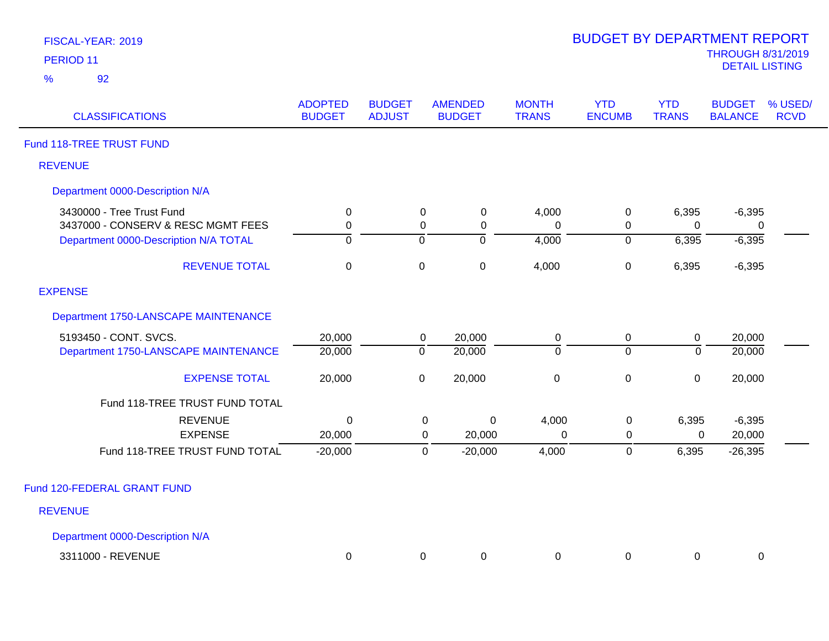| FISCAL-YEAR: 2019 |  |
|-------------------|--|
| <b>PERIOD 11</b>  |  |

| <b>CLASSIFICATIONS</b>                | <b>ADOPTED</b><br><b>BUDGET</b> | <b>BUDGET</b><br><b>ADJUST</b> |                  | <b>AMENDED</b><br><b>BUDGET</b> | <b>MONTH</b><br><b>TRANS</b> | <b>YTD</b><br><b>ENCUMB</b> | <b>YTD</b><br><b>TRANS</b> | <b>BUDGET</b><br><b>BALANCE</b> | % USED/<br><b>RCVD</b> |
|---------------------------------------|---------------------------------|--------------------------------|------------------|---------------------------------|------------------------------|-----------------------------|----------------------------|---------------------------------|------------------------|
| Fund 118-TREE TRUST FUND              |                                 |                                |                  |                                 |                              |                             |                            |                                 |                        |
| <b>REVENUE</b>                        |                                 |                                |                  |                                 |                              |                             |                            |                                 |                        |
| Department 0000-Description N/A       |                                 |                                |                  |                                 |                              |                             |                            |                                 |                        |
| 3430000 - Tree Trust Fund             | $\pmb{0}$                       |                                | $\pmb{0}$        | $\pmb{0}$                       | 4,000                        | 0                           | 6,395                      | $-6,395$                        |                        |
| 3437000 - CONSERV & RESC MGMT FEES    | 0                               |                                | 0                | 0                               | 0                            | 0                           | 0                          | 0                               |                        |
| Department 0000-Description N/A TOTAL | $\overline{0}$                  |                                | $\overline{0}$   | $\overline{0}$                  | 4,000                        | $\overline{0}$              | 6,395                      | $-6,395$                        |                        |
| <b>REVENUE TOTAL</b>                  | $\pmb{0}$                       |                                | $\boldsymbol{0}$ | 0                               | 4,000                        | $\boldsymbol{0}$            | 6,395                      | $-6,395$                        |                        |
| <b>EXPENSE</b>                        |                                 |                                |                  |                                 |                              |                             |                            |                                 |                        |
| Department 1750-LANSCAPE MAINTENANCE  |                                 |                                |                  |                                 |                              |                             |                            |                                 |                        |
| 5193450 - CONT. SVCS.                 | 20,000                          |                                | $\mathbf 0$      | 20,000                          | $\pmb{0}$                    | $\pmb{0}$                   | $\pmb{0}$                  | 20,000                          |                        |
| Department 1750-LANSCAPE MAINTENANCE  | 20,000                          |                                | $\overline{0}$   | 20,000                          | $\mathbf 0$                  | $\overline{0}$              | $\overline{0}$             | 20,000                          |                        |
| <b>EXPENSE TOTAL</b>                  | 20,000                          |                                | 0                | 20,000                          | $\pmb{0}$                    | $\boldsymbol{0}$            | $\pmb{0}$                  | 20,000                          |                        |
| Fund 118-TREE TRUST FUND TOTAL        |                                 |                                |                  |                                 |                              |                             |                            |                                 |                        |
| <b>REVENUE</b>                        | 0                               |                                | $\pmb{0}$        | 0                               | 4,000                        | 0                           | 6,395                      | $-6,395$                        |                        |
| <b>EXPENSE</b>                        | 20,000                          |                                | 0                | 20,000                          | $\Omega$                     | 0                           | 0                          | 20,000                          |                        |
| Fund 118-TREE TRUST FUND TOTAL        | $-20,000$                       |                                | $\mathbf 0$      | $-20,000$                       | 4,000                        | 0                           | 6,395                      | $-26,395$                       |                        |
| Fund 120-FEDERAL GRANT FUND           |                                 |                                |                  |                                 |                              |                             |                            |                                 |                        |
| <b>REVENUE</b>                        |                                 |                                |                  |                                 |                              |                             |                            |                                 |                        |
| Department 0000-Description N/A       |                                 |                                |                  |                                 |                              |                             |                            |                                 |                        |
| 3311000 - REVENUE                     | 0                               |                                | 0                | 0                               | 0                            | 0                           | 0                          | 0                               |                        |
|                                       |                                 |                                |                  |                                 |                              |                             |                            |                                 |                        |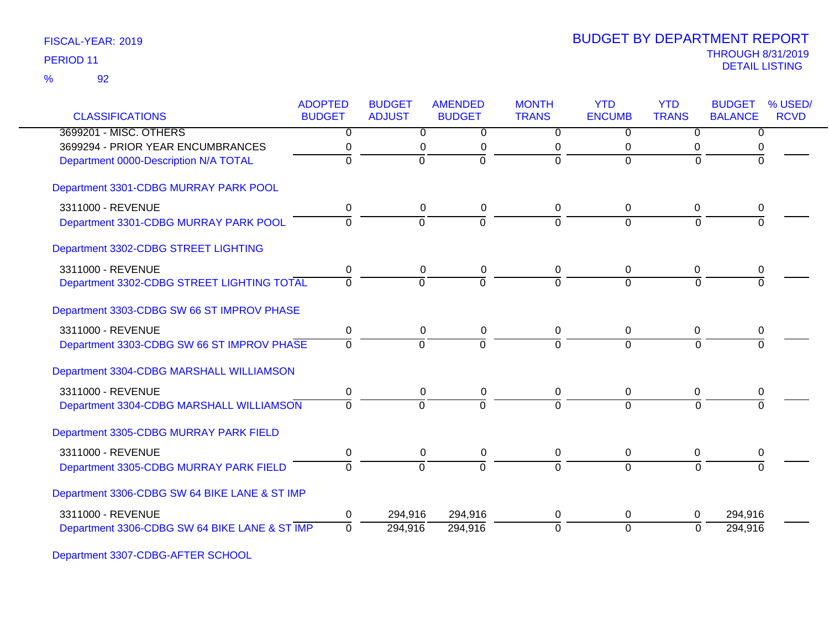| <b>CLASSIFICATIONS</b>                        | <b>ADOPTED</b><br><b>BUDGET</b> | <b>BUDGET</b><br><b>ADJUST</b> | <b>AMENDED</b><br><b>BUDGET</b> | <b>MONTH</b><br><b>TRANS</b> | <b>YTD</b><br><b>ENCUMB</b> | <b>YTD</b><br><b>TRANS</b> | <b>BUDGET</b><br><b>BALANCE</b> | % USED/<br><b>RCVD</b> |
|-----------------------------------------------|---------------------------------|--------------------------------|---------------------------------|------------------------------|-----------------------------|----------------------------|---------------------------------|------------------------|
| 3699201 - MISC. OTHERS                        | $\overline{0}$                  | $\overline{0}$                 | $\overline{0}$                  | $\overline{0}$               | $\overline{0}$              | $\overline{0}$             | $\overline{0}$                  |                        |
| 3699294 - PRIOR YEAR ENCUMBRANCES             | 0                               | 0                              | $\mathbf 0$                     | 0                            | $\pmb{0}$                   | 0                          |                                 |                        |
| Department 0000-Description N/A TOTAL         | $\Omega$                        | $\Omega$                       | $\Omega$                        | $\overline{0}$               | $\Omega$                    | $\Omega$                   |                                 |                        |
| Department 3301-CDBG MURRAY PARK POOL         |                                 |                                |                                 |                              |                             |                            |                                 |                        |
| 3311000 - REVENUE                             | 0                               | 0                              | 0                               | 0                            | 0                           | 0                          | 0                               |                        |
| Department 3301-CDBG MURRAY PARK POOL         | $\Omega$                        | $\overline{0}$                 | $\Omega$                        | $\Omega$                     | $\Omega$                    | $\Omega$                   |                                 |                        |
| Department 3302-CDBG STREET LIGHTING          |                                 |                                |                                 |                              |                             |                            |                                 |                        |
| 3311000 - REVENUE                             | 0                               | 0                              | 0                               | 0                            | 0                           | 0                          | 0                               |                        |
| Department 3302-CDBG STREET LIGHTING TOTAL    | $\overline{0}$                  | $\mathbf 0$                    | $\overline{0}$                  | $\Omega$                     | $\Omega$                    | $\Omega$                   | 0                               |                        |
| Department 3303-CDBG SW 66 ST IMPROV PHASE    |                                 |                                |                                 |                              |                             |                            |                                 |                        |
| 3311000 - REVENUE                             | $\pmb{0}$                       | $\pmb{0}$                      | 0                               | 0                            | $\mathbf 0$                 | 0                          | 0                               |                        |
| Department 3303-CDBG SW 66 ST IMPROV PHASE    | $\overline{0}$                  | $\overline{0}$                 | $\overline{0}$                  | $\overline{0}$               | $\overline{0}$              | $\Omega$                   | $\Omega$                        |                        |
| Department 3304-CDBG MARSHALL WILLIAMSON      |                                 |                                |                                 |                              |                             |                            |                                 |                        |
| 3311000 - REVENUE                             | 0                               | 0                              | 0                               | 0                            | 0                           | 0                          | 0                               |                        |
| Department 3304-CDBG MARSHALL WILLIAMSON      | $\Omega$                        | $\Omega$                       | $\Omega$                        | $\Omega$                     | $\Omega$                    | $\Omega$                   | $\Omega$                        |                        |
| Department 3305-CDBG MURRAY PARK FIELD        |                                 |                                |                                 |                              |                             |                            |                                 |                        |
| 3311000 - REVENUE                             | $\pmb{0}$                       | $\pmb{0}$                      | 0                               | 0                            | 0                           | 0                          | 0                               |                        |
| Department 3305-CDBG MURRAY PARK FIELD        | $\Omega$                        | $\Omega$                       | $\Omega$                        | $\Omega$                     | $\Omega$                    | $\Omega$                   |                                 |                        |
| Department 3306-CDBG SW 64 BIKE LANE & ST IMP |                                 |                                |                                 |                              |                             |                            |                                 |                        |
| 3311000 - REVENUE                             | 0                               | 294,916                        | 294,916                         | 0                            | 0                           | 0                          | 294,916                         |                        |
| Department 3306-CDBG SW 64 BIKE LANE & ST IMP | $\Omega$                        | 294,916                        | 294,916                         | 0                            | $\mathbf 0$                 | 0                          | 294,916                         |                        |

Department 3307-CDBG-AFTER SCHOOL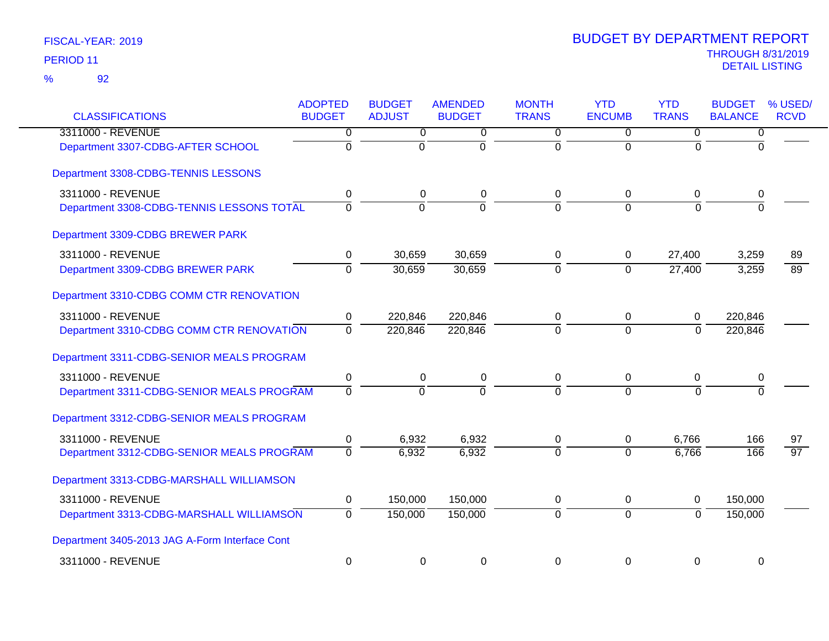| <b>CLASSIFICATIONS</b>                         | <b>ADOPTED</b><br><b>BUDGET</b> | <b>BUDGET</b><br><b>ADJUST</b> | <b>AMENDED</b><br><b>BUDGET</b> | <b>MONTH</b><br><b>TRANS</b> | <b>YTD</b><br><b>ENCUMB</b> | <b>YTD</b><br><b>TRANS</b> | <b>BUDGET</b><br><b>BALANCE</b> | % USED/<br><b>RCVD</b> |
|------------------------------------------------|---------------------------------|--------------------------------|---------------------------------|------------------------------|-----------------------------|----------------------------|---------------------------------|------------------------|
| 3311000 - REVENUE                              | 0                               | $\overline{0}$                 | 0                               | $\overline{0}$               | $\overline{0}$              | 0                          | 0                               |                        |
| Department 3307-CDBG-AFTER SCHOOL              | $\overline{0}$                  | $\overline{0}$                 | $\overline{0}$                  | $\overline{0}$               | $\overline{0}$              | $\mathbf 0$                | $\Omega$                        |                        |
| Department 3308-CDBG-TENNIS LESSONS            |                                 |                                |                                 |                              |                             |                            |                                 |                        |
| 3311000 - REVENUE                              | 0                               | 0                              | 0                               | 0                            | 0                           | 0                          | 0                               |                        |
| Department 3308-CDBG-TENNIS LESSONS TOTAL      | $\overline{0}$                  | $\overline{0}$                 | $\overline{0}$                  | $\overline{0}$               | $\Omega$                    | $\overline{0}$             | $\Omega$                        |                        |
| Department 3309-CDBG BREWER PARK               |                                 |                                |                                 |                              |                             |                            |                                 |                        |
| 3311000 - REVENUE                              | 0                               | 30,659                         | 30,659                          | 0                            | 0                           | 27,400                     | 3,259                           | 89                     |
| Department 3309-CDBG BREWER PARK               | $\overline{0}$                  | 30,659                         | 30,659                          | ō                            | $\overline{0}$              | 27,400                     | 3,259                           | 89                     |
| Department 3310-CDBG COMM CTR RENOVATION       |                                 |                                |                                 |                              |                             |                            |                                 |                        |
| 3311000 - REVENUE                              | 0                               | 220,846                        | 220,846                         | 0                            | 0                           | 0                          | 220,846                         |                        |
| Department 3310-CDBG COMM CTR RENOVATION       | $\overline{0}$                  | 220,846                        | 220,846                         | $\Omega$                     | $\overline{0}$              | $\mathbf{0}$               | 220,846                         |                        |
| Department 3311-CDBG-SENIOR MEALS PROGRAM      |                                 |                                |                                 |                              |                             |                            |                                 |                        |
| 3311000 - REVENUE                              | $\pmb{0}$                       | $\boldsymbol{0}$               | $\pmb{0}$                       | $\pmb{0}$                    | $\pmb{0}$                   | 0                          | 0                               |                        |
| Department 3311-CDBG-SENIOR MEALS PROGRAM      | $\overline{0}$                  | $\Omega$                       | $\overline{0}$                  | $\Omega$                     | $\Omega$                    | $\Omega$                   | $\Omega$                        |                        |
| Department 3312-CDBG-SENIOR MEALS PROGRAM      |                                 |                                |                                 |                              |                             |                            |                                 |                        |
| 3311000 - REVENUE                              | 0                               | 6,932                          | 6,932                           | $\mathbf 0$                  | $\mathbf 0$                 | 6,766                      | 166                             | 97                     |
| Department 3312-CDBG-SENIOR MEALS PROGRAM      | $\Omega$                        | 6,932                          | 6,932                           | $\Omega$                     | $\Omega$                    | 6,766                      | 166                             | $\overline{97}$        |
| Department 3313-CDBG-MARSHALL WILLIAMSON       |                                 |                                |                                 |                              |                             |                            |                                 |                        |
| 3311000 - REVENUE                              | $\mathbf 0$                     | 150,000                        | 150,000                         | $\mathbf 0$                  | $\pmb{0}$                   | 0                          | 150,000                         |                        |
| Department 3313-CDBG-MARSHALL WILLIAMSON       | $\overline{0}$                  | 150,000                        | 150,000                         | $\overline{0}$               | $\overline{0}$              | $\overline{0}$             | 150,000                         |                        |
| Department 3405-2013 JAG A-Form Interface Cont |                                 |                                |                                 |                              |                             |                            |                                 |                        |
| 3311000 - REVENUE                              | 0                               | $\mathbf 0$                    | 0                               | 0                            | $\mathbf 0$                 | $\mathbf 0$                | 0                               |                        |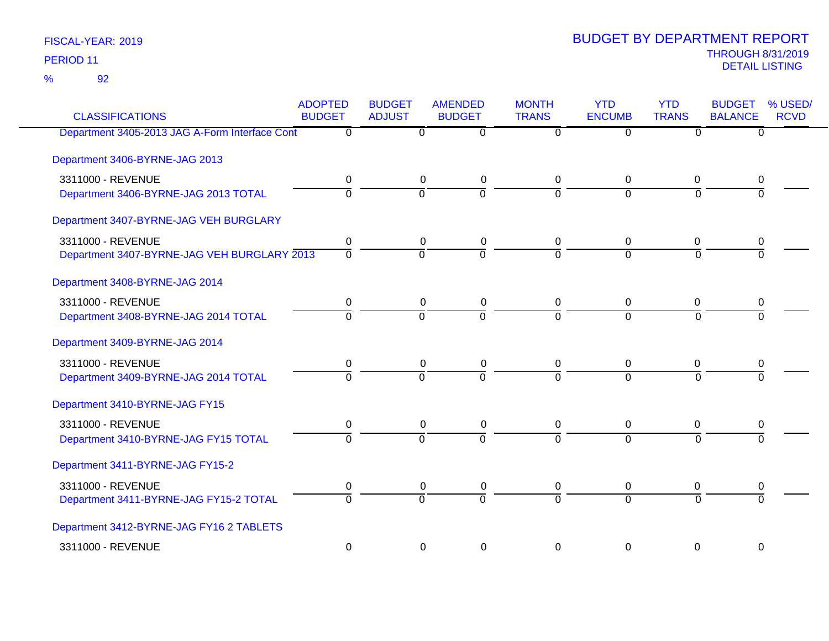92 %

| <b>CLASSIFICATIONS</b>                         | <b>ADOPTED</b><br><b>BUDGET</b> | <b>BUDGET</b><br><b>ADJUST</b> | <b>AMENDED</b><br><b>BUDGET</b> | <b>MONTH</b><br><b>TRANS</b> | <b>YTD</b><br><b>ENCUMB</b> | <b>YTD</b><br><b>TRANS</b> | <b>BUDGET</b><br><b>BALANCE</b> | % USED/<br><b>RCVD</b> |
|------------------------------------------------|---------------------------------|--------------------------------|---------------------------------|------------------------------|-----------------------------|----------------------------|---------------------------------|------------------------|
| Department 3405-2013 JAG A-Form Interface Cont | $\overline{0}$                  | $\overline{0}$                 | $\overline{0}$                  | $\overline{0}$               | $\overline{0}$              | $\overline{0}$             | $\overline{0}$                  |                        |
| Department 3406-BYRNE-JAG 2013                 |                                 |                                |                                 |                              |                             |                            |                                 |                        |
| 3311000 - REVENUE                              | 0                               | 0                              | $\pmb{0}$                       | 0                            | 0                           | 0                          | 0                               |                        |
| Department 3406-BYRNE-JAG 2013 TOTAL           | $\overline{0}$                  | $\overline{0}$                 | $\overline{0}$                  | $\overline{0}$               | $\overline{0}$              | $\overline{0}$             | $\Omega$                        |                        |
| Department 3407-BYRNE-JAG VEH BURGLARY         |                                 |                                |                                 |                              |                             |                            |                                 |                        |
| 3311000 - REVENUE                              | 0                               | 0                              | 0                               | 0                            | 0                           | 0                          | 0                               |                        |
| Department 3407-BYRNE-JAG VEH BURGLARY 2013    | $\overline{0}$                  | $\overline{0}$                 | 0                               | $\overline{0}$               | $\Omega$                    | $\overline{0}$             | $\overline{0}$                  |                        |
| Department 3408-BYRNE-JAG 2014                 |                                 |                                |                                 |                              |                             |                            |                                 |                        |
| 3311000 - REVENUE                              | 0                               | 0                              | 0                               | 0                            | 0                           | 0                          | 0                               |                        |
| Department 3408-BYRNE-JAG 2014 TOTAL           | $\overline{0}$                  | $\overline{0}$                 | $\overline{0}$                  | $\overline{0}$               | $\overline{0}$              | $\overline{0}$             | $\overline{0}$                  |                        |
| Department 3409-BYRNE-JAG 2014                 |                                 |                                |                                 |                              |                             |                            |                                 |                        |
| 3311000 - REVENUE                              | 0                               | 0                              | 0                               | 0                            | 0                           | 0                          | 0                               |                        |
| Department 3409-BYRNE-JAG 2014 TOTAL           | $\overline{0}$                  | $\overline{0}$                 | ក                               | $\overline{0}$               | $\overline{0}$              | $\overline{0}$             | $\overline{0}$                  |                        |
| Department 3410-BYRNE-JAG FY15                 |                                 |                                |                                 |                              |                             |                            |                                 |                        |
| 3311000 - REVENUE                              | 0                               | 0                              | 0                               | 0                            | 0                           | $\mathbf 0$                | 0                               |                        |
| Department 3410-BYRNE-JAG FY15 TOTAL           | $\overline{0}$                  | $\overline{0}$                 | $\overline{0}$                  | $\overline{0}$               | $\overline{0}$              | $\overline{0}$             | $\overline{0}$                  |                        |
| Department 3411-BYRNE-JAG FY15-2               |                                 |                                |                                 |                              |                             |                            |                                 |                        |
| 3311000 - REVENUE                              | 0                               | 0                              | 0                               | 0                            | 0                           | 0                          | 0                               |                        |
| Department 3411-BYRNE-JAG FY15-2 TOTAL         | $\Omega$                        | $\overline{0}$                 | $\overline{0}$                  | $\overline{0}$               | $\overline{0}$              | $\overline{0}$             | $\overline{0}$                  |                        |
| Department 3412-BYRNE-JAG FY16 2 TABLETS       |                                 |                                |                                 |                              |                             |                            |                                 |                        |
| 3311000 - REVENUE                              | $\mathbf 0$                     | $\mathbf 0$                    | $\mathbf 0$                     | $\mathbf 0$                  | $\mathbf 0$                 | $\mathbf 0$                | $\mathbf 0$                     |                        |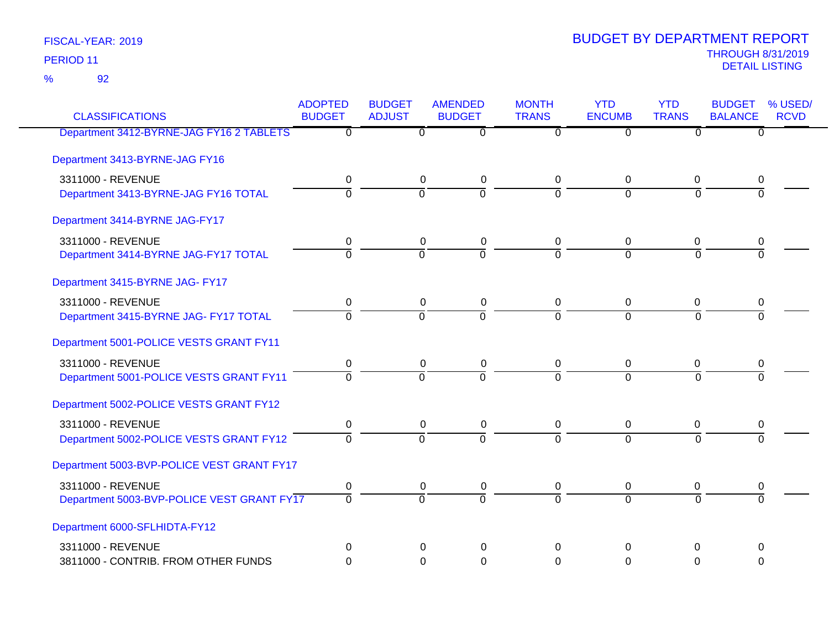92 %

| <b>CLASSIFICATIONS</b>                     | <b>ADOPTED</b> | <b>BUDGET</b>  | <b>AMENDED</b>            | <b>MONTH</b>              | <b>YTD</b>     | <b>YTD</b>     | <b>BUDGET</b>  | % USED/     |
|--------------------------------------------|----------------|----------------|---------------------------|---------------------------|----------------|----------------|----------------|-------------|
|                                            | <b>BUDGET</b>  | <b>ADJUST</b>  | <b>BUDGET</b>             | <b>TRANS</b>              | <b>ENCUMB</b>  | <b>TRANS</b>   | <b>BALANCE</b> | <b>RCVD</b> |
| Department 3412-BYRNE-JAG FY16 2 TABLETS   | $\overline{0}$ | $\overline{0}$ | $\overline{\mathfrak{o}}$ | $\overline{\mathfrak{o}}$ | $\overline{0}$ | ᠊ᠦ             | $\overline{0}$ |             |
| Department 3413-BYRNE-JAG FY16             |                |                |                           |                           |                |                |                |             |
| 3311000 - REVENUE                          | 0              | 0              | $\mathbf 0$               | 0                         | $\mathbf 0$    | 0              | 0              |             |
| Department 3413-BYRNE-JAG FY16 TOTAL       | $\overline{0}$ | $\overline{0}$ | $\overline{0}$            | $\Omega$                  | $\Omega$       | $\Omega$       | $\overline{0}$ |             |
| Department 3414-BYRNE JAG-FY17             |                |                |                           |                           |                |                |                |             |
| 3311000 - REVENUE                          | 0              | $\mathbf 0$    | $\pmb{0}$                 | 0                         | 0              | $\mathbf 0$    | 0              |             |
| Department 3414-BYRNE JAG-FY17 TOTAL       | $\Omega$       | $\Omega$       | $\overline{0}$            | $\Omega$                  | $\Omega$       | $\Omega$       | $\Omega$       |             |
| Department 3415-BYRNE JAG- FY17            |                |                |                           |                           |                |                |                |             |
| 3311000 - REVENUE                          | 0              | $\mathbf 0$    | $\mathbf 0$               | 0                         | 0              | $\mathbf 0$    | 0              |             |
| Department 3415-BYRNE JAG- FY17 TOTAL      | $\overline{0}$ | $\overline{0}$ | $\overline{0}$            | $\overline{0}$            | $\Omega$       | $\overline{0}$ | $\overline{0}$ |             |
| Department 5001-POLICE VESTS GRANT FY11    |                |                |                           |                           |                |                |                |             |
| 3311000 - REVENUE                          | $\mathbf 0$    | 0              | 0                         | 0                         | 0              | 0              | 0              |             |
| Department 5001-POLICE VESTS GRANT FY11    | $\overline{0}$ | $\overline{0}$ | $\overline{0}$            | $\Omega$                  | $\overline{0}$ | $\overline{0}$ | $\overline{0}$ |             |
| Department 5002-POLICE VESTS GRANT FY12    |                |                |                           |                           |                |                |                |             |
| 3311000 - REVENUE                          | $\pmb{0}$      | $\pmb{0}$      | $\pmb{0}$                 | $\overline{0}$            | 0              | 0              | 0              |             |
| Department 5002-POLICE VESTS GRANT FY12    | $\Omega$       | $\overline{0}$ | $\Omega$                  | $\Omega$                  | $\overline{0}$ | $\Omega$       | $\Omega$       |             |
| Department 5003-BVP-POLICE VEST GRANT FY17 |                |                |                           |                           |                |                |                |             |
| 3311000 - REVENUE                          | 0              | 0              | 0                         | 0                         | 0              | 0              | 0              |             |
| Department 5003-BVP-POLICE VEST GRANT FY17 | $\overline{0}$ | $\overline{0}$ | $\overline{0}$            | $\overline{0}$            | $\overline{0}$ | $\overline{0}$ | $\overline{0}$ |             |
| Department 6000-SFLHIDTA-FY12              |                |                |                           |                           |                |                |                |             |
| 3311000 - REVENUE                          | 0              | $\Omega$       | $\Omega$                  | $\Omega$                  | 0              | 0              | $\Omega$       |             |
| 3811000 - CONTRIB. FROM OTHER FUNDS        | 0              | 0              | $\Omega$                  | $\Omega$                  | $\Omega$       | $\Omega$       | $\Omega$       |             |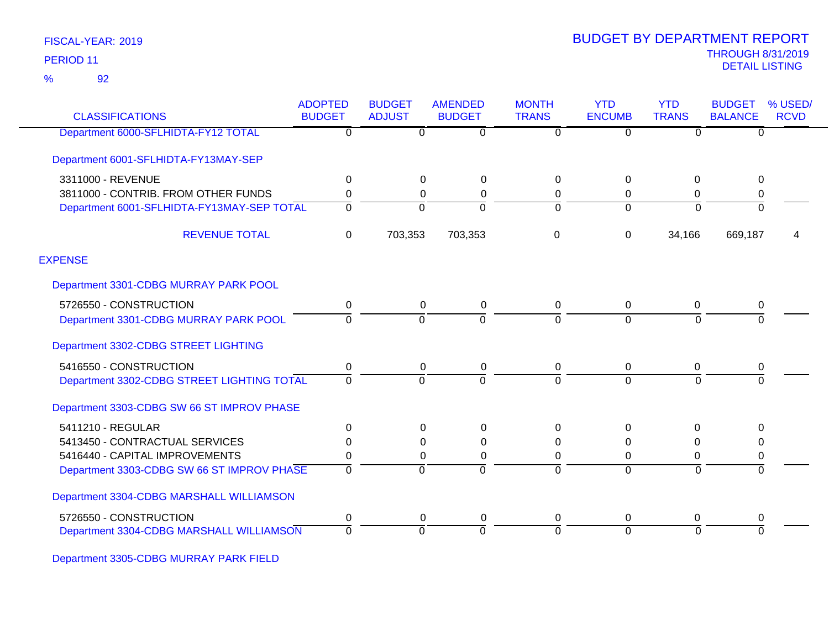92 %

| <b>CLASSIFICATIONS</b>                     | <b>ADOPTED</b><br><b>BUDGET</b> | <b>BUDGET</b><br><b>ADJUST</b> | <b>AMENDED</b><br><b>BUDGET</b> | <b>MONTH</b><br><b>TRANS</b> | <b>YTD</b><br><b>ENCUMB</b> | <b>YTD</b><br><b>TRANS</b> | <b>BUDGET</b><br><b>BALANCE</b> | % USED/<br><b>RCVD</b> |
|--------------------------------------------|---------------------------------|--------------------------------|---------------------------------|------------------------------|-----------------------------|----------------------------|---------------------------------|------------------------|
| Department 6000-SFLHIDTA-FY12 TOTAL        | $\overline{0}$                  | 0                              | $\overline{0}$                  | $\overline{0}$               | $\overline{0}$              | $\Omega$                   | $\overline{0}$                  |                        |
| Department 6001-SFLHIDTA-FY13MAY-SEP       |                                 |                                |                                 |                              |                             |                            |                                 |                        |
| 3311000 - REVENUE                          | $\mathbf 0$                     | 0                              | $\Omega$                        | 0                            | 0                           | 0                          | 0                               |                        |
| 3811000 - CONTRIB. FROM OTHER FUNDS        | $\Omega$                        | $\mathbf 0$                    | $\Omega$                        | 0                            | $\Omega$                    | $\mathbf{0}$               | 0                               |                        |
| Department 6001-SFLHIDTA-FY13MAY-SEP TOTAL | $\Omega$                        | $\Omega$                       | $\Omega$                        | $\Omega$                     | $\Omega$                    | $\Omega$                   | $\Omega$                        |                        |
| <b>REVENUE TOTAL</b>                       | 0                               | 703,353                        | 703,353                         | $\Omega$                     | $\Omega$                    | 34,166                     | 669,187                         | 4                      |
| <b>EXPENSE</b>                             |                                 |                                |                                 |                              |                             |                            |                                 |                        |
| Department 3301-CDBG MURRAY PARK POOL      |                                 |                                |                                 |                              |                             |                            |                                 |                        |
| 5726550 - CONSTRUCTION                     | 0                               | 0                              | $\mathbf 0$                     | 0                            | $\mathbf 0$                 | $\mathbf 0$                | 0                               |                        |
| Department 3301-CDBG MURRAY PARK POOL      | $\Omega$                        | $\Omega$                       |                                 | $\Omega$                     | $\Omega$                    | $\Omega$                   | $\Omega$                        |                        |
| Department 3302-CDBG STREET LIGHTING       |                                 |                                |                                 |                              |                             |                            |                                 |                        |
| 5416550 - CONSTRUCTION                     | 0                               | 0                              | 0                               | 0                            | $\Omega$                    | $\mathbf 0$                | 0                               |                        |
| Department 3302-CDBG STREET LIGHTING TOTAL | 0                               | $\Omega$                       | $\Omega$                        | $\overline{0}$               | $\Omega$                    | $\Omega$                   | $\Omega$                        |                        |
| Department 3303-CDBG SW 66 ST IMPROV PHASE |                                 |                                |                                 |                              |                             |                            |                                 |                        |
| 5411210 - REGULAR                          | $\Omega$                        | 0                              | $\Omega$                        | 0                            | $\Omega$                    | 0                          | <sup>0</sup>                    |                        |
| 5413450 - CONTRACTUAL SERVICES             | 0                               | $\mathbf 0$                    | $\Omega$                        | 0                            | $\Omega$                    | $\mathbf{0}$               | $\Omega$                        |                        |
| 5416440 - CAPITAL IMPROVEMENTS             | 0                               | 0                              | 0                               | 0                            | $\Omega$                    | 0                          | 0                               |                        |
| Department 3303-CDBG SW 66 ST IMPROV PHASE | $\Omega$                        | $\Omega$                       | 0                               | $\Omega$                     | $\Omega$                    | $\Omega$                   | $\overline{0}$                  |                        |
| Department 3304-CDBG MARSHALL WILLIAMSON   |                                 |                                |                                 |                              |                             |                            |                                 |                        |
| 5726550 - CONSTRUCTION                     | 0                               | 0                              | 0                               | 0                            | $\mathbf 0$                 | 0                          | 0                               |                        |
| Department 3304-CDBG MARSHALL WILLIAMSON   | $\Omega$                        | $\Omega$                       | $\Omega$                        | $\Omega$                     | $\Omega$                    | $\Omega$                   | $\Omega$                        |                        |

Department 3305-CDBG MURRAY PARK FIELD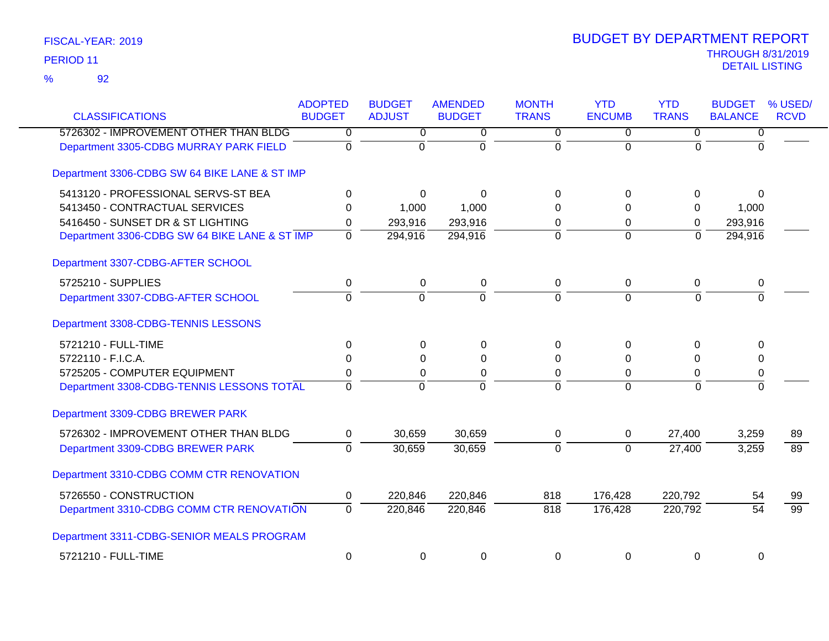| <b>CLASSIFICATIONS</b>                        | <b>ADOPTED</b><br><b>BUDGET</b> | <b>BUDGET</b><br><b>ADJUST</b> | <b>AMENDED</b><br><b>BUDGET</b> | <b>MONTH</b><br><b>TRANS</b> | <b>YTD</b><br><b>ENCUMB</b> | <b>YTD</b><br><b>TRANS</b> | <b>BUDGET</b><br><b>BALANCE</b> | % USED/<br><b>RCVD</b> |
|-----------------------------------------------|---------------------------------|--------------------------------|---------------------------------|------------------------------|-----------------------------|----------------------------|---------------------------------|------------------------|
| 5726302 - IMPROVEMENT OTHER THAN BLDG         | 0                               | 0                              | 0                               | 0                            | 0                           | 0                          | $\overline{0}$                  |                        |
| Department 3305-CDBG MURRAY PARK FIELD        | $\mathbf 0$                     | $\mathbf{0}$                   | $\Omega$                        | $\Omega$                     | $\Omega$                    | $\Omega$                   | $\Omega$                        |                        |
| Department 3306-CDBG SW 64 BIKE LANE & ST IMP |                                 |                                |                                 |                              |                             |                            |                                 |                        |
| 5413120 - PROFESSIONAL SERVS-ST BEA           | 0                               | $\Omega$                       | $\Omega$                        | $\Omega$                     | 0                           | 0                          | $\Omega$                        |                        |
| 5413450 - CONTRACTUAL SERVICES                | $\Omega$                        | 1,000                          | 1,000                           | $\Omega$                     | $\Omega$                    | 0                          | 1,000                           |                        |
| 5416450 - SUNSET DR & ST LIGHTING             | 0                               | 293,916                        | 293,916                         | 0                            | 0                           | $\Omega$                   | 293,916                         |                        |
| Department 3306-CDBG SW 64 BIKE LANE & ST IMP | $\mathbf 0$                     | 294,916                        | 294,916                         | $\Omega$                     | $\Omega$                    | $\Omega$                   | 294,916                         |                        |
| Department 3307-CDBG-AFTER SCHOOL             |                                 |                                |                                 |                              |                             |                            |                                 |                        |
| 5725210 - SUPPLIES                            | 0                               | 0                              | 0                               | 0                            | 0                           | 0                          | 0                               |                        |
| Department 3307-CDBG-AFTER SCHOOL             | $\overline{0}$                  | $\overline{0}$                 | $\overline{0}$                  | $\overline{0}$               | $\overline{0}$              | $\overline{0}$             | $\overline{0}$                  |                        |
| Department 3308-CDBG-TENNIS LESSONS           |                                 |                                |                                 |                              |                             |                            |                                 |                        |
| 5721210 - FULL-TIME                           | 0                               | 0                              | 0                               | $\Omega$                     | 0                           | 0                          | $\Omega$                        |                        |
| 5722110 - F.I.C.A.                            | 0                               | $\Omega$                       | $\Omega$                        | $\Omega$                     | $\Omega$                    | $\Omega$                   | $\Omega$                        |                        |
| 5725205 - COMPUTER EQUIPMENT                  | 0                               | 0                              | $\pmb{0}$                       | 0                            | 0                           | 0                          | 0                               |                        |
| Department 3308-CDBG-TENNIS LESSONS TOTAL     | $\overline{0}$                  | $\Omega$                       | $\overline{0}$                  | $\Omega$                     | $\Omega$                    | $\Omega$                   | $\overline{0}$                  |                        |
| Department 3309-CDBG BREWER PARK              |                                 |                                |                                 |                              |                             |                            |                                 |                        |
| 5726302 - IMPROVEMENT OTHER THAN BLDG         | $\mathbf 0$                     | 30,659                         | 30,659                          | 0                            | $\mathbf 0$                 | 27,400                     | 3,259                           | 89                     |
| Department 3309-CDBG BREWER PARK              | $\overline{0}$                  | 30,659                         | 30,659                          | $\Omega$                     | $\Omega$                    | 27,400                     | 3,259                           | 89                     |
| Department 3310-CDBG COMM CTR RENOVATION      |                                 |                                |                                 |                              |                             |                            |                                 |                        |
| 5726550 - CONSTRUCTION                        | $\mathbf 0$                     | 220,846                        | 220,846                         | 818                          | 176,428                     | 220,792                    | 54                              | 99                     |
| Department 3310-CDBG COMM CTR RENOVATION      | $\overline{0}$                  | 220,846                        | 220,846                         | 818                          | 176,428                     | 220,792                    | $\overline{54}$                 | $\overline{99}$        |
| Department 3311-CDBG-SENIOR MEALS PROGRAM     |                                 |                                |                                 |                              |                             |                            |                                 |                        |
| 5721210 - FULL-TIME                           | 0                               | 0                              | 0                               | 0                            | 0                           | 0                          | 0                               |                        |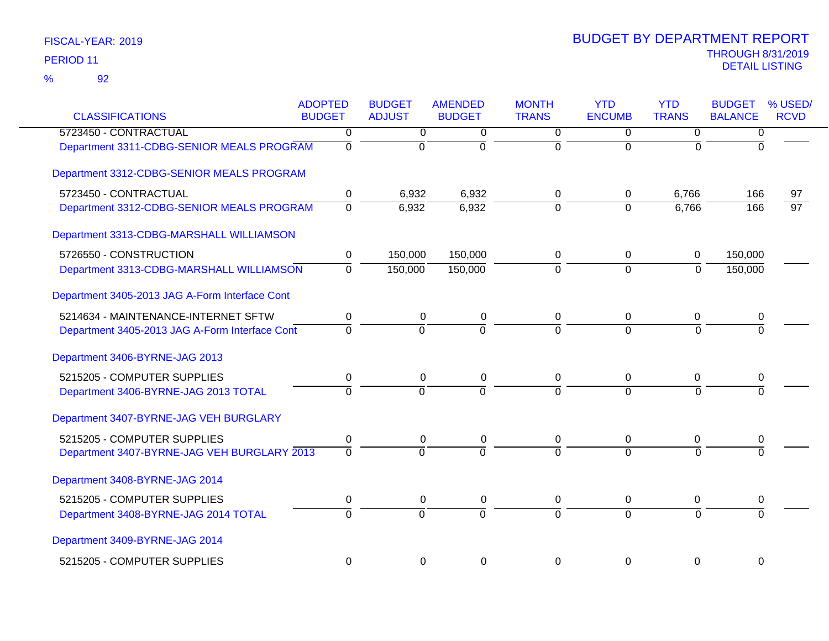| <b>CLASSIFICATIONS</b>                         | <b>ADOPTED</b><br><b>BUDGET</b> | <b>BUDGET</b><br><b>ADJUST</b> | <b>AMENDED</b><br><b>BUDGET</b> | <b>MONTH</b><br><b>TRANS</b> | <b>YTD</b><br><b>ENCUMB</b> | <b>YTD</b><br><b>TRANS</b> | <b>BUDGET</b><br><b>BALANCE</b> | % USED/<br><b>RCVD</b> |
|------------------------------------------------|---------------------------------|--------------------------------|---------------------------------|------------------------------|-----------------------------|----------------------------|---------------------------------|------------------------|
| 5723450 - CONTRACTUAL                          | 0                               | $\overline{0}$                 | 0                               | $\overline{0}$               | 0                           | $\overline{0}$             | $\overline{0}$                  |                        |
| Department 3311-CDBG-SENIOR MEALS PROGRAM      | $\overline{0}$                  | $\overline{0}$                 | $\overline{0}$                  | $\mathbf 0$                  | $\overline{0}$              | 0                          | $\overline{0}$                  |                        |
| Department 3312-CDBG-SENIOR MEALS PROGRAM      |                                 |                                |                                 |                              |                             |                            |                                 |                        |
| 5723450 - CONTRACTUAL                          | 0                               | 6,932                          | 6,932                           | 0                            | 0                           | 6,766                      | 166                             | 97                     |
| Department 3312-CDBG-SENIOR MEALS PROGRAM      | $\overline{0}$                  | 6,932                          | 6,932                           | $\overline{0}$               | $\Omega$                    | 6,766                      | 166                             | $\overline{97}$        |
| Department 3313-CDBG-MARSHALL WILLIAMSON       |                                 |                                |                                 |                              |                             |                            |                                 |                        |
| 5726550 - CONSTRUCTION                         | $\mathbf 0$                     | 150,000                        | 150,000                         | 0                            | $\mathbf 0$                 | $\mathbf 0$                | 150,000                         |                        |
| Department 3313-CDBG-MARSHALL WILLIAMSON       | $\overline{0}$                  | 150,000                        | 150,000                         | $\overline{0}$               | $\overline{0}$              | $\mathbf 0$                | 150,000                         |                        |
| Department 3405-2013 JAG A-Form Interface Cont |                                 |                                |                                 |                              |                             |                            |                                 |                        |
| 5214634 - MAINTENANCE-INTERNET SFTW            | 0                               | $\mathbf 0$                    | $\pmb{0}$                       | 0                            | $\mathbf 0$                 | $\mathbf 0$                | 0                               |                        |
| Department 3405-2013 JAG A-Form Interface Cont | $\Omega$                        | $\Omega$                       | $\Omega$                        | $\Omega$                     | $\Omega$                    | $\Omega$                   | $\Omega$                        |                        |
| Department 3406-BYRNE-JAG 2013                 |                                 |                                |                                 |                              |                             |                            |                                 |                        |
| 5215205 - COMPUTER SUPPLIES                    | $\mathbf 0$                     | $\boldsymbol{0}$               | $\pmb{0}$                       | 0                            | 0                           | $\mathbf 0$                | 0                               |                        |
| Department 3406-BYRNE-JAG 2013 TOTAL           | $\Omega$                        | $\Omega$                       | $\overline{0}$                  | $\overline{0}$               | $\Omega$                    | $\Omega$                   | $\Omega$                        |                        |
| Department 3407-BYRNE-JAG VEH BURGLARY         |                                 |                                |                                 |                              |                             |                            |                                 |                        |
| 5215205 - COMPUTER SUPPLIES                    | $\mathbf 0$                     | 0                              | 0                               | 0                            | 0                           | 0                          | 0                               |                        |
| Department 3407-BYRNE-JAG VEH BURGLARY 2013    | $\Omega$                        | $\Omega$                       | $\overline{0}$                  | $\Omega$                     | $\Omega$                    | $\Omega$                   | $\Omega$                        |                        |
| Department 3408-BYRNE-JAG 2014                 |                                 |                                |                                 |                              |                             |                            |                                 |                        |
| 5215205 - COMPUTER SUPPLIES                    | $\mathbf 0$                     | $\mathbf 0$                    | $\pmb{0}$                       | 0                            | $\mathbf 0$                 | 0                          | 0                               |                        |
| Department 3408-BYRNE-JAG 2014 TOTAL           | $\Omega$                        | $\overline{0}$                 | $\overline{0}$                  | $\overline{0}$               | $\Omega$                    | $\Omega$                   | $\Omega$                        |                        |
| Department 3409-BYRNE-JAG 2014                 |                                 |                                |                                 |                              |                             |                            |                                 |                        |
| 5215205 - COMPUTER SUPPLIES                    | 0                               | 0                              | $\mathbf 0$                     | $\mathbf 0$                  | $\overline{0}$              | $\mathbf 0$                | $\mathbf 0$                     |                        |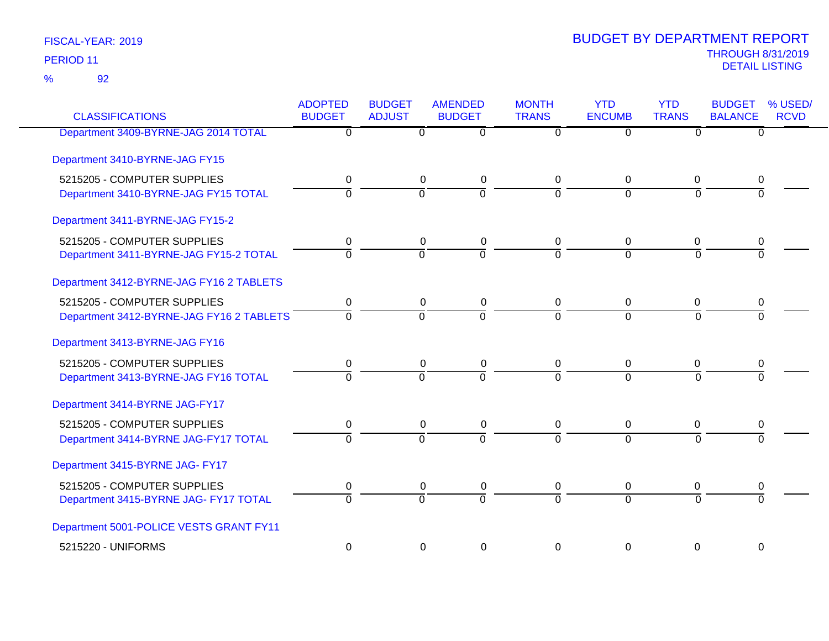92 %

| <b>CLASSIFICATIONS</b>                   | <b>ADOPTED</b><br><b>BUDGET</b> | <b>BUDGET</b><br><b>ADJUST</b> | <b>AMENDED</b><br><b>BUDGET</b> | <b>MONTH</b><br><b>TRANS</b> | <b>YTD</b><br><b>ENCUMB</b> | <b>YTD</b><br><b>TRANS</b> | <b>BUDGET</b><br><b>BALANCE</b> | % USED/<br><b>RCVD</b> |
|------------------------------------------|---------------------------------|--------------------------------|---------------------------------|------------------------------|-----------------------------|----------------------------|---------------------------------|------------------------|
| Department 3409-BYRNE-JAG 2014 TOTAL     | $\overline{0}$                  | $\overline{0}$                 | $\overline{0}$                  | $\overline{0}$               | $\overline{0}$              | $\overline{0}$             | $\overline{0}$                  |                        |
| Department 3410-BYRNE-JAG FY15           |                                 |                                |                                 |                              |                             |                            |                                 |                        |
| 5215205 - COMPUTER SUPPLIES              | 0                               | 0                              | $\pmb{0}$                       | 0                            | 0                           | 0                          | 0                               |                        |
| Department 3410-BYRNE-JAG FY15 TOTAL     | $\overline{0}$                  | $\overline{0}$                 | $\overline{0}$                  | $\Omega$                     | $\overline{0}$              | $\Omega$                   | $\Omega$                        |                        |
| Department 3411-BYRNE-JAG FY15-2         |                                 |                                |                                 |                              |                             |                            |                                 |                        |
| 5215205 - COMPUTER SUPPLIES              | 0                               | $\pmb{0}$                      | $\pmb{0}$                       | $\mathbf 0$                  | 0                           | 0                          | 0                               |                        |
| Department 3411-BYRNE-JAG FY15-2 TOTAL   | $\mathbf{0}$                    | $\overline{0}$                 | $\overline{0}$                  | $\Omega$                     | $\Omega$                    | $\Omega$                   | $\Omega$                        |                        |
| Department 3412-BYRNE-JAG FY16 2 TABLETS |                                 |                                |                                 |                              |                             |                            |                                 |                        |
| 5215205 - COMPUTER SUPPLIES              | 0                               | 0                              | $\mathbf 0$                     | $\mathbf 0$                  | 0                           | 0                          | 0                               |                        |
| Department 3412-BYRNE-JAG FY16 2 TABLETS | $\overline{0}$                  | ō                              | $\overline{0}$                  | $\overline{0}$               | $\overline{0}$              | $\overline{0}$             | $\Omega$                        |                        |
| Department 3413-BYRNE-JAG FY16           |                                 |                                |                                 |                              |                             |                            |                                 |                        |
| 5215205 - COMPUTER SUPPLIES              | 0                               | 0                              | 0                               | 0                            | 0                           | 0                          | 0                               |                        |
| Department 3413-BYRNE-JAG FY16 TOTAL     | $\overline{0}$                  | $\overline{0}$                 | $\overline{0}$                  | $\Omega$                     | $\Omega$                    | $\Omega$                   |                                 |                        |
| Department 3414-BYRNE JAG-FY17           |                                 |                                |                                 |                              |                             |                            |                                 |                        |
| 5215205 - COMPUTER SUPPLIES              | 0                               | 0                              | $\pmb{0}$                       | $\mathbf 0$                  | 0                           | 0                          | 0                               |                        |
| Department 3414-BYRNE JAG-FY17 TOTAL     | $\overline{0}$                  | $\overline{0}$                 | $\overline{0}$                  | $\overline{0}$               | $\Omega$                    | $\overline{0}$             | $\Omega$                        |                        |
| Department 3415-BYRNE JAG- FY17          |                                 |                                |                                 |                              |                             |                            |                                 |                        |
| 5215205 - COMPUTER SUPPLIES              | 0                               | 0                              | 0                               | $\mathbf 0$                  | 0                           | 0                          | 0                               |                        |
| Department 3415-BYRNE JAG- FY17 TOTAL    | $\overline{0}$                  | $\Omega$                       | $\overline{0}$                  | $\Omega$                     | $\Omega$                    | $\Omega$                   | $\Omega$                        |                        |
| Department 5001-POLICE VESTS GRANT FY11  |                                 |                                |                                 |                              |                             |                            |                                 |                        |
| 5215220 - UNIFORMS                       | 0                               | $\Omega$                       | 0                               | $\Omega$                     | $\overline{0}$              | $\mathbf 0$                | $\mathbf 0$                     |                        |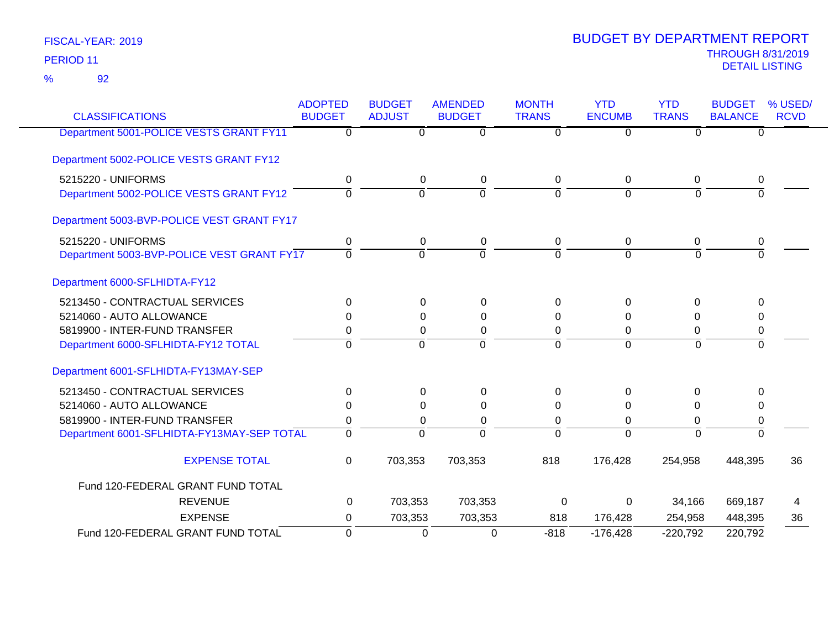92 %

| <b>CLASSIFICATIONS</b>                     | <b>ADOPTED</b><br><b>BUDGET</b> | <b>BUDGET</b><br><b>ADJUST</b> | <b>AMENDED</b><br><b>BUDGET</b> | <b>MONTH</b><br><b>TRANS</b> | <b>YTD</b><br><b>ENCUMB</b> | <b>YTD</b><br><b>TRANS</b> | <b>BUDGET</b><br><b>BALANCE</b> | % USED/<br><b>RCVD</b> |
|--------------------------------------------|---------------------------------|--------------------------------|---------------------------------|------------------------------|-----------------------------|----------------------------|---------------------------------|------------------------|
| Department 5001-POLICE VESTS GRANT FY11    | $\overline{0}$                  | $\overline{0}$                 | $\overline{0}$                  | $\overline{0}$               | $\overline{0}$              | $\overline{0}$             | $\overline{0}$                  |                        |
| Department 5002-POLICE VESTS GRANT FY12    |                                 |                                |                                 |                              |                             |                            |                                 |                        |
| 5215220 - UNIFORMS                         | 0                               | 0                              | 0                               | 0                            | 0                           | 0                          | 0                               |                        |
| Department 5002-POLICE VESTS GRANT FY12    | $\Omega$                        | $\overline{0}$                 | $\overline{0}$                  | $\Omega$                     | $\Omega$                    | $\Omega$                   | $\Omega$                        |                        |
| Department 5003-BVP-POLICE VEST GRANT FY17 |                                 |                                |                                 |                              |                             |                            |                                 |                        |
| 5215220 - UNIFORMS                         | 0                               | 0                              | 0                               | 0                            | 0                           | 0                          | 0                               |                        |
| Department 5003-BVP-POLICE VEST GRANT FY17 | $\Omega$                        | $\mathbf 0$                    | $\mathbf 0$                     | $\Omega$                     | $\Omega$                    | $\Omega$                   | $\Omega$                        |                        |
| Department 6000-SFLHIDTA-FY12              |                                 |                                |                                 |                              |                             |                            |                                 |                        |
| 5213450 - CONTRACTUAL SERVICES             | $\Omega$                        | 0                              | 0                               | 0                            | 0                           | 0                          | 0                               |                        |
| 5214060 - AUTO ALLOWANCE                   | 0                               | 0                              | 0                               | 0                            | 0                           | 0                          | 0                               |                        |
| 5819900 - INTER-FUND TRANSFER              | 0                               | 0                              | 0                               | 0                            | 0                           | $\Omega$                   | 0                               |                        |
| Department 6000-SFLHIDTA-FY12 TOTAL        | $\Omega$                        | $\mathbf 0$                    | $\mathbf 0$                     | 0                            | $\overline{0}$              | $\Omega$                   | $\Omega$                        |                        |
| Department 6001-SFLHIDTA-FY13MAY-SEP       |                                 |                                |                                 |                              |                             |                            |                                 |                        |
| 5213450 - CONTRACTUAL SERVICES             | $\Omega$                        | 0                              | 0                               | 0                            | 0                           | $\Omega$                   | 0                               |                        |
| 5214060 - AUTO ALLOWANCE                   | $\Omega$                        | 0                              | $\Omega$                        | 0                            | 0                           | $\Omega$                   | 0                               |                        |
| 5819900 - INTER-FUND TRANSFER              | 0                               | 0                              | 0                               | 0                            | $\overline{0}$              | 0                          | 0                               |                        |
| Department 6001-SFLHIDTA-FY13MAY-SEP TOTAL | $\Omega$                        | $\Omega$                       | $\Omega$                        | $\Omega$                     | $\Omega$                    | $\Omega$                   | $\Omega$                        |                        |
| <b>EXPENSE TOTAL</b>                       | 0                               | 703,353                        | 703,353                         | 818                          | 176,428                     | 254,958                    | 448,395                         | 36                     |
| Fund 120-FEDERAL GRANT FUND TOTAL          |                                 |                                |                                 |                              |                             |                            |                                 |                        |
| <b>REVENUE</b>                             | 0                               | 703,353                        | 703,353                         | 0                            | $\Omega$                    | 34,166                     | 669,187                         | 4                      |
| <b>EXPENSE</b>                             | 0                               | 703,353                        | 703,353                         | 818                          | 176,428                     | 254,958                    | 448,395                         | 36                     |
| Fund 120-FEDERAL GRANT FUND TOTAL          | 0                               | 0                              | $\mathbf 0$                     | $-818$                       | $-176,428$                  | $-220,792$                 | 220,792                         |                        |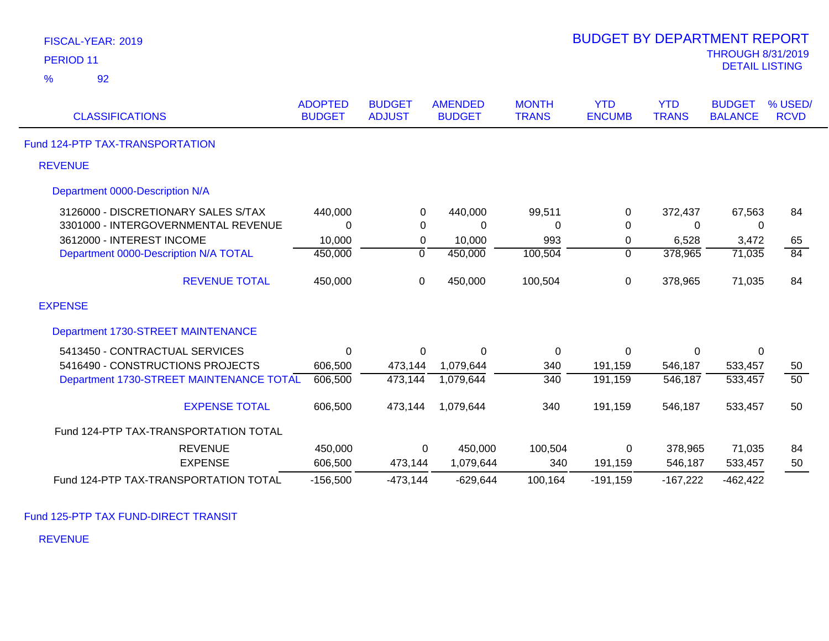| FISCAL-YEAR: 2019                        |                                 |                                |                                 |                              | <b>BUDGET BY DEPARTMENT REPORT</b> |                            |                                                   |                        |
|------------------------------------------|---------------------------------|--------------------------------|---------------------------------|------------------------------|------------------------------------|----------------------------|---------------------------------------------------|------------------------|
| PERIOD <sub>11</sub>                     |                                 |                                |                                 |                              |                                    |                            | <b>THROUGH 8/31/2019</b><br><b>DETAIL LISTING</b> |                        |
| 92<br>%                                  |                                 |                                |                                 |                              |                                    |                            |                                                   |                        |
| <b>CLASSIFICATIONS</b>                   | <b>ADOPTED</b><br><b>BUDGET</b> | <b>BUDGET</b><br><b>ADJUST</b> | <b>AMENDED</b><br><b>BUDGET</b> | <b>MONTH</b><br><b>TRANS</b> | <b>YTD</b><br><b>ENCUMB</b>        | <b>YTD</b><br><b>TRANS</b> | <b>BUDGET</b><br><b>BALANCE</b>                   | % USED/<br><b>RCVD</b> |
| Fund 124-PTP TAX-TRANSPORTATION          |                                 |                                |                                 |                              |                                    |                            |                                                   |                        |
| <b>REVENUE</b>                           |                                 |                                |                                 |                              |                                    |                            |                                                   |                        |
| Department 0000-Description N/A          |                                 |                                |                                 |                              |                                    |                            |                                                   |                        |
| 3126000 - DISCRETIONARY SALES S/TAX      | 440,000                         | 0                              | 440,000                         | 99,511                       | 0                                  | 372,437                    | 67,563                                            | 84                     |
| 3301000 - INTERGOVERNMENTAL REVENUE      | $\Omega$                        | 0                              | 0                               | 0                            | $\mathbf 0$                        | 0                          | 0                                                 |                        |
| 3612000 - INTEREST INCOME                | 10,000                          | $\mathbf 0$                    | 10,000                          | 993                          | $\pmb{0}$                          | 6,528                      | 3,472                                             | 65                     |
| Department 0000-Description N/A TOTAL    | 450,000                         | $\overline{0}$                 | 450,000                         | 100,504                      | $\overline{0}$                     | 378,965                    | 71,035                                            | 84                     |
| <b>REVENUE TOTAL</b>                     | 450,000                         | $\mathbf 0$                    | 450,000                         | 100,504                      | $\boldsymbol{0}$                   | 378,965                    | 71,035                                            | 84                     |
| <b>EXPENSE</b>                           |                                 |                                |                                 |                              |                                    |                            |                                                   |                        |
| Department 1730-STREET MAINTENANCE       |                                 |                                |                                 |                              |                                    |                            |                                                   |                        |
| 5413450 - CONTRACTUAL SERVICES           | $\mathbf{0}$                    | 0                              | $\mathbf 0$                     | 0                            | $\mathbf 0$                        | 0                          | $\mathbf{0}$                                      |                        |
| 5416490 - CONSTRUCTIONS PROJECTS         | 606,500                         | 473,144                        | 1,079,644                       | 340                          | 191,159                            | 546,187                    | 533,457                                           | 50                     |
| Department 1730-STREET MAINTENANCE TOTAL | 606,500                         | 473,144                        | 1,079,644                       | $\overline{340}$             | 191,159                            | 546,187                    | 533,457                                           | 50                     |
| <b>EXPENSE TOTAL</b>                     | 606,500                         | 473,144                        | 1,079,644                       | 340                          | 191,159                            | 546,187                    | 533,457                                           | 50                     |
| Fund 124-PTP TAX-TRANSPORTATION TOTAL    |                                 |                                |                                 |                              |                                    |                            |                                                   |                        |
| <b>REVENUE</b>                           | 450,000                         | 0                              | 450,000                         | 100,504                      | 0                                  | 378,965                    | 71,035                                            | 84                     |
| <b>EXPENSE</b>                           | 606,500                         | 473,144                        | 1,079,644                       | 340                          | 191,159                            | 546,187                    | 533,457                                           | 50                     |
| Fund 124-PTP TAX-TRANSPORTATION TOTAL    | $-156,500$                      | $-473,144$                     | $-629,644$                      | 100,164                      | $-191,159$                         | $-167,222$                 | $-462,422$                                        |                        |

BUDGET BY DEPARTMENT REPORT

Fund 125-PTP TAX FUND-DIRECT TRANSIT

REVENUE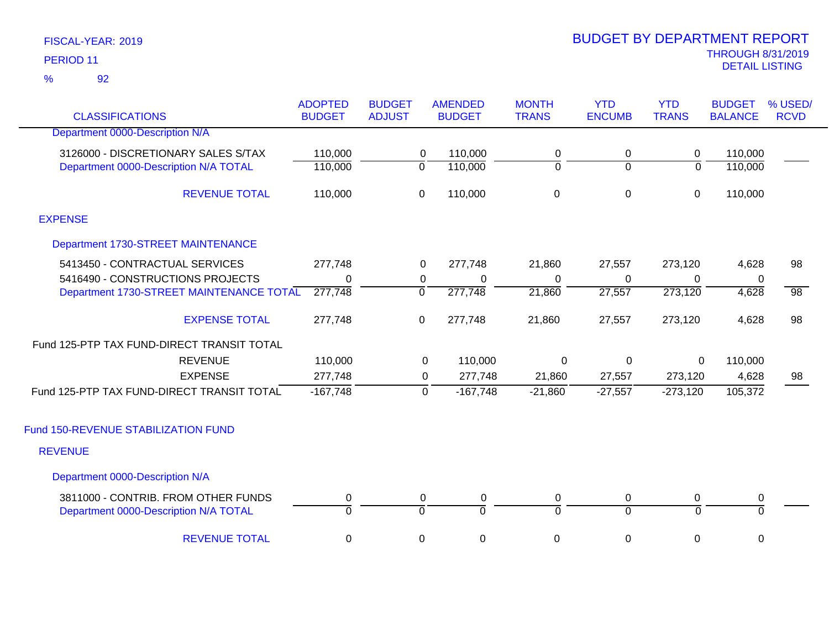## 92 %

| <b>CLASSIFICATIONS</b>                                                       | <b>ADOPTED</b><br><b>BUDGET</b> | <b>BUDGET</b><br><b>ADJUST</b> | <b>AMENDED</b><br><b>BUDGET</b> | <b>MONTH</b><br><b>TRANS</b> | <b>YTD</b><br><b>ENCUMB</b> | <b>YTD</b><br><b>TRANS</b> | <b>BUDGET</b><br><b>BALANCE</b> | % USED/<br><b>RCVD</b> |
|------------------------------------------------------------------------------|---------------------------------|--------------------------------|---------------------------------|------------------------------|-----------------------------|----------------------------|---------------------------------|------------------------|
| Department 0000-Description N/A                                              |                                 |                                |                                 |                              |                             |                            |                                 |                        |
| 3126000 - DISCRETIONARY SALES S/TAX<br>Department 0000-Description N/A TOTAL | 110,000<br>110,000              | 0<br>$\overline{0}$            | 110,000<br>110,000              | 0<br>$\boldsymbol{0}$        | 0<br>$\overline{0}$         | 0<br>$\overline{0}$        | 110,000<br>110,000              |                        |
| <b>REVENUE TOTAL</b>                                                         | 110,000                         | $\mathsf 0$                    | 110,000                         | $\mathbf 0$                  | 0                           | $\pmb{0}$                  | 110,000                         |                        |
| <b>EXPENSE</b>                                                               |                                 |                                |                                 |                              |                             |                            |                                 |                        |
| Department 1730-STREET MAINTENANCE                                           |                                 |                                |                                 |                              |                             |                            |                                 |                        |
| 5413450 - CONTRACTUAL SERVICES<br>5416490 - CONSTRUCTIONS PROJECTS           | 277,748<br>0                    | 0<br>0                         | 277,748<br>$\Omega$             | 21,860<br>0                  | 27,557<br>0                 | 273,120<br>0               | 4,628<br>0                      | 98                     |
| Department 1730-STREET MAINTENANCE TOTAL                                     | 277,748                         | $\overline{0}$                 | 277,748                         | 21,860                       | 27,557                      | 273,120                    | 4,628                           | $\overline{98}$        |
| <b>EXPENSE TOTAL</b>                                                         | 277,748                         | $\mathbf 0$                    | 277,748                         | 21,860                       | 27,557                      | 273,120                    | 4,628                           | 98                     |
| Fund 125-PTP TAX FUND-DIRECT TRANSIT TOTAL                                   |                                 |                                |                                 |                              |                             |                            |                                 |                        |
| <b>REVENUE</b>                                                               | 110,000                         |                                | 110,000<br>0                    | 0                            | 0                           | 0                          | 110,000                         |                        |
| <b>EXPENSE</b>                                                               | 277,748                         |                                | 277,748<br>$\mathbf 0$          | 21,860                       | 27,557                      | 273,120                    | 4,628                           | 98                     |
| Fund 125-PTP TAX FUND-DIRECT TRANSIT TOTAL                                   | $-167,748$                      |                                | $-167,748$<br>0                 | $-21,860$                    | $-27,557$                   | $-273,120$                 | 105,372                         |                        |
| Fund 150-REVENUE STABILIZATION FUND                                          |                                 |                                |                                 |                              |                             |                            |                                 |                        |
| <b>REVENUE</b>                                                               |                                 |                                |                                 |                              |                             |                            |                                 |                        |
| Department 0000-Description N/A                                              |                                 |                                |                                 |                              |                             |                            |                                 |                        |
| 3811000 - CONTRIB. FROM OTHER FUNDS<br>Department 0000-Description N/A TOTAL | 0<br>$\Omega$                   | 0<br>$\Omega$                  | $\boldsymbol{0}$<br>$\Omega$    | $\pmb{0}$<br>$\Omega$        | 0<br>$\Omega$               | 0<br>$\mathbf 0$           | $\pmb{0}$<br>$\Omega$           |                        |
| <b>REVENUE TOTAL</b>                                                         | $\mathbf 0$                     | 0                              | $\mathbf 0$                     | 0                            | 0                           | 0                          | $\mathbf 0$                     |                        |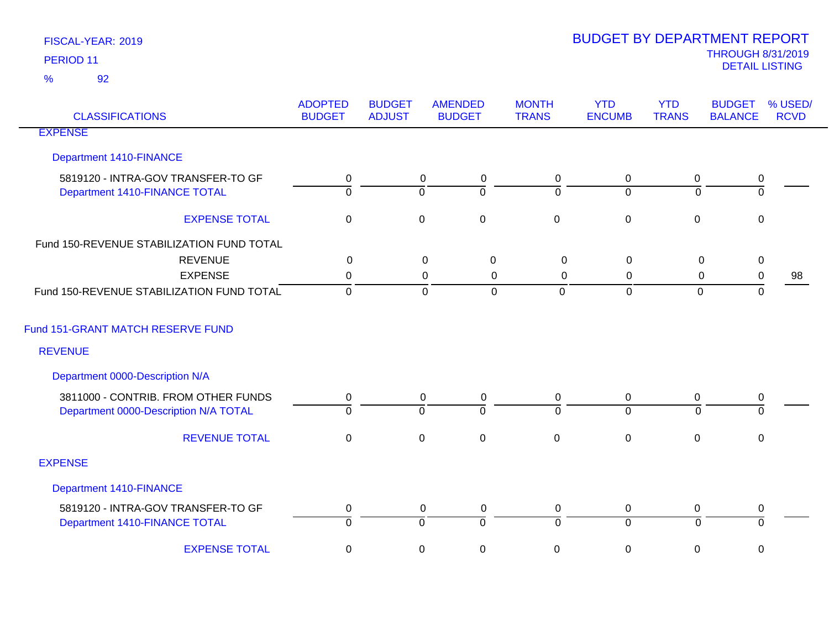| <b>CLASSIFICATIONS</b>                                                       | <b>ADOPTED</b><br><b>BUDGET</b> | <b>BUDGET</b><br><b>ADJUST</b> | <b>AMENDED</b><br><b>BUDGET</b>                      | <b>MONTH</b><br><b>TRANS</b> | <b>YTD</b><br><b>ENCUMB</b>   | <b>YTD</b><br><b>TRANS</b>    | <b>BUDGET</b><br><b>BALANCE</b> | % USED/<br><b>RCVD</b> |
|------------------------------------------------------------------------------|---------------------------------|--------------------------------|------------------------------------------------------|------------------------------|-------------------------------|-------------------------------|---------------------------------|------------------------|
| <b>EXPENSE</b>                                                               |                                 |                                |                                                      |                              |                               |                               |                                 |                        |
| <b>Department 1410-FINANCE</b>                                               |                                 |                                |                                                      |                              |                               |                               |                                 |                        |
| 5819120 - INTRA-GOV TRANSFER-TO GF<br>Department 1410-FINANCE TOTAL          | $\pmb{0}$<br>$\Omega$           |                                | $\overline{0}$<br>0<br>$\Omega$<br>$\Omega$          | $\mathbf 0$<br>$\Omega$      | $\mathbf 0$<br>$\Omega$       | $\mathbf 0$<br>$\Omega$       | $\pmb{0}$<br>$\Omega$           |                        |
| <b>EXPENSE TOTAL</b>                                                         | $\pmb{0}$                       |                                | $\mathbf 0$<br>$\mathbf 0$                           | $\pmb{0}$                    | $\boldsymbol{0}$              | $\mathbf 0$                   | $\Omega$                        |                        |
| Fund 150-REVENUE STABILIZATION FUND TOTAL                                    |                                 |                                |                                                      |                              |                               |                               |                                 |                        |
| <b>REVENUE</b>                                                               | $\mathbf 0$                     |                                | $\pmb{0}$<br>$\pmb{0}$                               | $\pmb{0}$                    | $\mathbf 0$                   | $\pmb{0}$                     | $\pmb{0}$                       |                        |
| <b>EXPENSE</b>                                                               | $\mathbf 0$                     |                                | 0<br>0                                               | $\mathbf 0$                  | 0                             | $\mathbf 0$                   | $\pmb{0}$                       | 98                     |
| Fund 150-REVENUE STABILIZATION FUND TOTAL                                    | $\mathbf 0$                     |                                | $\mathbf 0$<br>$\mathbf 0$                           | $\overline{0}$               | $\mathbf 0$                   | $\mathbf 0$                   | $\mathbf 0$                     |                        |
| Fund 151-GRANT MATCH RESERVE FUND                                            |                                 |                                |                                                      |                              |                               |                               |                                 |                        |
| <b>REVENUE</b>                                                               |                                 |                                |                                                      |                              |                               |                               |                                 |                        |
| Department 0000-Description N/A                                              |                                 |                                |                                                      |                              |                               |                               |                                 |                        |
| 3811000 - CONTRIB. FROM OTHER FUNDS<br>Department 0000-Description N/A TOTAL | 0<br>$\overline{0}$             |                                | 0<br>0<br>$\overline{0}$<br>$\overline{0}$           | 0<br>$\overline{0}$          | $\mathbf 0$<br>$\overline{0}$ | 0<br>$\Omega$                 | 0<br>$\Omega$                   |                        |
| <b>REVENUE TOTAL</b>                                                         | $\pmb{0}$                       |                                | $\pmb{0}$<br>$\pmb{0}$                               | $\pmb{0}$                    | $\mathbf 0$                   | $\mathbf 0$                   | $\pmb{0}$                       |                        |
| <b>EXPENSE</b>                                                               |                                 |                                |                                                      |                              |                               |                               |                                 |                        |
| <b>Department 1410-FINANCE</b>                                               |                                 |                                |                                                      |                              |                               |                               |                                 |                        |
| 5819120 - INTRA-GOV TRANSFER-TO GF<br>Department 1410-FINANCE TOTAL          | $\pmb{0}$<br>$\overline{0}$     |                                | $\mathbf 0$<br>0<br>$\overline{0}$<br>$\overline{0}$ | 0<br>$\overline{0}$          | $\mathbf 0$<br>$\overline{0}$ | $\mathbf 0$<br>$\overline{0}$ | 0<br>$\overline{0}$             |                        |
| <b>EXPENSE TOTAL</b>                                                         | $\pmb{0}$                       |                                | $\mathsf 0$<br>$\pmb{0}$                             | $\mathsf 0$                  | $\mathbf 0$                   | $\mathbf 0$                   | 0                               |                        |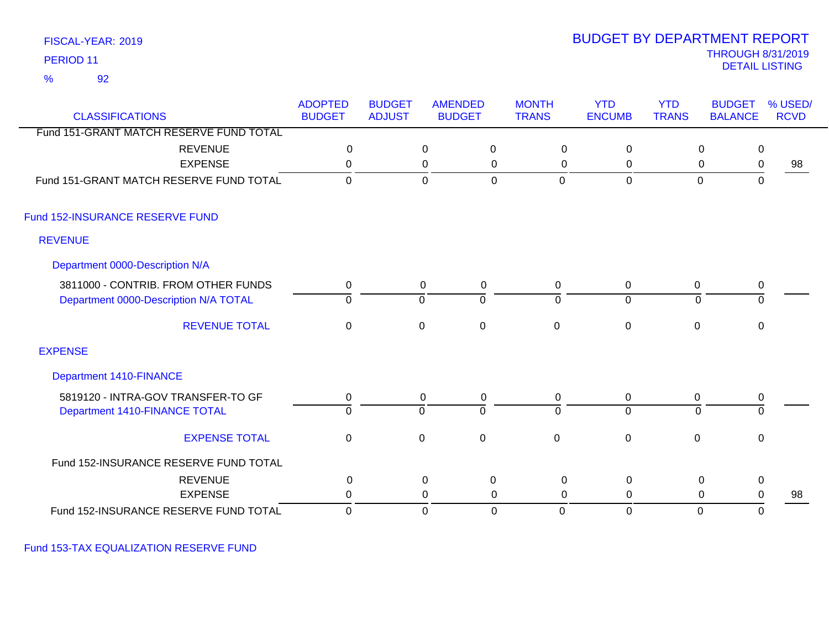92 %

## THROUGH 8/31/2019<br>DETAIL LISTING DETAIL LISTING PERIOD <sup>11</sup> BUDGET BY DEPARTMENT REPORT

| <b>CLASSIFICATIONS</b>                  | <b>ADOPTED</b><br><b>BUDGET</b> | <b>BUDGET</b><br><b>ADJUST</b> |                  | <b>AMENDED</b><br><b>BUDGET</b> | <b>MONTH</b><br><b>TRANS</b> | <b>YTD</b><br><b>ENCUMB</b> | <b>YTD</b><br><b>TRANS</b> | <b>BUDGET</b><br><b>BALANCE</b> | % USED/<br><b>RCVD</b> |
|-----------------------------------------|---------------------------------|--------------------------------|------------------|---------------------------------|------------------------------|-----------------------------|----------------------------|---------------------------------|------------------------|
| Fund 151-GRANT MATCH RESERVE FUND TOTAL |                                 |                                |                  |                                 |                              |                             |                            |                                 |                        |
| <b>REVENUE</b>                          | $\mathbf 0$                     |                                | 0                | 0                               | 0                            | 0                           | 0                          | $\mathbf 0$                     |                        |
| <b>EXPENSE</b>                          | 0                               |                                | 0                | 0                               | 0                            | 0                           | 0                          | $\mathbf 0$                     | 98                     |
| Fund 151-GRANT MATCH RESERVE FUND TOTAL | $\mathbf{0}$                    |                                | $\mathbf 0$      | $\mathbf 0$                     | $\Omega$                     | $\mathbf 0$                 | $\overline{0}$             | $\mathbf 0$                     |                        |
| Fund 152-INSURANCE RESERVE FUND         |                                 |                                |                  |                                 |                              |                             |                            |                                 |                        |
| <b>REVENUE</b>                          |                                 |                                |                  |                                 |                              |                             |                            |                                 |                        |
| Department 0000-Description N/A         |                                 |                                |                  |                                 |                              |                             |                            |                                 |                        |
| 3811000 - CONTRIB. FROM OTHER FUNDS     | 0                               |                                | 0                | 0                               | 0                            | 0                           | $\mathbf 0$                | 0                               |                        |
| Department 0000-Description N/A TOTAL   | $\overline{0}$                  |                                | $\mathbf 0$      | $\mathbf 0$                     | $\overline{0}$               | $\mathbf 0$                 | $\Omega$                   | $\mathbf 0$                     |                        |
| <b>REVENUE TOTAL</b>                    | $\mathbf 0$                     |                                | $\boldsymbol{0}$ | $\pmb{0}$                       | $\mathsf 0$                  | $\pmb{0}$                   | $\mathbf 0$                | $\mathbf 0$                     |                        |
| <b>EXPENSE</b>                          |                                 |                                |                  |                                 |                              |                             |                            |                                 |                        |
| <b>Department 1410-FINANCE</b>          |                                 |                                |                  |                                 |                              |                             |                            |                                 |                        |
| 5819120 - INTRA-GOV TRANSFER-TO GF      | 0                               |                                | 0                | 0                               | 0                            | 0                           | 0                          | 0                               |                        |
| Department 1410-FINANCE TOTAL           | $\overline{0}$                  |                                | ō                | $\overline{0}$                  | $\overline{0}$               | $\overline{0}$              | $\mathbf 0$                | $\overline{0}$                  |                        |
| <b>EXPENSE TOTAL</b>                    | $\mathbf 0$                     |                                | 0                | $\mathbf 0$                     | $\mathbf 0$                  | $\mathbf 0$                 | $\mathbf 0$                | 0                               |                        |
| Fund 152-INSURANCE RESERVE FUND TOTAL   |                                 |                                |                  |                                 |                              |                             |                            |                                 |                        |
| <b>REVENUE</b>                          | $\mathbf 0$                     |                                | $\mathbf 0$      | $\pmb{0}$                       | $\pmb{0}$                    | $\mathsf 0$                 | $\pmb{0}$                  | $\pmb{0}$                       |                        |
| <b>EXPENSE</b>                          | 0                               |                                | 0                | 0                               | $\Omega$                     | 0                           | 0                          | $\mathbf 0$                     | 98                     |
| Fund 152-INSURANCE RESERVE FUND TOTAL   | $\mathbf 0$                     |                                | $\mathbf 0$      | $\mathbf 0$                     | $\Omega$                     | $\mathbf 0$                 | $\mathbf 0$                | 0                               |                        |

Fund 153-TAX EQUALIZATION RESERVE FUND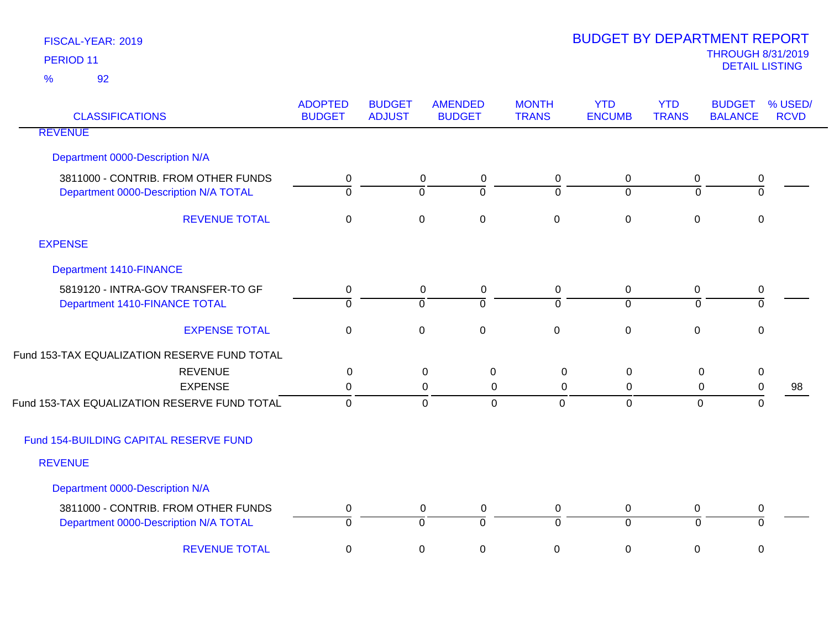| <b>CLASSIFICATIONS</b>                       | <b>ADOPTED</b><br><b>BUDGET</b> | <b>BUDGET</b><br><b>ADJUST</b> | <b>AMENDED</b><br><b>BUDGET</b>  | <b>MONTH</b><br><b>TRANS</b>  | <b>YTD</b><br><b>ENCUMB</b> | <b>YTD</b><br><b>TRANS</b> | <b>BUDGET</b><br><b>BALANCE</b> | % USED/<br><b>RCVD</b> |
|----------------------------------------------|---------------------------------|--------------------------------|----------------------------------|-------------------------------|-----------------------------|----------------------------|---------------------------------|------------------------|
| <b>REVENUE</b>                               |                                 |                                |                                  |                               |                             |                            |                                 |                        |
| Department 0000-Description N/A              |                                 |                                |                                  |                               |                             |                            |                                 |                        |
| 3811000 - CONTRIB. FROM OTHER FUNDS          | 0                               |                                | 0<br>$\mathbf 0$                 | $\mathbf 0$                   | $\pmb{0}$                   | 0                          | 0                               |                        |
| Department 0000-Description N/A TOTAL        | $\overline{0}$                  |                                | $\overline{0}$<br>$\Omega$       | $\Omega$                      | $\Omega$                    | $\Omega$                   | $\overline{0}$                  |                        |
| <b>REVENUE TOTAL</b>                         | $\pmb{0}$                       |                                | $\pmb{0}$<br>$\mathsf 0$         | $\mathbf 0$                   | $\pmb{0}$                   | $\mathbf 0$                | $\mathbf 0$                     |                        |
| <b>EXPENSE</b>                               |                                 |                                |                                  |                               |                             |                            |                                 |                        |
| <b>Department 1410-FINANCE</b>               |                                 |                                |                                  |                               |                             |                            |                                 |                        |
| 5819120 - INTRA-GOV TRANSFER-TO GF           | 0                               |                                | 0<br>$\mathbf 0$                 | $\mathbf 0$                   | $\pmb{0}$                   | 0                          | 0                               |                        |
| Department 1410-FINANCE TOTAL                | $\overline{0}$                  |                                | $\overline{0}$<br>$\overline{0}$ | $\mathbf 0$                   | $\overline{0}$              | $\overline{0}$             | $\overline{0}$                  |                        |
| <b>EXPENSE TOTAL</b>                         | 0                               |                                | $\pmb{0}$<br>$\mathbf 0$         | $\mathbf 0$                   | $\pmb{0}$                   | $\mathbf 0$                | $\mathbf 0$                     |                        |
| Fund 153-TAX EQUALIZATION RESERVE FUND TOTAL |                                 |                                |                                  |                               |                             |                            |                                 |                        |
| <b>REVENUE</b>                               | 0                               |                                | $\pmb{0}$<br>$\boldsymbol{0}$    | $\boldsymbol{0}$              | $\mathbf 0$                 | $\mathsf 0$                | $\pmb{0}$                       |                        |
| <b>EXPENSE</b>                               | 0                               |                                | 0                                | 0<br>0                        | 0                           | 0                          | $\pmb{0}$                       | 98                     |
| Fund 153-TAX EQUALIZATION RESERVE FUND TOTAL | $\mathbf 0$                     |                                | $\mathbf 0$                      | $\overline{0}$<br>$\mathbf 0$ | $\mathbf 0$                 | $\mathbf 0$                | 0                               |                        |
| Fund 154-BUILDING CAPITAL RESERVE FUND       |                                 |                                |                                  |                               |                             |                            |                                 |                        |
| <b>REVENUE</b>                               |                                 |                                |                                  |                               |                             |                            |                                 |                        |
| Department 0000-Description N/A              |                                 |                                |                                  |                               |                             |                            |                                 |                        |
| 3811000 - CONTRIB. FROM OTHER FUNDS          | 0                               |                                | 0<br>$\mathbf 0$                 | 0                             | $\mathbf 0$                 | 0                          | 0                               |                        |
| Department 0000-Description N/A TOTAL        | $\overline{0}$                  |                                | $\overline{0}$<br>$\overline{0}$ | $\Omega$                      | $\overline{0}$              | ō                          | ō                               |                        |
| <b>REVENUE TOTAL</b>                         | $\pmb{0}$                       |                                | $\mathsf 0$<br>0                 | 0                             | $\pmb{0}$                   | 0                          | 0                               |                        |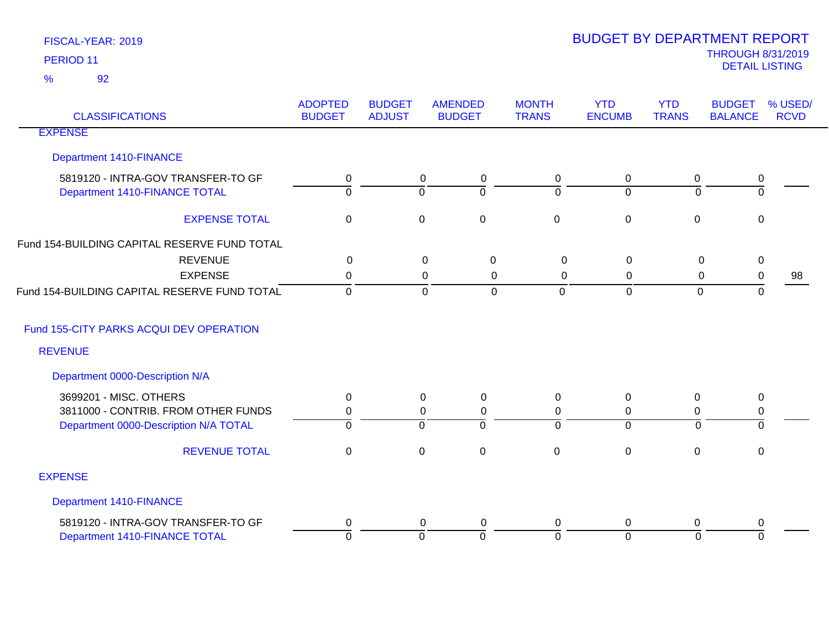| <b>CLASSIFICATIONS</b>                       | <b>ADOPTED</b><br><b>BUDGET</b> | <b>BUDGET</b><br><b>ADJUST</b> | <b>AMENDED</b><br><b>BUDGET</b> | <b>MONTH</b><br><b>TRANS</b> | <b>YTD</b><br><b>ENCUMB</b> | <b>YTD</b><br><b>TRANS</b> | <b>BUDGET</b><br><b>BALANCE</b> | % USED/<br><b>RCVD</b> |
|----------------------------------------------|---------------------------------|--------------------------------|---------------------------------|------------------------------|-----------------------------|----------------------------|---------------------------------|------------------------|
| <b>EXPENSE</b>                               |                                 |                                |                                 |                              |                             |                            |                                 |                        |
| Department 1410-FINANCE                      |                                 |                                |                                 |                              |                             |                            |                                 |                        |
| 5819120 - INTRA-GOV TRANSFER-TO GF           | 0                               |                                | $\mathbf 0$<br>0                | 0                            | $\mathbf 0$                 | 0                          | 0                               |                        |
| Department 1410-FINANCE TOTAL                | $\overline{0}$                  |                                | 0<br>$\mathbf 0$                | $\Omega$                     | $\mathbf 0$                 | $\overline{0}$             | $\overline{0}$                  |                        |
| <b>EXPENSE TOTAL</b>                         | $\pmb{0}$                       |                                | $\pmb{0}$<br>$\mathbf 0$        | $\mathbf 0$                  | $\pmb{0}$                   | $\mathbf 0$                | $\pmb{0}$                       |                        |
| Fund 154-BUILDING CAPITAL RESERVE FUND TOTAL |                                 |                                |                                 |                              |                             |                            |                                 |                        |
| <b>REVENUE</b>                               | $\mathbf 0$                     |                                | $\mathbf 0$<br>$\mathbf 0$      | 0                            | $\mathbf 0$                 | 0                          | $\pmb{0}$                       |                        |
| <b>EXPENSE</b>                               | 0                               |                                | $\mathbf 0$<br>$\mathbf 0$      | 0                            | 0                           | 0                          | $\pmb{0}$                       | 98                     |
| Fund 154-BUILDING CAPITAL RESERVE FUND TOTAL | $\overline{0}$                  |                                | $\mathbf 0$<br>$\Omega$         | $\overline{0}$               | $\overline{0}$              | $\overline{0}$             | $\mathbf 0$                     |                        |
| Fund 155-CITY PARKS ACQUI DEV OPERATION      |                                 |                                |                                 |                              |                             |                            |                                 |                        |
| <b>REVENUE</b>                               |                                 |                                |                                 |                              |                             |                            |                                 |                        |
| Department 0000-Description N/A              |                                 |                                |                                 |                              |                             |                            |                                 |                        |
| 3699201 - MISC. OTHERS                       | 0                               |                                | $\mathbf 0$<br>0                | 0                            | $\mathbf 0$                 | $\mathbf 0$                | 0                               |                        |
| 3811000 - CONTRIB. FROM OTHER FUNDS          | 0                               |                                | $\mathbf 0$<br>0                | 0                            | $\mathbf 0$                 | 0                          | 0                               |                        |
| Department 0000-Description N/A TOTAL        | $\Omega$                        |                                | 0<br>$\Omega$                   | $\Omega$                     | $\mathbf 0$                 | $\mathbf{0}$               | 0                               |                        |
| <b>REVENUE TOTAL</b>                         | $\mathbf 0$                     |                                | $\pmb{0}$<br>$\mathbf 0$        | $\mathbf 0$                  | $\mathbf 0$                 | $\mathbf 0$                | $\mathbf 0$                     |                        |
| <b>EXPENSE</b>                               |                                 |                                |                                 |                              |                             |                            |                                 |                        |
| Department 1410-FINANCE                      |                                 |                                |                                 |                              |                             |                            |                                 |                        |
| 5819120 - INTRA-GOV TRANSFER-TO GF           | 0                               |                                | 0<br>0                          | 0                            | 0                           | 0                          | 0                               |                        |
| Department 1410-FINANCE TOTAL                | $\overline{0}$                  |                                | $\Omega$<br>$\Omega$            | $\Omega$                     | $\Omega$                    | $\Omega$                   | $\Omega$                        |                        |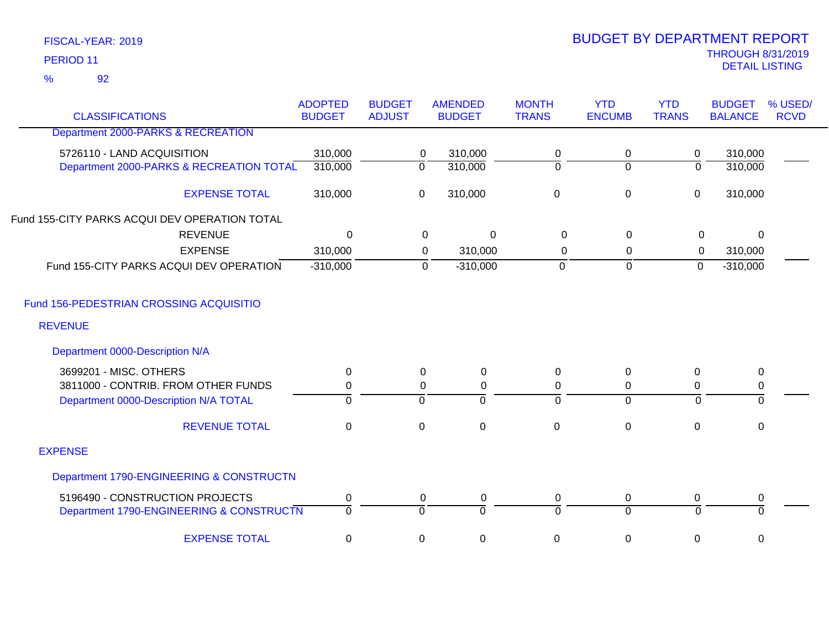92 %

| <b>CLASSIFICATIONS</b>                        | <b>ADOPTED</b><br><b>BUDGET</b> | <b>BUDGET</b><br><b>ADJUST</b> | <b>AMENDED</b><br><b>BUDGET</b> | <b>MONTH</b><br><b>TRANS</b> | <b>YTD</b><br><b>ENCUMB</b> | <b>YTD</b><br><b>TRANS</b> | <b>BUDGET</b><br><b>BALANCE</b> | % USED/<br><b>RCVD</b> |
|-----------------------------------------------|---------------------------------|--------------------------------|---------------------------------|------------------------------|-----------------------------|----------------------------|---------------------------------|------------------------|
| Department 2000-PARKS & RECREATION            |                                 |                                |                                 |                              |                             |                            |                                 |                        |
| 5726110 - LAND ACQUISITION                    | 310,000                         |                                | 310,000<br>$\mathbf 0$          | 0                            | 0                           | $\mathbf 0$                | 310,000                         |                        |
| Department 2000-PARKS & RECREATION TOTAL      | 310,000                         |                                | $\overline{0}$<br>310,000       | $\Omega$                     | $\Omega$                    | $\overline{0}$             | 310,000                         |                        |
|                                               |                                 |                                |                                 |                              |                             |                            |                                 |                        |
| <b>EXPENSE TOTAL</b>                          | 310,000                         |                                | 310,000<br>$\mathbf 0$          | $\mathbf 0$                  | $\mathbf 0$                 | $\mathbf 0$                | 310,000                         |                        |
| Fund 155-CITY PARKS ACQUI DEV OPERATION TOTAL |                                 |                                |                                 |                              |                             |                            |                                 |                        |
| <b>REVENUE</b>                                | $\mathbf 0$                     |                                | 0<br>$\Omega$                   | $\Omega$                     | $\mathbf 0$                 | 0                          | $\Omega$                        |                        |
| <b>EXPENSE</b>                                | 310,000                         |                                | 310,000<br>0                    | $\Omega$                     | 0                           | 0                          | 310,000                         |                        |
| Fund 155-CITY PARKS ACQUI DEV OPERATION       | $-310,000$                      |                                | $\mathbf 0$<br>$-310,000$       | $\mathbf 0$                  | $\mathbf 0$                 | $\mathbf 0$                | $-310,000$                      |                        |
| Fund 156-PEDESTRIAN CROSSING ACQUISITIO       |                                 |                                |                                 |                              |                             |                            |                                 |                        |
| <b>REVENUE</b>                                |                                 |                                |                                 |                              |                             |                            |                                 |                        |
| Department 0000-Description N/A               |                                 |                                |                                 |                              |                             |                            |                                 |                        |
| 3699201 - MISC. OTHERS                        | $\mathbf 0$                     |                                | $\mathbf 0$<br>$\mathbf 0$      | $\pmb{0}$                    | $\Omega$                    | $\mathbf 0$                | $\pmb{0}$                       |                        |
| 3811000 - CONTRIB. FROM OTHER FUNDS           | 0                               |                                | $\mathbf 0$<br>$\mathbf 0$      | 0                            | 0                           | 0                          | 0                               |                        |
| Department 0000-Description N/A TOTAL         | $\overline{0}$                  |                                | $\overline{0}$<br>$\Omega$      | $\Omega$                     | $\overline{0}$              | $\overline{0}$             | ō                               |                        |
| <b>REVENUE TOTAL</b>                          | $\pmb{0}$                       |                                | $\pmb{0}$<br>$\mathbf 0$        | $\mathbf 0$                  | $\mathbf 0$                 | 0                          | $\pmb{0}$                       |                        |
| <b>EXPENSE</b>                                |                                 |                                |                                 |                              |                             |                            |                                 |                        |
| Department 1790-ENGINEERING & CONSTRUCTN      |                                 |                                |                                 |                              |                             |                            |                                 |                        |
| 5196490 - CONSTRUCTION PROJECTS               | $\pmb{0}$                       |                                | 0<br>0                          | $\pmb{0}$                    | 0                           | 0                          | $\pmb{0}$                       |                        |
| Department 1790-ENGINEERING & CONSTRUCTN      | $\overline{0}$                  |                                | $\overline{0}$<br>$\Omega$      | $\Omega$                     | $\overline{0}$              | $\overline{0}$             | $\overline{0}$                  |                        |
| <b>EXPENSE TOTAL</b>                          | $\mathbf 0$                     |                                | $\pmb{0}$<br>0                  | 0                            | 0                           | 0                          | 0                               |                        |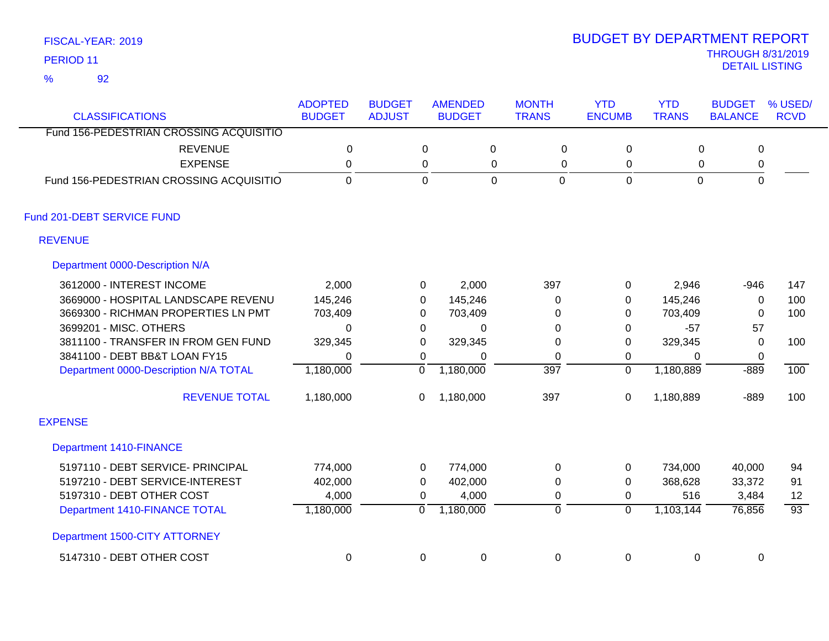92 %

| <b>CLASSIFICATIONS</b>                  | <b>ADOPTED</b><br><b>BUDGET</b> | <b>BUDGET</b><br><b>ADJUST</b> | <b>AMENDED</b><br><b>BUDGET</b> |             | <b>MONTH</b><br><b>TRANS</b> | <b>YTD</b><br><b>ENCUMB</b> | <b>YTD</b><br><b>TRANS</b> | <b>BUDGET</b><br><b>BALANCE</b> | % USED/<br><b>RCVD</b> |
|-----------------------------------------|---------------------------------|--------------------------------|---------------------------------|-------------|------------------------------|-----------------------------|----------------------------|---------------------------------|------------------------|
| Fund 156-PEDESTRIAN CROSSING ACQUISITIO |                                 |                                |                                 |             |                              |                             |                            |                                 |                        |
| <b>REVENUE</b>                          | 0                               |                                | 0                               | 0           | 0                            | 0                           | 0                          | $\mathsf 0$                     |                        |
| <b>EXPENSE</b>                          | $\mathbf 0$                     |                                | 0                               | $\mathbf 0$ | 0                            | 0                           | 0                          | 0                               |                        |
| Fund 156-PEDESTRIAN CROSSING ACQUISITIO | $\mathbf 0$                     |                                | $\mathbf 0$                     | $\mathbf 0$ | $\mathbf 0$                  | $\mathbf 0$                 | $\mathbf 0$                | $\mathbf 0$                     |                        |
| Fund 201-DEBT SERVICE FUND              |                                 |                                |                                 |             |                              |                             |                            |                                 |                        |
| <b>REVENUE</b>                          |                                 |                                |                                 |             |                              |                             |                            |                                 |                        |
| Department 0000-Description N/A         |                                 |                                |                                 |             |                              |                             |                            |                                 |                        |
| 3612000 - INTEREST INCOME               | 2,000                           |                                | 0                               | 2,000       | 397                          | 0                           | 2,946                      | $-946$                          | 147                    |
| 3669000 - HOSPITAL LANDSCAPE REVENU     | 145,246                         |                                | 0                               | 145,246     | 0                            | 0                           | 145,246                    | $\mathbf 0$                     | 100                    |
| 3669300 - RICHMAN PROPERTIES LN PMT     | 703,409                         |                                | 0                               | 703,409     | 0                            | 0                           | 703,409                    | $\Omega$                        | 100                    |
| 3699201 - MISC. OTHERS                  | $\Omega$                        |                                | $\mathbf 0$                     | 0           | 0                            | 0                           | $-57$                      | 57                              |                        |
| 3811100 - TRANSFER IN FROM GEN FUND     | 329,345                         |                                | 0                               | 329,345     | 0                            | 0                           | 329,345                    | $\Omega$                        | 100                    |
| 3841100 - DEBT BB&T LOAN FY15           | 0                               |                                | 0                               | $\Omega$    | 0                            | 0                           | $\mathbf{0}$               | 0                               |                        |
| Department 0000-Description N/A TOTAL   | 1,180,000                       | $\overline{0}$                 | 1,180,000                       |             | $\overline{397}$             | $\overline{0}$              | 1,180,889                  | $-889$                          | 100                    |
| <b>REVENUE TOTAL</b>                    | 1,180,000                       | 0                              | 1,180,000                       |             | 397                          | $\pmb{0}$                   | 1,180,889                  | $-889$                          | 100                    |
| <b>EXPENSE</b>                          |                                 |                                |                                 |             |                              |                             |                            |                                 |                        |
| <b>Department 1410-FINANCE</b>          |                                 |                                |                                 |             |                              |                             |                            |                                 |                        |
| 5197110 - DEBT SERVICE- PRINCIPAL       | 774,000                         |                                | 0                               | 774,000     | 0                            | 0                           | 734,000                    | 40,000                          | 94                     |
| 5197210 - DEBT SERVICE-INTEREST         | 402,000                         |                                | 0                               | 402,000     | 0                            | 0                           | 368,628                    | 33,372                          | 91                     |
| 5197310 - DEBT OTHER COST               | 4,000                           |                                | 0                               | 4,000       | $\mathbf 0$                  | 0                           | 516                        | 3,484                           | 12                     |
| Department 1410-FINANCE TOTAL           | 1,180,000                       | 0                              | 1,180,000                       |             | 0                            | $\overline{0}$              | 1,103,144                  | 76,856                          | $\overline{93}$        |
| Department 1500-CITY ATTORNEY           |                                 |                                |                                 |             |                              |                             |                            |                                 |                        |
| 5147310 - DEBT OTHER COST               | 0                               |                                | 0                               | $\pmb{0}$   | 0                            | 0                           | 0                          | 0                               |                        |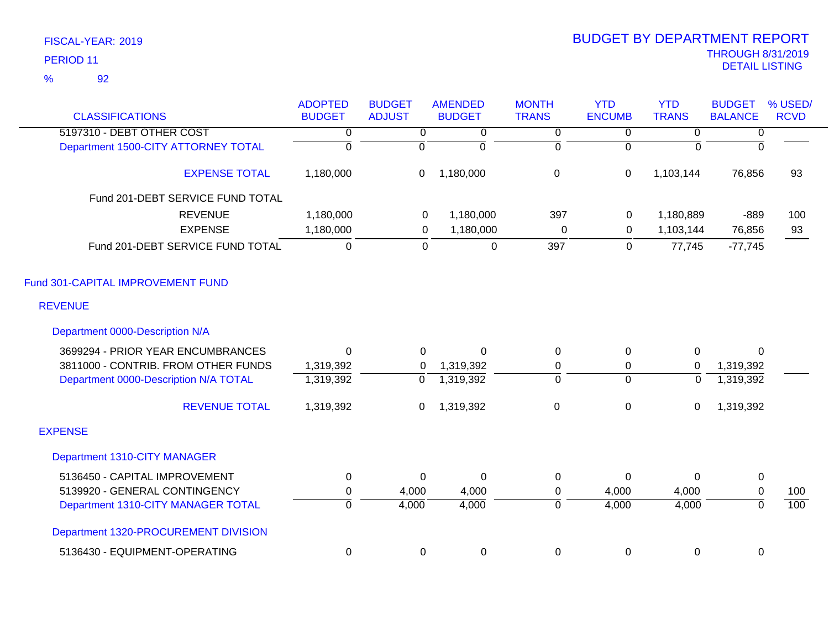| <b>CLASSIFICATIONS</b>                | <b>ADOPTED</b><br><b>BUDGET</b> | <b>BUDGET</b><br><b>ADJUST</b> | <b>AMENDED</b><br><b>BUDGET</b> | <b>MONTH</b><br><b>TRANS</b> | <b>YTD</b><br><b>ENCUMB</b> | <b>YTD</b><br><b>TRANS</b> | <b>BUDGET</b><br><b>BALANCE</b> | % USED/<br><b>RCVD</b> |
|---------------------------------------|---------------------------------|--------------------------------|---------------------------------|------------------------------|-----------------------------|----------------------------|---------------------------------|------------------------|
| 5197310 - DEBT OTHER COST             | 0                               | $\overline{0}$                 | 0                               | $\overline{0}$               | $\overline{0}$              | 0                          | $\overline{0}$                  |                        |
| Department 1500-CITY ATTORNEY TOTAL   | $\overline{0}$                  | $\overline{0}$                 | $\mathbf 0$                     | $\mathbf 0$                  | $\Omega$                    | $\Omega$                   | $\overline{0}$                  |                        |
| <b>EXPENSE TOTAL</b>                  | 1,180,000                       | $\boldsymbol{0}$               | 1,180,000                       | $\mathbf 0$                  | 0                           | 1,103,144                  | 76,856                          | 93                     |
| Fund 201-DEBT SERVICE FUND TOTAL      |                                 |                                |                                 |                              |                             |                            |                                 |                        |
| <b>REVENUE</b>                        | 1,180,000                       | $\overline{0}$                 | 1,180,000                       | 397                          | 0                           | 1,180,889                  | $-889$                          | 100                    |
| <b>EXPENSE</b>                        | 1,180,000                       | $\mathbf 0$                    | 1,180,000                       | $\pmb{0}$                    | 0                           | 1,103,144                  | 76,856                          | 93                     |
| Fund 201-DEBT SERVICE FUND TOTAL      | $\mathbf 0$                     | $\mathbf 0$                    | $\pmb{0}$                       | 397                          | $\mathbf 0$                 | 77,745                     | $-77,745$                       |                        |
| Fund 301-CAPITAL IMPROVEMENT FUND     |                                 |                                |                                 |                              |                             |                            |                                 |                        |
| <b>REVENUE</b>                        |                                 |                                |                                 |                              |                             |                            |                                 |                        |
| Department 0000-Description N/A       |                                 |                                |                                 |                              |                             |                            |                                 |                        |
| 3699294 - PRIOR YEAR ENCUMBRANCES     | $\Omega$                        | 0                              | $\Omega$                        | 0                            | 0                           | 0                          | $\Omega$                        |                        |
| 3811000 - CONTRIB. FROM OTHER FUNDS   | 1,319,392                       | 0                              | 1,319,392                       | 0                            | 0                           | $\mathbf 0$                | 1,319,392                       |                        |
| Department 0000-Description N/A TOTAL | 1,319,392                       | $\overline{0}$                 | 1,319,392                       | $\overline{0}$               | $\overline{0}$              | $\overline{0}$             | 1,319,392                       |                        |
| <b>REVENUE TOTAL</b>                  | 1,319,392                       | 0                              | 1,319,392                       | $\pmb{0}$                    | 0                           | 0                          | 1,319,392                       |                        |
| <b>EXPENSE</b>                        |                                 |                                |                                 |                              |                             |                            |                                 |                        |
| Department 1310-CITY MANAGER          |                                 |                                |                                 |                              |                             |                            |                                 |                        |
| 5136450 - CAPITAL IMPROVEMENT         | $\mathbf 0$                     | 0                              | $\mathbf 0$                     | 0                            | 0                           | $\Omega$                   | $\pmb{0}$                       |                        |
| 5139920 - GENERAL CONTINGENCY         | 0                               | 4,000                          | 4,000                           | 0                            | 4,000                       | 4,000                      | $\mathbf 0$                     | 100                    |
| Department 1310-CITY MANAGER TOTAL    | $\overline{0}$                  | 4,000                          | 4,000                           | 0                            | 4,000                       | 4,000                      | $\overline{0}$                  | 100                    |
| Department 1320-PROCUREMENT DIVISION  |                                 |                                |                                 |                              |                             |                            |                                 |                        |
| 5136430 - EQUIPMENT-OPERATING         | 0                               | $\mathbf 0$                    | $\pmb{0}$                       | 0                            | 0                           | 0                          | 0                               |                        |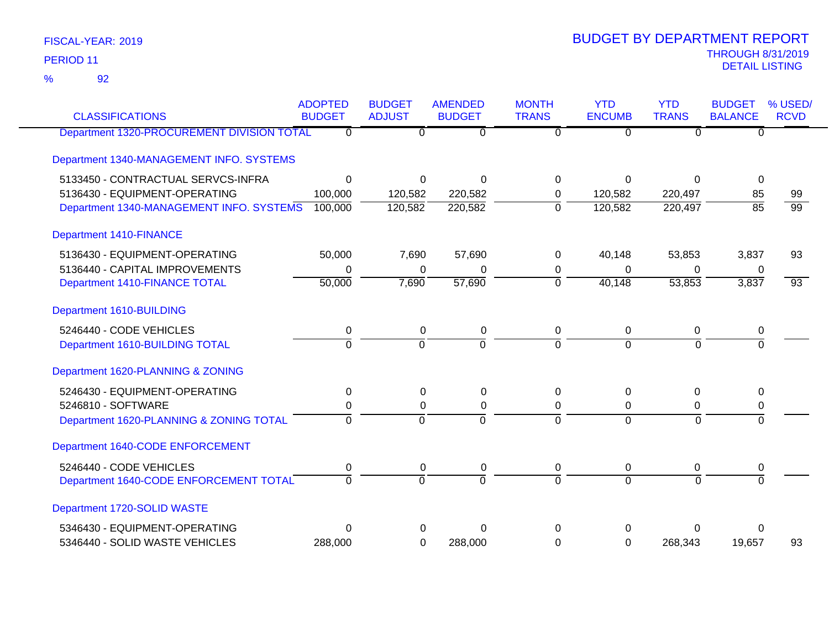92 %

| <b>CLASSIFICATIONS</b>                     | <b>ADOPTED</b><br><b>BUDGET</b> | <b>BUDGET</b><br><b>ADJUST</b> | <b>AMENDED</b><br><b>BUDGET</b> | <b>MONTH</b><br><b>TRANS</b> | <b>YTD</b><br><b>ENCUMB</b> | <b>YTD</b><br><b>TRANS</b> | <b>BUDGET</b><br><b>BALANCE</b> | % USED/<br><b>RCVD</b> |
|--------------------------------------------|---------------------------------|--------------------------------|---------------------------------|------------------------------|-----------------------------|----------------------------|---------------------------------|------------------------|
| Department 1320-PROCUREMENT DIVISION TOTAL | $\overline{0}$                  | 0                              | $\overline{0}$                  | $\overline{0}$               | $\overline{0}$              | $\overline{0}$             | $\overline{0}$                  |                        |
| Department 1340-MANAGEMENT INFO. SYSTEMS   |                                 |                                |                                 |                              |                             |                            |                                 |                        |
| 5133450 - CONTRACTUAL SERVCS-INFRA         | $\mathbf 0$                     | $\mathbf 0$                    | $\Omega$                        | $\Omega$                     | $\Omega$                    | $\Omega$                   | 0                               |                        |
| 5136430 - EQUIPMENT-OPERATING              | 100,000                         | 120,582                        | 220,582                         | 0                            | 120,582                     | 220,497                    | 85                              | 99                     |
| Department 1340-MANAGEMENT INFO. SYSTEMS   | 100,000                         | 120,582                        | 220,582                         | $\mathbf 0$                  | 120,582                     | 220,497                    | $\overline{85}$                 | $\overline{99}$        |
| <b>Department 1410-FINANCE</b>             |                                 |                                |                                 |                              |                             |                            |                                 |                        |
| 5136430 - EQUIPMENT-OPERATING              | 50,000                          | 7,690                          | 57,690                          | $\Omega$                     | 40,148                      | 53,853                     | 3,837                           | 93                     |
| 5136440 - CAPITAL IMPROVEMENTS             | 0                               | $\Omega$                       | 0                               | 0                            | $\Omega$                    | $\Omega$                   | 0                               |                        |
| Department 1410-FINANCE TOTAL              | 50,000                          | 7,690                          | 57,690                          | $\Omega$                     | 40,148                      | 53,853                     | 3,837                           | $\overline{93}$        |
| Department 1610-BUILDING                   |                                 |                                |                                 |                              |                             |                            |                                 |                        |
| 5246440 - CODE VEHICLES                    | $\pmb{0}$                       | $\mathbf 0$                    | $\pmb{0}$                       | $\pmb{0}$                    | $\mathbf 0$                 | $\mathbf 0$                | $\pmb{0}$                       |                        |
| Department 1610-BUILDING TOTAL             | $\Omega$                        | $\Omega$                       | $\Omega$                        | $\Omega$                     | $\Omega$                    | $\Omega$                   | $\Omega$                        |                        |
| Department 1620-PLANNING & ZONING          |                                 |                                |                                 |                              |                             |                            |                                 |                        |
| 5246430 - EQUIPMENT-OPERATING              | 0                               | 0                              | $\pmb{0}$                       | 0                            | $\Omega$                    | 0                          | 0                               |                        |
| 5246810 - SOFTWARE                         | 0                               | 0                              | $\pmb{0}$                       | 0                            | 0                           | 0                          | 0                               |                        |
| Department 1620-PLANNING & ZONING TOTAL    | $\overline{0}$                  | $\overline{0}$                 | $\overline{0}$                  | $\Omega$                     | $\Omega$                    | $\Omega$                   | $\overline{0}$                  |                        |
| Department 1640-CODE ENFORCEMENT           |                                 |                                |                                 |                              |                             |                            |                                 |                        |
| 5246440 - CODE VEHICLES                    | 0                               | 0                              | $\pmb{0}$                       | $\mathbf 0$                  | $\overline{0}$              | $\mathbf 0$                | 0                               |                        |
| Department 1640-CODE ENFORCEMENT TOTAL     | $\overline{0}$                  | $\overline{0}$                 | $\overline{0}$                  | $\Omega$                     | $\Omega$                    | $\Omega$                   | $\overline{0}$                  |                        |
| Department 1720-SOLID WASTE                |                                 |                                |                                 |                              |                             |                            |                                 |                        |
| 5346430 - EQUIPMENT-OPERATING              | $\Omega$                        | 0                              | $\Omega$                        | $\Omega$                     | 0                           | 0                          | 0                               |                        |
| 5346440 - SOLID WASTE VEHICLES             | 288,000                         | 0                              | 288,000                         | $\Omega$                     | $\Omega$                    | 268,343                    | 19,657                          | 93                     |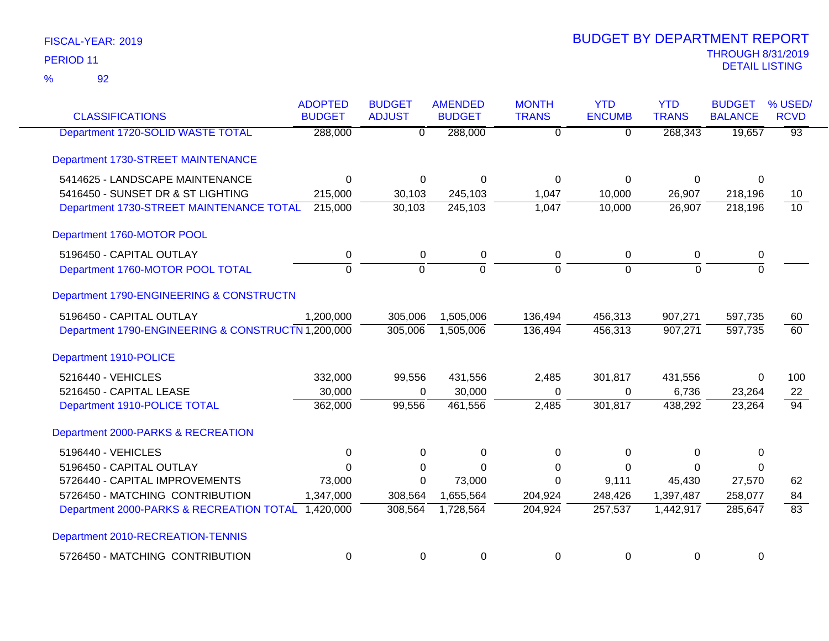| <b>CLASSIFICATIONS</b>                             | <b>ADOPTED</b><br><b>BUDGET</b> | <b>BUDGET</b><br><b>ADJUST</b> | <b>AMENDED</b><br><b>BUDGET</b> | <b>MONTH</b><br><b>TRANS</b> | <b>YTD</b><br><b>ENCUMB</b> | <b>YTD</b><br><b>TRANS</b> | <b>BUDGET</b><br><b>BALANCE</b> | % USED/<br><b>RCVD</b> |
|----------------------------------------------------|---------------------------------|--------------------------------|---------------------------------|------------------------------|-----------------------------|----------------------------|---------------------------------|------------------------|
| Department 1720-SOLID WASTE TOTAL                  | 288,000                         | $\overline{0}$                 | 288,000                         | $\overline{0}$               | $\overline{0}$              | 268,343                    | 19,657                          | $\overline{93}$        |
| Department 1730-STREET MAINTENANCE                 |                                 |                                |                                 |                              |                             |                            |                                 |                        |
| 5414625 - LANDSCAPE MAINTENANCE                    | $\mathbf 0$                     | $\mathbf 0$                    | $\Omega$                        | $\Omega$                     | $\Omega$                    | 0                          | $\Omega$                        |                        |
| 5416450 - SUNSET DR & ST LIGHTING                  | 215,000                         | 30,103                         | 245,103                         | 1,047                        | 10,000                      | 26,907                     | 218,196                         | 10                     |
| Department 1730-STREET MAINTENANCE TOTAL           | 215,000                         | 30,103                         | 245,103                         | 1,047                        | 10,000                      | 26,907                     | 218,196                         | 10                     |
| Department 1760-MOTOR POOL                         |                                 |                                |                                 |                              |                             |                            |                                 |                        |
| 5196450 - CAPITAL OUTLAY                           | 0                               | $\mathbf 0$                    | $\pmb{0}$                       | $\mathbf 0$                  | 0                           | 0                          | 0                               |                        |
| Department 1760-MOTOR POOL TOTAL                   | ō                               | $\overline{0}$                 | ō                               | $\overline{0}$               | $\overline{0}$              | $\overline{0}$             | ō                               |                        |
| Department 1790-ENGINEERING & CONSTRUCTN           |                                 |                                |                                 |                              |                             |                            |                                 |                        |
| 5196450 - CAPITAL OUTLAY                           | 1,200,000                       | 305,006                        | 1,505,006                       | 136,494                      | 456,313                     | 907,271                    | 597,735                         | 60                     |
| Department 1790-ENGINEERING & CONSTRUCTN 1,200,000 |                                 | 305,006                        | 1,505,006                       | 136,494                      | 456,313                     | 907,271                    | 597,735                         | $\overline{60}$        |
| Department 1910-POLICE                             |                                 |                                |                                 |                              |                             |                            |                                 |                        |
| 5216440 - VEHICLES                                 | 332,000                         | 99,556                         | 431,556                         | 2,485                        | 301,817                     | 431,556                    | 0                               | 100                    |
| 5216450 - CAPITAL LEASE                            | 30,000                          | $\Omega$                       | 30,000                          | $\Omega$                     | 0                           | 6,736                      | 23,264                          | 22                     |
| Department 1910-POLICE TOTAL                       | 362,000                         | 99,556                         | 461,556                         | 2,485                        | 301,817                     | 438,292                    | 23,264                          | $\overline{94}$        |
| Department 2000-PARKS & RECREATION                 |                                 |                                |                                 |                              |                             |                            |                                 |                        |
| 5196440 - VEHICLES                                 | 0                               | 0                              | $\Omega$                        | $\Omega$                     | $\Omega$                    | 0                          | 0                               |                        |
| 5196450 - CAPITAL OUTLAY                           | $\Omega$                        | $\Omega$                       | $\Omega$                        | $\Omega$                     | $\Omega$                    | $\Omega$                   | 0                               |                        |
| 5726440 - CAPITAL IMPROVEMENTS                     | 73,000                          | $\mathbf 0$                    | 73,000                          | $\Omega$                     | 9,111                       | 45,430                     | 27,570                          | 62                     |
| 5726450 - MATCHING CONTRIBUTION                    | 1,347,000                       | 308,564                        | 1,655,564                       | 204,924                      | 248,426                     | 1,397,487                  | 258,077                         | 84                     |
| Department 2000-PARKS & RECREATION TOTAL 1,420,000 |                                 | 308,564                        | 1,728,564                       | 204,924                      | 257,537                     | 1,442,917                  | 285,647                         | $\overline{83}$        |
| Department 2010-RECREATION-TENNIS                  |                                 |                                |                                 |                              |                             |                            |                                 |                        |
| 5726450 - MATCHING CONTRIBUTION                    | 0                               | 0                              | 0                               | 0                            | 0                           | 0                          | 0                               |                        |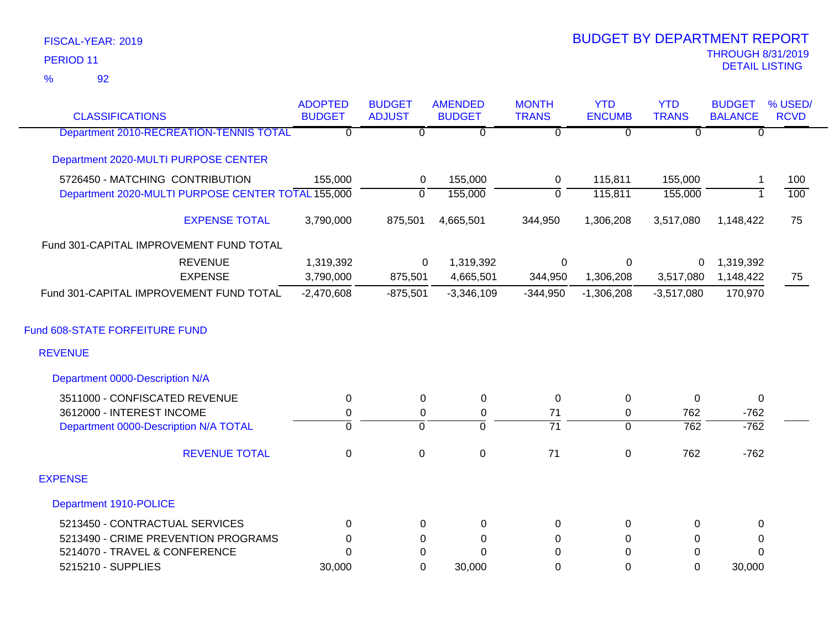92 %

| <b>CLASSIFICATIONS</b>                             | <b>ADOPTED</b><br><b>BUDGET</b> | <b>BUDGET</b><br><b>ADJUST</b> | <b>AMENDED</b><br><b>BUDGET</b> | <b>MONTH</b><br><b>TRANS</b> | <b>YTD</b><br><b>ENCUMB</b> | <b>YTD</b><br><b>TRANS</b> | <b>BUDGET</b><br><b>BALANCE</b> | % USED/<br><b>RCVD</b> |
|----------------------------------------------------|---------------------------------|--------------------------------|---------------------------------|------------------------------|-----------------------------|----------------------------|---------------------------------|------------------------|
| <b>Department 2010-RECREATION-TENNIS TOTAL</b>     | $\overline{0}$                  | $\overline{0}$                 | $\overline{0}$                  | $\overline{0}$               | $\overline{0}$              | $\overline{0}$             | $\overline{0}$                  |                        |
| Department 2020-MULTI PURPOSE CENTER               |                                 |                                |                                 |                              |                             |                            |                                 |                        |
| 5726450 - MATCHING CONTRIBUTION                    | 155,000                         | 0                              | 155,000                         | $\mathbf 0$                  | 115,811                     | 155,000                    | 1                               | 100                    |
| Department 2020-MULTI PURPOSE CENTER TOTAL 155,000 |                                 | $\mathbf{0}$                   | 155,000                         | $\mathbf{0}$                 | 115,811                     | 155,000                    |                                 | 100                    |
| <b>EXPENSE TOTAL</b>                               | 3,790,000                       | 875,501                        | 4,665,501                       | 344,950                      | 1,306,208                   | 3,517,080                  | 1,148,422                       | 75                     |
| Fund 301-CAPITAL IMPROVEMENT FUND TOTAL            |                                 |                                |                                 |                              |                             |                            |                                 |                        |
| <b>REVENUE</b>                                     | 1,319,392                       | 0                              | 1,319,392                       | 0                            | 0                           | 0                          | 1,319,392                       |                        |
| <b>EXPENSE</b>                                     | 3,790,000                       | 875,501                        | 4,665,501                       | 344,950                      | 1,306,208                   | 3,517,080                  | 1,148,422                       | 75                     |
| Fund 301-CAPITAL IMPROVEMENT FUND TOTAL            | $-2,470,608$                    | $-875,501$                     | $-3,346,109$                    | $-344,950$                   | $-1,306,208$                | $-3,517,080$               | 170,970                         |                        |
| Fund 608-STATE FORFEITURE FUND                     |                                 |                                |                                 |                              |                             |                            |                                 |                        |
| <b>REVENUE</b>                                     |                                 |                                |                                 |                              |                             |                            |                                 |                        |
| Department 0000-Description N/A                    |                                 |                                |                                 |                              |                             |                            |                                 |                        |
| 3511000 - CONFISCATED REVENUE                      | 0                               | 0                              | $\mathbf 0$                     | 0                            | 0                           | $\Omega$                   | $\mathbf 0$                     |                        |
| 3612000 - INTEREST INCOME                          | $\mathbf 0$                     | 0                              | $\pmb{0}$                       | 71                           | 0                           | 762                        | $-762$                          |                        |
| Department 0000-Description N/A TOTAL              | $\overline{0}$                  | $\overline{0}$                 | $\overline{0}$                  | $\overline{71}$              | $\overline{0}$              | $\overline{762}$           | $-762$                          |                        |
| <b>REVENUE TOTAL</b>                               | $\mathbf 0$                     | $\mathbf 0$                    | $\mathbf 0$                     | 71                           | 0                           | 762                        | $-762$                          |                        |
| <b>EXPENSE</b>                                     |                                 |                                |                                 |                              |                             |                            |                                 |                        |
| Department 1910-POLICE                             |                                 |                                |                                 |                              |                             |                            |                                 |                        |
| 5213450 - CONTRACTUAL SERVICES                     | $\Omega$                        | $\Omega$                       | 0                               | 0                            | 0                           | $\Omega$                   | $\Omega$                        |                        |
| 5213490 - CRIME PREVENTION PROGRAMS                | 0                               | 0                              | 0                               | 0                            | 0                           | 0                          | 0                               |                        |
| 5214070 - TRAVEL & CONFERENCE                      | $\Omega$                        | 0                              | $\Omega$                        | $\Omega$                     | $\Omega$                    | $\mathbf 0$                | $\Omega$                        |                        |
| 5215210 - SUPPLIES                                 | 30,000                          | $\Omega$                       | 30,000                          | 0                            | $\Omega$                    | $\Omega$                   | 30,000                          |                        |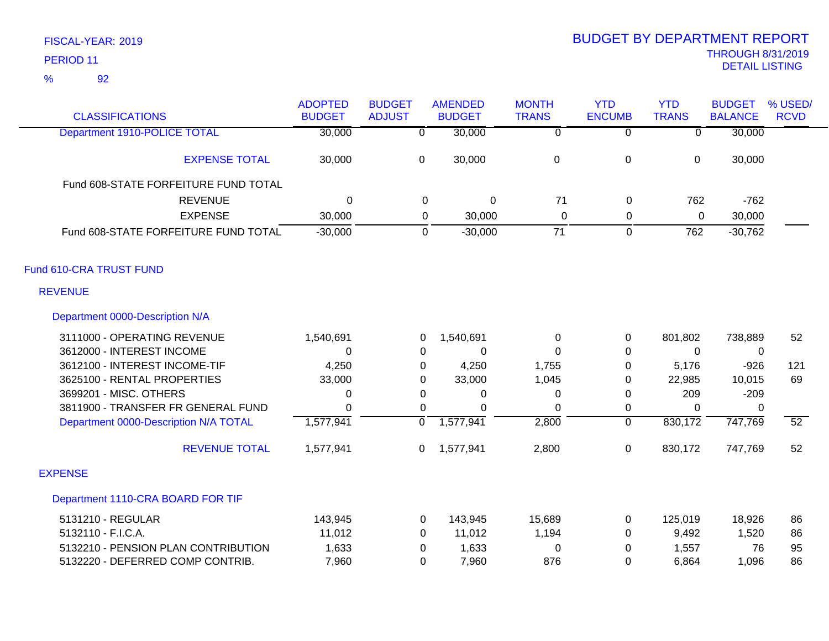| <b>CLASSIFICATIONS</b>                | <b>ADOPTED</b><br><b>BUDGET</b> | <b>BUDGET</b><br><b>ADJUST</b> | <b>AMENDED</b><br><b>BUDGET</b> | <b>MONTH</b><br><b>TRANS</b> | <b>YTD</b><br><b>ENCUMB</b> | <b>YTD</b><br><b>TRANS</b> | <b>BUDGET</b><br><b>BALANCE</b> | % USED/<br><b>RCVD</b> |
|---------------------------------------|---------------------------------|--------------------------------|---------------------------------|------------------------------|-----------------------------|----------------------------|---------------------------------|------------------------|
| Department 1910-POLICE TOTAL          | 30,000                          | $\overline{\mathfrak{o}}$      | 30,000                          | $\overline{0}$               | $\overline{0}$              | $\overline{0}$             | 30,000                          |                        |
| <b>EXPENSE TOTAL</b>                  | 30,000                          | $\mathbf 0$                    | 30,000                          | $\boldsymbol{0}$             | $\pmb{0}$                   | $\mathbf 0$                | 30,000                          |                        |
| Fund 608-STATE FORFEITURE FUND TOTAL  |                                 |                                |                                 |                              |                             |                            |                                 |                        |
| <b>REVENUE</b>                        | 0                               | 0                              | $\mathbf 0$                     | 71                           | 0                           | 762                        | $-762$                          |                        |
| <b>EXPENSE</b>                        | 30,000                          | 0                              | 30,000                          | $\mathbf 0$                  | 0                           | 0                          | 30,000                          |                        |
| Fund 608-STATE FORFEITURE FUND TOTAL  | $-30,000$                       | 0                              | $-30,000$                       | 71                           | $\mathbf 0$                 | 762                        | $-30,762$                       |                        |
| Fund 610-CRA TRUST FUND               |                                 |                                |                                 |                              |                             |                            |                                 |                        |
| <b>REVENUE</b>                        |                                 |                                |                                 |                              |                             |                            |                                 |                        |
| Department 0000-Description N/A       |                                 |                                |                                 |                              |                             |                            |                                 |                        |
| 3111000 - OPERATING REVENUE           | 1,540,691                       | 0                              | 1,540,691                       | 0                            | 0                           | 801,802                    | 738,889                         | 52                     |
| 3612000 - INTEREST INCOME             | 0                               | 0                              | 0                               | 0                            | 0                           | 0                          | $\overline{0}$                  |                        |
| 3612100 - INTEREST INCOME-TIF         | 4,250                           | 0                              | 4,250                           | 1,755                        | 0                           | 5,176                      | $-926$                          | 121                    |
| 3625100 - RENTAL PROPERTIES           | 33,000                          | 0                              | 33,000                          | 1,045                        | 0                           | 22,985                     | 10,015                          | 69                     |
| 3699201 - MISC. OTHERS                | 0                               | 0                              | 0                               | 0                            | 0                           | 209                        | $-209$                          |                        |
| 3811900 - TRANSFER FR GENERAL FUND    | $\Omega$                        | 0                              | $\Omega$                        | 0                            | 0                           | $\Omega$                   | $\Omega$                        |                        |
| Department 0000-Description N/A TOTAL | 1,577,941                       | $\overline{0}$                 | 1,577,941                       | 2,800                        | $\overline{0}$              | 830,172                    | 747,769                         | $\overline{52}$        |
| <b>REVENUE TOTAL</b>                  | 1,577,941                       | 0                              | 1,577,941                       | 2,800                        | $\pmb{0}$                   | 830,172                    | 747,769                         | 52                     |
| <b>EXPENSE</b>                        |                                 |                                |                                 |                              |                             |                            |                                 |                        |
| Department 1110-CRA BOARD FOR TIF     |                                 |                                |                                 |                              |                             |                            |                                 |                        |
| 5131210 - REGULAR                     | 143,945                         | 0                              | 143,945                         | 15,689                       | 0                           | 125,019                    | 18,926                          | 86                     |
| 5132110 - F.I.C.A.                    | 11,012                          | 0                              | 11,012                          | 1,194                        | $\mathbf 0$                 | 9,492                      | 1,520                           | 86                     |
| 5132210 - PENSION PLAN CONTRIBUTION   | 1,633                           | 0                              | 1,633                           | $\mathbf 0$                  | 0                           | 1,557                      | 76                              | 95                     |
| 5132220 - DEFERRED COMP CONTRIB.      | 7,960                           | $\Omega$                       | 7,960                           | 876                          | $\Omega$                    | 6,864                      | 1,096                           | 86                     |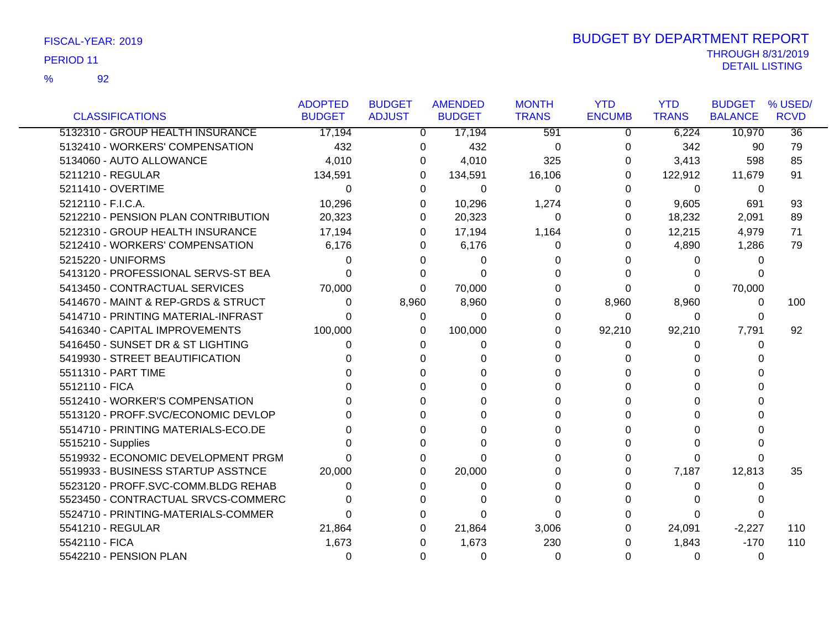92 %

|                                     | <b>ADOPTED</b> | <b>BUDGET</b> | <b>AMENDED</b> | <b>MONTH</b> | <b>YTD</b>     | <b>YTD</b>   | <b>BUDGET</b>  | % USED/         |
|-------------------------------------|----------------|---------------|----------------|--------------|----------------|--------------|----------------|-----------------|
| <b>CLASSIFICATIONS</b>              | <b>BUDGET</b>  | <b>ADJUST</b> | <b>BUDGET</b>  | <b>TRANS</b> | <b>ENCUMB</b>  | <b>TRANS</b> | <b>BALANCE</b> | <b>RCVD</b>     |
| 5132310 - GROUP HEALTH INSURANCE    | 17,194         | $\Omega$      | 17,194         | 591          | $\overline{0}$ | 6,224        | 10,970         | $\overline{36}$ |
| 5132410 - WORKERS' COMPENSATION     | 432            | 0             | 432            | $\Omega$     | 0              | 342          | 90             | 79              |
| 5134060 - AUTO ALLOWANCE            | 4,010          | 0             | 4,010          | 325          | 0              | 3,413        | 598            | 85              |
| 5211210 - REGULAR                   | 134,591        | 0             | 134,591        | 16,106       | 0              | 122,912      | 11,679         | 91              |
| 5211410 - OVERTIME                  | $\Omega$       | $\Omega$      | $\Omega$       | $\Omega$     | $\Omega$       | $\Omega$     | 0              |                 |
| 5212110 - F.I.C.A.                  | 10,296         | 0             | 10,296         | 1,274        | 0              | 9,605        | 691            | 93              |
| 5212210 - PENSION PLAN CONTRIBUTION | 20,323         | 0             | 20,323         | $\Omega$     | 0              | 18,232       | 2,091          | 89              |
| 5212310 - GROUP HEALTH INSURANCE    | 17,194         | 0             | 17,194         | 1,164        | 0              | 12,215       | 4,979          | 71              |
| 5212410 - WORKERS' COMPENSATION     | 6,176          | 0             | 6,176          | 0            | 0              | 4,890        | 1,286          | 79              |
| 5215220 - UNIFORMS                  | $\Omega$       | 0             | $\Omega$       | 0            |                | 0            | 0              |                 |
| 5413120 - PROFESSIONAL SERVS-ST BEA | 0              | 0             | $\Omega$       | 0            |                | 0            |                |                 |
| 5413450 - CONTRACTUAL SERVICES      | 70,000         | $\Omega$      | 70,000         | $\Omega$     | 0              | 0            | 70,000         |                 |
| 5414670 - MAINT & REP-GRDS & STRUCT | 0              | 8,960         | 8,960          | 0            | 8,960          | 8,960        | 0              | 100             |
| 5414710 - PRINTING MATERIAL-INFRAST | 0              | 0             | $\Omega$       | 0            | 0              | 0            | 0              |                 |
| 5416340 - CAPITAL IMPROVEMENTS      | 100,000        | 0             | 100,000        | 0            | 92,210         | 92,210       | 7,791          | 92              |
| 5416450 - SUNSET DR & ST LIGHTING   | 0              | 0             | 0              | $\Omega$     | 0              | 0            | 0              |                 |
| 5419930 - STREET BEAUTIFICATION     | 0              | 0             | 0              | 0            |                | 0            |                |                 |
| 5511310 - PART TIME                 |                | 0             |                | <sup>0</sup> |                | U            |                |                 |
| 5512110 - FICA                      |                | U             |                | <sup>0</sup> |                | U            |                |                 |
| 5512410 - WORKER'S COMPENSATION     |                | 0             |                | 0            |                | 0            |                |                 |
| 5513120 - PROFF.SVC/ECONOMIC DEVLOP | U              | U             | <sup>n</sup>   | 0            |                | 0            |                |                 |
| 5514710 - PRINTING MATERIALS-ECO.DE |                | 0             | <sup>0</sup>   | 0            | O              | 0            |                |                 |
| 5515210 - Supplies                  | <sup>n</sup>   | 0             | $\Omega$       | 0            |                | 0            |                |                 |
| 5519932 - ECONOMIC DEVELOPMENT PRGM | U              | 0             | $\Omega$       | 0            |                | 0            |                |                 |
| 5519933 - BUSINESS STARTUP ASSTNCE  | 20,000         | 0             | 20,000         | 0            | 0              | 7,187        | 12,813         | 35              |
| 5523120 - PROFF.SVC-COMM.BLDG REHAB | $\Omega$       | 0             | $\Omega$       | 0            | O              | 0            | 0              |                 |
| 5523450 - CONTRACTUAL SRVCS-COMMERC | 0              | 0             |                | $\Omega$     | 0              | 0            |                |                 |
| 5524710 - PRINTING-MATERIALS-COMMER | $\Omega$       | 0             | $\Omega$       | $\Omega$     |                | 0            | 0              |                 |
| 5541210 - REGULAR                   | 21,864         | 0             | 21,864         | 3,006        | 0              | 24,091       | $-2,227$       | 110             |
| 5542110 - FICA                      | 1,673          | 0             | 1,673          | 230          |                | 1,843        | $-170$         | 110             |
| 5542210 - PENSION PLAN              | $\Omega$       | 0             | $\Omega$       | 0            | 0              | 0            | 0              |                 |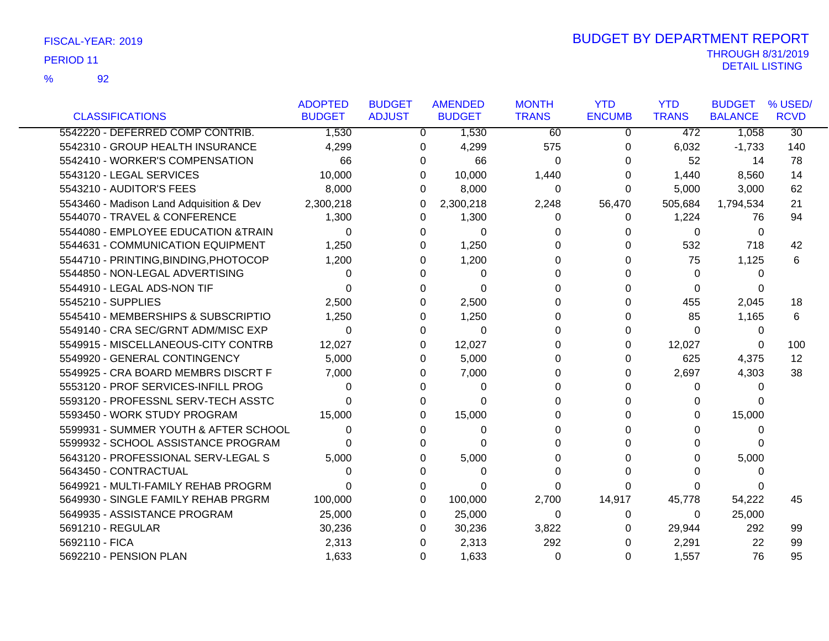92

%

|                                          | <b>ADOPTED</b> | <b>BUDGET</b> | <b>AMENDED</b> | <b>MONTH</b> | <b>YTD</b>    | <b>YTD</b>   | <b>BUDGET</b>  | % USED/         |
|------------------------------------------|----------------|---------------|----------------|--------------|---------------|--------------|----------------|-----------------|
| <b>CLASSIFICATIONS</b>                   | <b>BUDGET</b>  | <b>ADJUST</b> | <b>BUDGET</b>  | <b>TRANS</b> | <b>ENCUMB</b> | <b>TRANS</b> | <b>BALANCE</b> | <b>RCVD</b>     |
| 5542220 - DEFERRED COMP CONTRIB.         | 1,530          | 0             | 1,530          | 60           | $\mathbf 0$   | 472          | 1,058          | $\overline{30}$ |
| 5542310 - GROUP HEALTH INSURANCE         | 4,299          | 0             | 4,299          | 575          | 0             | 6,032        | $-1,733$       | 140             |
| 5542410 - WORKER'S COMPENSATION          | 66             | 0             | 66             | 0            | 0             | 52           | 14             | 78              |
| 5543120 - LEGAL SERVICES                 | 10,000         | 0             | 10,000         | 1,440        | O             | 1,440        | 8,560          | 14              |
| 5543210 - AUDITOR'S FEES                 | 8,000          | $\Omega$      | 8,000          | 0            | 0             | 5,000        | 3,000          | 62              |
| 5543460 - Madison Land Adquisition & Dev | 2,300,218      | 0             | 2,300,218      | 2,248        | 56,470        | 505,684      | 1,794,534      | 21              |
| 5544070 - TRAVEL & CONFERENCE            | 1,300          | $\Omega$      | 1,300          | 0            | 0             | 1,224        | 76             | 94              |
| 5544080 - EMPLOYEE EDUCATION & TRAIN     | 0              | $\Omega$      | 0              | 0            |               | $\Omega$     | 0              |                 |
| 5544631 - COMMUNICATION EQUIPMENT        | 1,250          | 0             | 1,250          | 0            |               | 532          | 718            | 42              |
| 5544710 - PRINTING, BINDING, PHOTOCOP    | 1,200          | 0             | 1,200          | 0            |               | 75           | 1,125          | 6               |
| 5544850 - NON-LEGAL ADVERTISING          | 0              | 0             | 0              | 0            |               | 0            | 0              |                 |
| 5544910 - LEGAL ADS-NON TIF              | 0              | $\Omega$      | $\Omega$       | 0            |               | $\Omega$     | 0              |                 |
| 5545210 - SUPPLIES                       | 2,500          | 0             | 2,500          | 0            |               | 455          | 2,045          | 18              |
| 5545410 - MEMBERSHIPS & SUBSCRIPTIO      | 1,250          | 0             | 1,250          | 0            | O             | 85           | 1,165          | 6               |
| 5549140 - CRA SEC/GRNT ADM/MISC EXP      | $\Omega$       | 0             | $\Omega$       | $\Omega$     | 0             | $\Omega$     | $\Omega$       |                 |
| 5549915 - MISCELLANEOUS-CITY CONTRB      | 12,027         | 0             | 12,027         | 0            | 0             | 12,027       | 0              | 100             |
| 5549920 - GENERAL CONTINGENCY            | 5,000          | 0             | 5,000          | 0            | 0             | 625          | 4,375          | 12              |
| 5549925 - CRA BOARD MEMBRS DISCRT F      | 7,000          | 0             | 7,000          | 0            | 0             | 2,697        | 4,303          | 38              |
| 5553120 - PROF SERVICES-INFILL PROG      | 0              | $\Omega$      | $\Omega$       | 0            | U             | 0            | 0              |                 |
| 5593120 - PROFESSNL SERV-TECH ASSTC      | 0              | 0             | $\Omega$       | $\Omega$     |               | 0            | 0              |                 |
| 5593450 - WORK STUDY PROGRAM             | 15,000         | 0             | 15,000         | $\Omega$     |               | 0            | 15,000         |                 |
| 5599931 - SUMMER YOUTH & AFTER SCHOOL    | 0              | 0             | 0              | 0            |               | 0            | 0              |                 |
| 5599932 - SCHOOL ASSISTANCE PROGRAM      | 0              | 0             | 0              | 0            |               | 0            | $\Omega$       |                 |
| 5643120 - PROFESSIONAL SERV-LEGAL S      | 5,000          | 0             | 5,000          | 0            |               | 0            | 5,000          |                 |
| 5643450 - CONTRACTUAL                    | 0              | $\Omega$      | 0              | 0            |               | O            | 0              |                 |
| 5649921 - MULTI-FAMILY REHAB PROGRM      | 0              | 0             | 0              | $\Omega$     |               | 0            | 0              |                 |
| 5649930 - SINGLE FAMILY REHAB PRGRM      | 100,000        | 0             | 100,000        | 2,700        | 14,917        | 45,778       | 54,222         | 45              |
| 5649935 - ASSISTANCE PROGRAM             | 25,000         | 0             | 25,000         | 0            | 0             | 0            | 25,000         |                 |
| 5691210 - REGULAR                        | 30,236         | 0             | 30,236         | 3,822        | 0             | 29,944       | 292            | 99              |
| 5692110 - FICA                           | 2,313          | 0             | 2,313          | 292          | 0             | 2,291        | 22             | 99              |
| 5692210 - PENSION PLAN                   | 1,633          | $\Omega$      | 1,633          | $\Omega$     | 0             | 1,557        | 76             | 95              |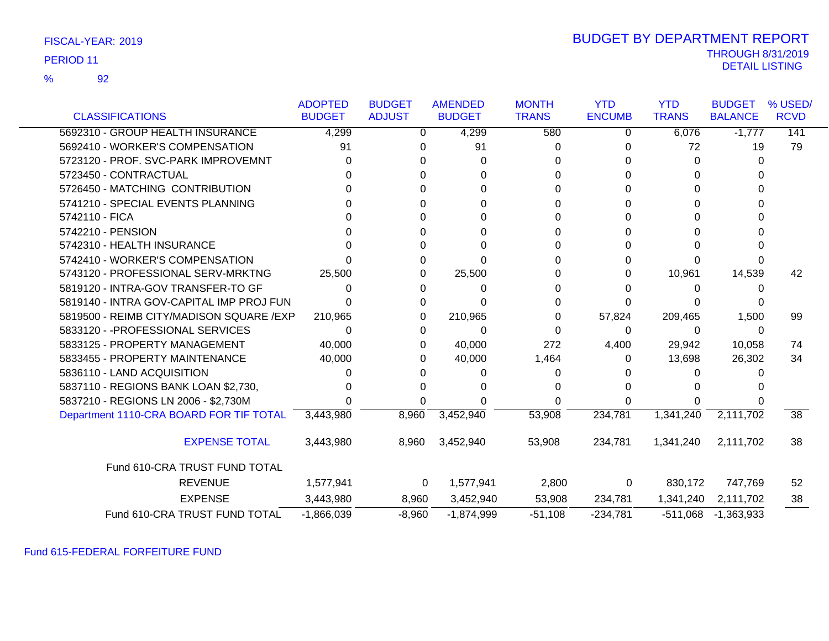| FISCAL-YEAR: 2019 |  |
|-------------------|--|
|-------------------|--|

92 %

## THROUGH 8/31/2019<br>DETAIL LISTING DETAIL LISTING PERIOD <sup>11</sup> BUDGET BY DEPARTMENT REPORT

|                                          | <b>ADOPTED</b> | <b>BUDGET</b> | <b>AMENDED</b> | <b>MONTH</b> | <b>YTD</b>    | <b>YTD</b>   | <b>BUDGET</b>  | % USED/         |
|------------------------------------------|----------------|---------------|----------------|--------------|---------------|--------------|----------------|-----------------|
| <b>CLASSIFICATIONS</b>                   | <b>BUDGET</b>  | <b>ADJUST</b> | <b>BUDGET</b>  | <b>TRANS</b> | <b>ENCUMB</b> | <b>TRANS</b> | <b>BALANCE</b> | <b>RCVD</b>     |
| 5692310 - GROUP HEALTH INSURANCE         | 4,299          | 0             | 4,299          | 580          | 0             | 6,076        | $-1,777$       | 141             |
| 5692410 - WORKER'S COMPENSATION          | 91             | 0             | 91             | 0            |               | 72           | 19             | 79              |
| 5723120 - PROF. SVC-PARK IMPROVEMNT      | U              | 0             | 0              | 0            |               | 0            | 0              |                 |
| 5723450 - CONTRACTUAL                    |                |               |                |              |               | 0            |                |                 |
| 5726450 - MATCHING CONTRIBUTION          |                | O             |                | 0            |               | 0            |                |                 |
| 5741210 - SPECIAL EVENTS PLANNING        |                | n             | U              | 0            |               | 0            |                |                 |
| 5742110 - FICA                           |                | O             | O              | 0            |               | 0            |                |                 |
| 5742210 - PENSION                        |                |               |                |              |               |              |                |                 |
| 5742310 - HEALTH INSURANCE               |                |               |                | 0            |               | 0            |                |                 |
| 5742410 - WORKER'S COMPENSATION          |                | 0             | O              | 0            |               | 0            |                |                 |
| 5743120 - PROFESSIONAL SERV-MRKTNG       | 25,500         | 0             | 25,500         | 0            | $^{(1)}$      | 10,961       | 14,539         | 42              |
| 5819120 - INTRA-GOV TRANSFER-TO GF       |                | 0             | 0              |              |               | 0            |                |                 |
| 5819140 - INTRA GOV-CAPITAL IMP PROJ FUN |                | 0             |                |              |               |              |                |                 |
| 5819500 - REIMB CITY/MADISON SQUARE /EXP | 210,965        | 0             | 210,965        | 0            | 57,824        | 209,465      | 1,500          | 99              |
| 5833120 - - PROFESSIONAL SERVICES        | 0              | 0             | 0              | 0            | $\Omega$      | 0            | 0              |                 |
| 5833125 - PROPERTY MANAGEMENT            | 40,000         | 0             | 40,000         | 272          | 4,400         | 29,942       | 10,058         | 74              |
| 5833455 - PROPERTY MAINTENANCE           | 40,000         | 0             | 40,000         | 1,464        | 0             | 13,698       | 26,302         | 34              |
| 5836110 - LAND ACQUISITION               |                |               |                | 0            |               |              |                |                 |
| 5837110 - REGIONS BANK LOAN \$2,730,     |                |               |                |              |               |              |                |                 |
| 5837210 - REGIONS LN 2006 - \$2,730M     |                |               |                |              |               |              |                |                 |
| Department 1110-CRA BOARD FOR TIF TOTAL  | 3,443,980      | 8,960         | 3,452,940      | 53,908       | 234,781       | 1,341,240    | 2,111,702      | $\overline{38}$ |
| <b>EXPENSE TOTAL</b>                     | 3,443,980      | 8,960         | 3,452,940      | 53,908       | 234,781       | 1,341,240    | 2,111,702      | 38              |
| Fund 610-CRA TRUST FUND TOTAL            |                |               |                |              |               |              |                |                 |
| <b>REVENUE</b>                           | 1,577,941      | 0             | 1,577,941      | 2,800        | 0             | 830,172      | 747,769        | 52              |
| <b>EXPENSE</b>                           | 3,443,980      | 8,960         | 3,452,940      | 53,908       | 234,781       | 1,341,240    | 2,111,702      | 38              |
| Fund 610-CRA TRUST FUND TOTAL            | $-1,866,039$   | $-8,960$      | $-1,874,999$   | $-51,108$    | $-234,781$    | $-511,068$   | $-1,363,933$   |                 |

Fund 615-FEDERAL FORFEITURE FUND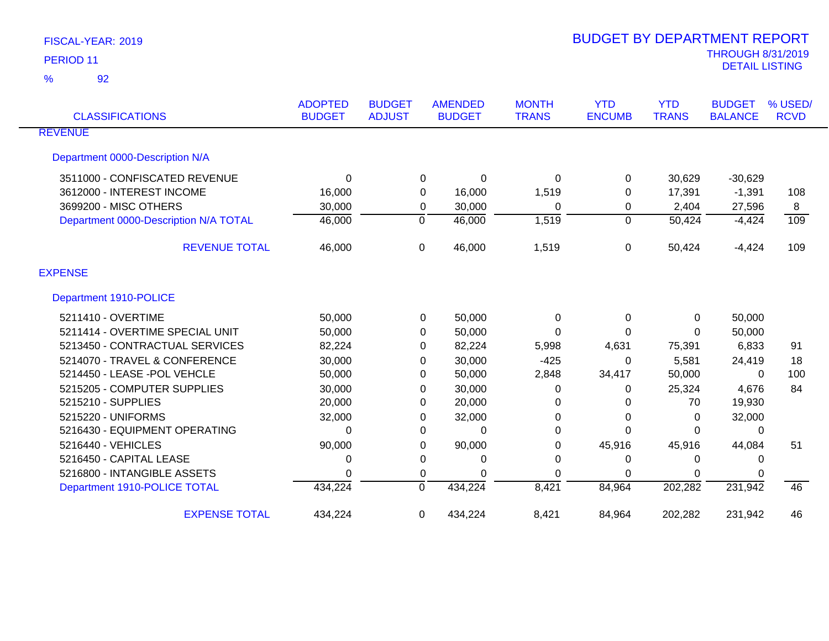| <b>CLASSIFICATIONS</b>                | <b>ADOPTED</b><br><b>BUDGET</b> | <b>BUDGET</b><br><b>ADJUST</b> | <b>AMENDED</b><br><b>BUDGET</b> | <b>MONTH</b><br><b>TRANS</b> | <b>YTD</b><br><b>ENCUMB</b> | <b>YTD</b><br><b>TRANS</b> | <b>BUDGET</b><br><b>BALANCE</b> | % USED/<br><b>RCVD</b> |
|---------------------------------------|---------------------------------|--------------------------------|---------------------------------|------------------------------|-----------------------------|----------------------------|---------------------------------|------------------------|
| <b>REVENUE</b>                        |                                 |                                |                                 |                              |                             |                            |                                 |                        |
| Department 0000-Description N/A       |                                 |                                |                                 |                              |                             |                            |                                 |                        |
| 3511000 - CONFISCATED REVENUE         | $\Omega$                        |                                | 0<br>0                          | 0                            | 0                           | 30,629                     | $-30,629$                       |                        |
| 3612000 - INTEREST INCOME             | 16,000                          |                                | 0<br>16,000                     | 1,519                        | 0                           | 17,391                     | $-1,391$                        | 108                    |
| 3699200 - MISC OTHERS                 | 30,000                          |                                | 30,000<br>0                     | 0                            | 0                           | 2,404                      | 27,596                          | 8                      |
| Department 0000-Description N/A TOTAL | 46,000                          | 0                              | 46,000                          | 1,519                        | 0                           | 50,424                     | $-4,424$                        | 109                    |
| <b>REVENUE TOTAL</b>                  | 46,000                          | $\Omega$                       | 46,000                          | 1,519                        | $\Omega$                    | 50,424                     | $-4,424$                        | 109                    |
| <b>EXPENSE</b>                        |                                 |                                |                                 |                              |                             |                            |                                 |                        |
| Department 1910-POLICE                |                                 |                                |                                 |                              |                             |                            |                                 |                        |
| 5211410 - OVERTIME                    | 50,000                          |                                | 50,000<br>0                     | 0                            | 0                           | 0                          | 50,000                          |                        |
| 5211414 - OVERTIME SPECIAL UNIT       | 50,000                          |                                | 50,000<br>0                     | 0                            | 0                           | 0                          | 50,000                          |                        |
| 5213450 - CONTRACTUAL SERVICES        | 82,224                          |                                | 82,224<br>0                     | 5,998                        | 4,631                       | 75,391                     | 6,833                           | 91                     |
| 5214070 - TRAVEL & CONFERENCE         | 30,000                          |                                | 30,000<br>0                     | $-425$                       | 0                           | 5,581                      | 24,419                          | 18                     |
| 5214450 - LEASE -POL VEHCLE           | 50,000                          |                                | 50,000<br>0                     | 2,848                        | 34,417                      | 50,000                     | $\Omega$                        | 100                    |
| 5215205 - COMPUTER SUPPLIES           | 30,000                          |                                | 30,000<br>0                     | 0                            | 0                           | 25,324                     | 4,676                           | 84                     |
| 5215210 - SUPPLIES                    | 20,000                          |                                | 20,000<br>0                     | 0                            | 0                           | 70                         | 19,930                          |                        |
| 5215220 - UNIFORMS                    | 32,000                          |                                | 32,000<br>0                     | 0                            | 0                           | 0                          | 32,000                          |                        |
| 5216430 - EQUIPMENT OPERATING         | $\Omega$                        |                                | 0<br>$\Omega$                   | $\Omega$                     | 0                           | $\Omega$                   | $\Omega$                        |                        |
| 5216440 - VEHICLES                    | 90,000                          |                                | 90,000<br>0                     | 0                            | 45,916                      | 45,916                     | 44,084                          | 51                     |
| 5216450 - CAPITAL LEASE               | 0                               |                                | 0<br>0                          | 0                            | 0                           | 0                          | 0                               |                        |
| 5216800 - INTANGIBLE ASSETS           | 0                               |                                | 0<br>$\Omega$                   | 0                            | 0                           | 0                          | 0                               |                        |
| Department 1910-POLICE TOTAL          | 434,224                         | $\Omega$                       | 434,224                         | 8,421                        | 84,964                      | 202,282                    | 231,942                         | 46                     |
| <b>EXPENSE TOTAL</b>                  | 434,224                         | $\Omega$                       | 434,224                         | 8,421                        | 84,964                      | 202,282                    | 231,942                         | 46                     |